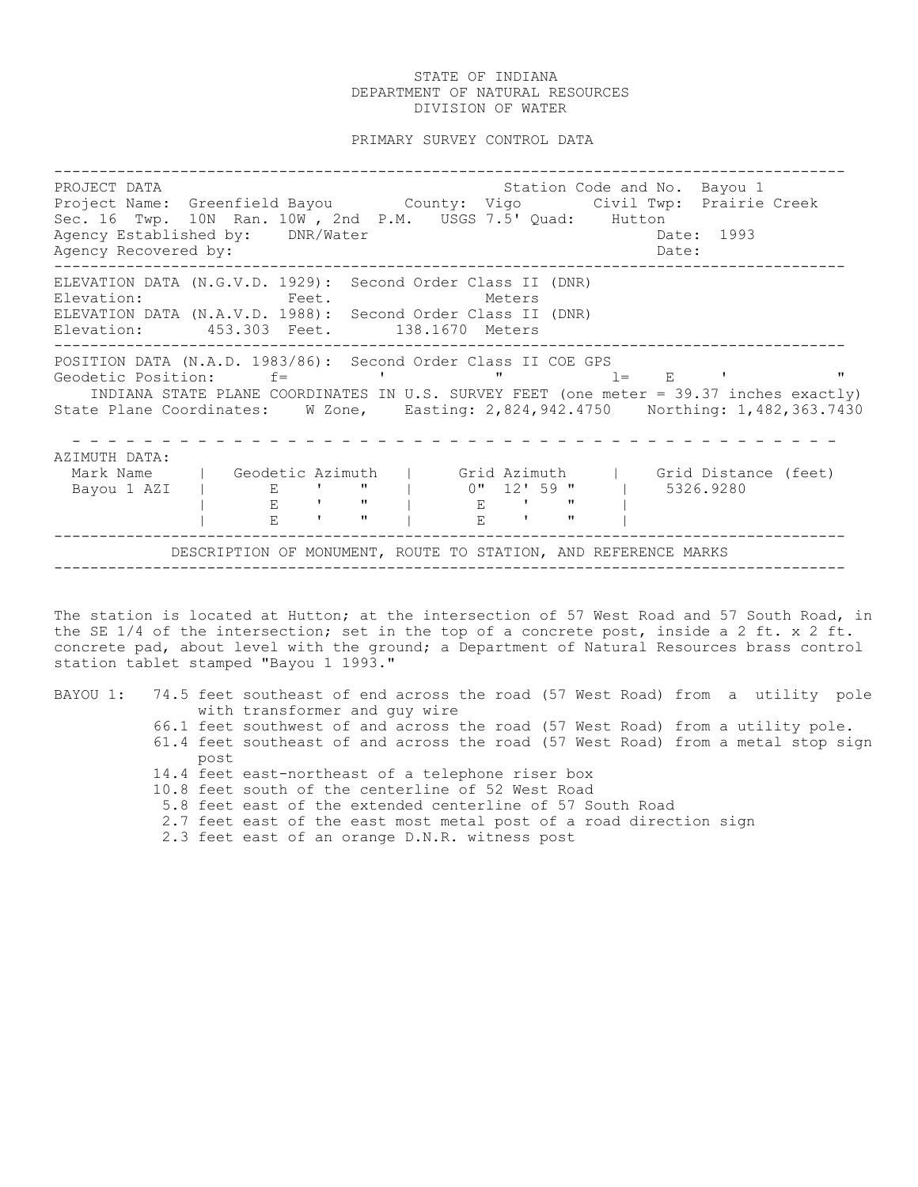PRIMARY SURVEY CONTROL DATA

| PROJECT DATA<br>Project Name: Greenfield Bayou County: Vigo Civil Twp: Prairie Creek<br>Sec. 16 Twp. 10N Ran. 10W, 2nd P.M. USGS 7.5' Quad: Hutton<br>Agency Established by: DNR/Water<br>Agency Recovered by:                                                        |                                                                |                                                                                                                                                                                                                                                                                |                                               |                                 |                            |              |       | Date:                       | Station Code and No. Bayou 1<br>Date: 1993 |                      |              |
|-----------------------------------------------------------------------------------------------------------------------------------------------------------------------------------------------------------------------------------------------------------------------|----------------------------------------------------------------|--------------------------------------------------------------------------------------------------------------------------------------------------------------------------------------------------------------------------------------------------------------------------------|-----------------------------------------------|---------------------------------|----------------------------|--------------|-------|-----------------------------|--------------------------------------------|----------------------|--------------|
| ELEVATION DATA (N.G.V.D. 1929): Second Order Class II (DNR)<br>Elevation:<br>ELEVATION DATA (N.A.V.D. 1988): Second Order Class II (DNR)<br>Elevation: 453.303 Feet. 138.1670 Meters                                                                                  | <b>Example 2</b> Feet.                                         |                                                                                                                                                                                                                                                                                |                                               |                                 | Meters                     |              |       |                             |                                            |                      |              |
| POSITION DATA (N.A.D. 1983/86): Second Order Class II COE GPS<br>Geodetic Position: f=<br>INDIANA STATE PLANE COORDINATES IN U.S. SURVEY FEET (one meter = 39.37 inches exactly)<br>State Plane Coordinates: W Zone, Easting: 2,824,942.4750 Northing: 1,482,363.7430 |                                                                |                                                                                                                                                                                                                                                                                |                                               | $\mathbf{v}$                    |                            |              | $1 =$ | $\mathbf{E}$ , $\mathbf{E}$ |                                            |                      | $\mathbf{H}$ |
| AZIMUTH DATA:<br>Mark Name<br>Bayou 1 AZI                                                                                                                                                                                                                             | Geodetic Azimuth<br>E<br>$\mathbf{F}$<br>$\mathbf{E}$          | <b>The Common</b><br><b>Contract Contract Contract Contract Contract Contract Contract Contract Contract Contract Contract Contract Contract Contract Contract Contract Contract Contract Contract Contract Contract Contract Contract Contract Contr</b><br><b>The Common</b> | $\mathbf{H}$ and $\mathbf{H}$<br>$\mathbf{H}$ | l Grid Azimuth<br>$0$ " 12' 59" | $E = 1$ $V = 0$<br>$E = 1$ | $\mathbf{H}$ |       | 5326.9280                   |                                            | Grid Distance (feet) |              |
|                                                                                                                                                                                                                                                                       | DESCRIPTION OF MONUMENT, ROUTE TO STATION, AND REFERENCE MARKS |                                                                                                                                                                                                                                                                                |                                               |                                 |                            |              |       |                             |                                            |                      |              |

The station is located at Hutton; at the intersection of 57 West Road and 57 South Road, in the SE 1/4 of the intersection; set in the top of a concrete post, inside a 2 ft. x 2 ft. concrete pad, about level with the ground; a Department of Natural Resources brass control station tablet stamped "Bayou 1 1993."

|  |                                                                                                                |      | BAYOU 1: 74.5 feet southeast of end across the road (57 West Road) from a utility pole |  |  |  |  |  |  |  |  |
|--|----------------------------------------------------------------------------------------------------------------|------|----------------------------------------------------------------------------------------|--|--|--|--|--|--|--|--|
|  |                                                                                                                |      | with transformer and guy wire                                                          |  |  |  |  |  |  |  |  |
|  |                                                                                                                |      | 66.1 feet southwest of and across the road (57 West Road) from a utility pole.         |  |  |  |  |  |  |  |  |
|  |                                                                                                                |      | 61.4 feet southeast of and across the road (57 West Road) from a metal stop sign       |  |  |  |  |  |  |  |  |
|  |                                                                                                                | post |                                                                                        |  |  |  |  |  |  |  |  |
|  |                                                                                                                |      | 14.4 feet east-northeast of a telephone riser box                                      |  |  |  |  |  |  |  |  |
|  | 10.8 feet south of the centerline of 52 West Road<br>5.8 feet east of the extended centerline of 57 South Road |      |                                                                                        |  |  |  |  |  |  |  |  |
|  |                                                                                                                |      |                                                                                        |  |  |  |  |  |  |  |  |
|  |                                                                                                                |      | 2.7 feet east of the east most metal post of a road direction sign                     |  |  |  |  |  |  |  |  |
|  |                                                                                                                |      | 2.3 feet east of an orange D.N.R. witness post                                         |  |  |  |  |  |  |  |  |
|  |                                                                                                                |      |                                                                                        |  |  |  |  |  |  |  |  |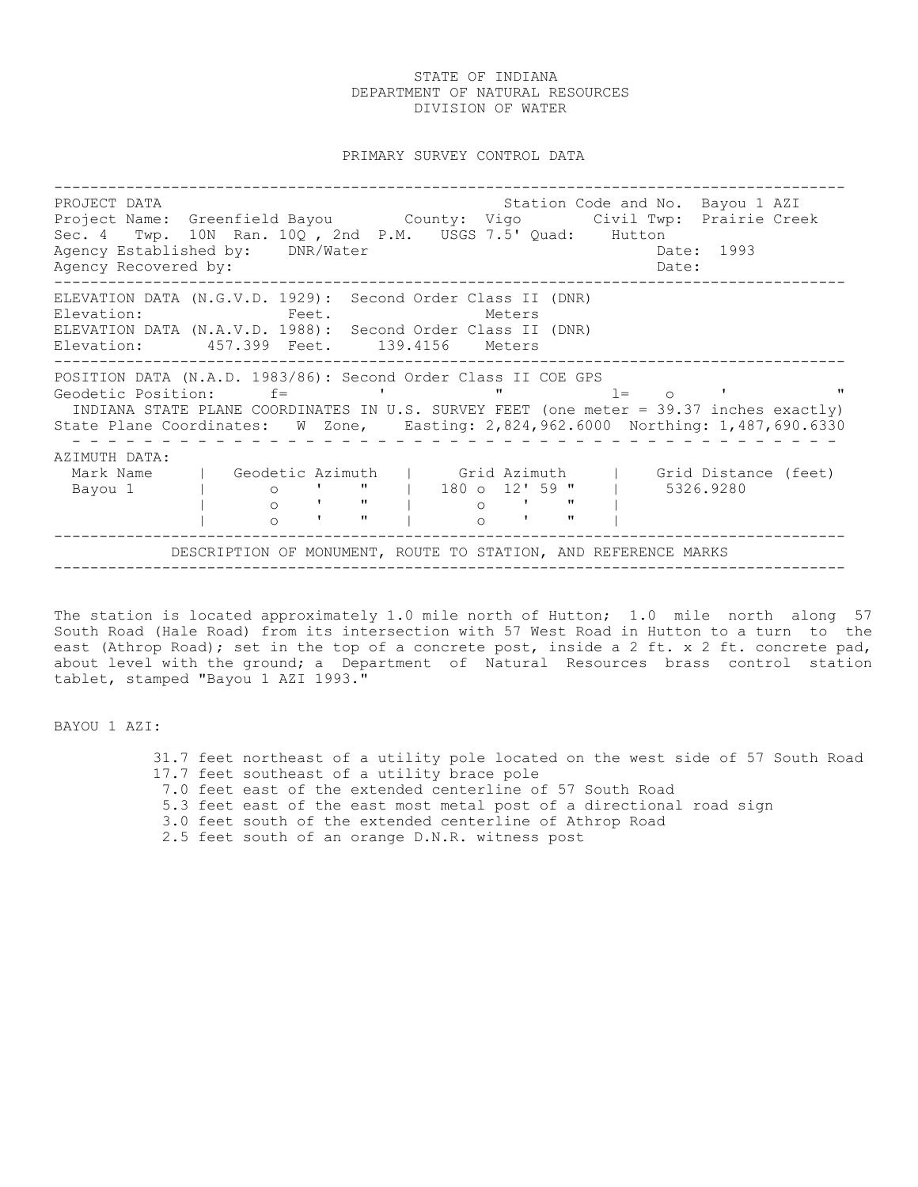PRIMARY SURVEY CONTROL DATA

---------------------------------------------------------------------------------------- PROJECT DATA Station Code and No. Bayou 1 AZI Project Name: Greenfield Bayou County: Vigo Civil Twp: Prairie Creek Sec. 4 Twp. 10N Ran. 10Q, 2nd P.M. USGS 7.5' Quad: Hutton Agency Established by: DNR/Water Case Communication of the Date: 1993 Agency Recovered by: Date: ---------------------------------------------------------------------------------------- ELEVATION DATA (N.G.V.D. 1929): Second Order Class II (DNR) Elevation: Feet. Feet. Meters ELEVATION DATA (N.A.V.D. 1988): Second Order Class II (DNR) Elevation: 457.399 Feet. 139.4156 Meters ---------------------------------------------------------------------------------------- POSITION DATA (N.A.D. 1983/86): Second Order Class II COE GPS Geodetic Position:  $f=$  ' ' " l= o ' INDIANA STATE PLANE COORDINATES IN U.S. SURVEY FEET (one meter = 39.37 inches exactly) State Plane Coordinates: W Zone, Easting: 2,824,962.6000 Northing: 1,487,690.6330 - - - - - - - - - - - - - - - - - - - - - - - - - - - - - - - - - - - - - - - - - - - AZIMUTH DATA:<br>Mark Name | Geodetic Azimuth | Mark Name | Geodetic Azimuth | Grid Azimuth | Grid Distance (feet) Bayou 1 | o ' " | 180 o 12' 59 " | 5326.9280 | o ' " | o ' " | | o ' " | o ' " | ---------------------------------------------------------------------------------------- DESCRIPTION OF MONUMENT, ROUTE TO STATION, AND REFERENCE MARKS ----------------------------------------------------------------------------------------

The station is located approximately 1.0 mile north of Hutton; 1.0 mile north along 57 South Road (Hale Road) from its intersection with 57 West Road in Hutton to a turn to the east (Athrop Road); set in the top of a concrete post, inside a 2 ft. x 2 ft. concrete pad, about level with the ground; a Department of Natural Resources brass control station tablet, stamped "Bayou 1 AZI 1993."

BAYOU 1 AZI:

 31.7 feet northeast of a utility pole located on the west side of 57 South Road 17.7 feet southeast of a utility brace pole 7.0 feet east of the extended centerline of 57 South Road 5.3 feet east of the east most metal post of a directional road sign 3.0 feet south of the extended centerline of Athrop Road 2.5 feet south of an orange D.N.R. witness post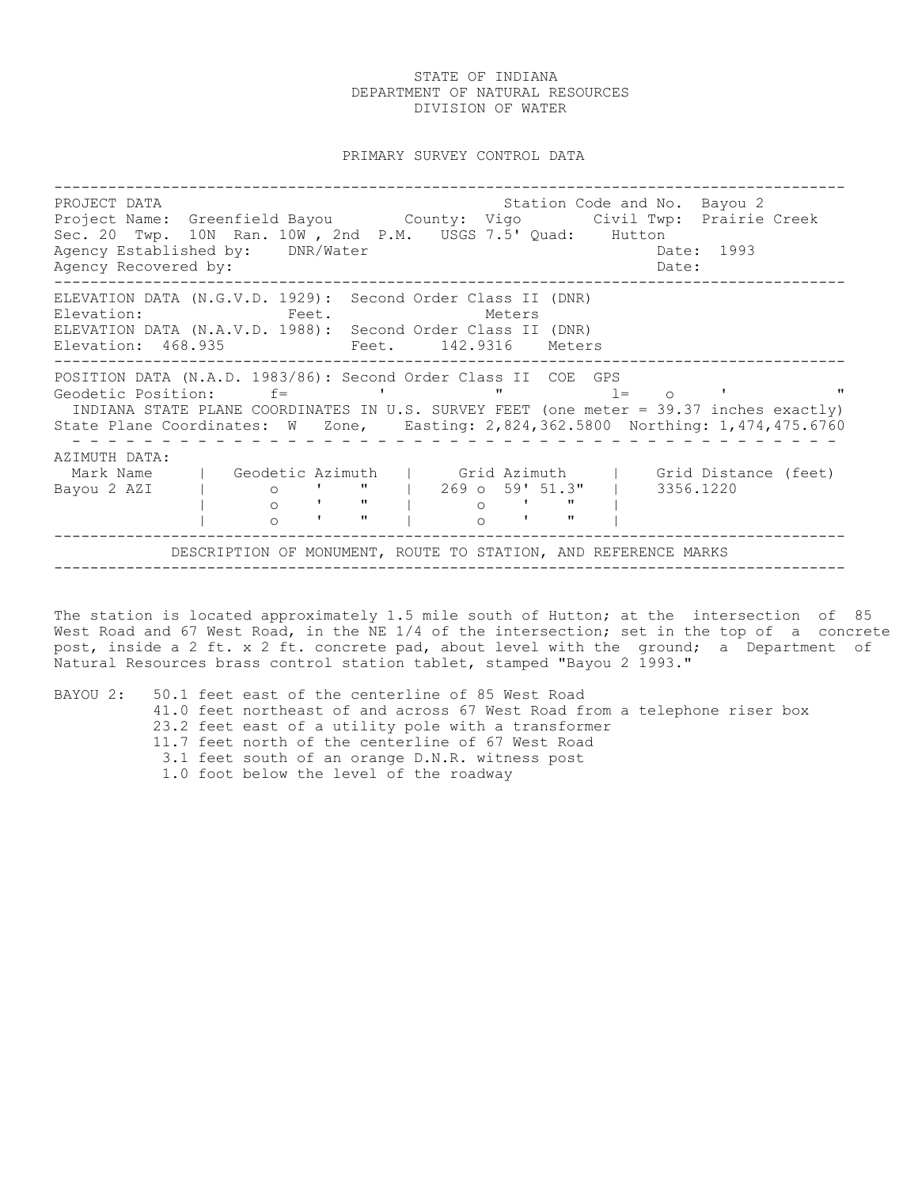PRIMARY SURVEY CONTROL DATA

---------------------------------------------------------------------------------------- PROJECT DATA Station Code and No. Bayou 2 Project Name: Greenfield Bayou County: Vigo Civil Twp: Prairie Creek Sec. 20 Twp. 10N Ran. 10W , 2nd P.M. USGS 7.5' Quad: Hutton Agency Established by: DNR/Water Case Communication of the Date: 1993 Agency Recovered by:  $\Box$ ---------------------------------------------------------------------------------------- ELEVATION DATA (N.G.V.D. 1929): Second Order Class II (DNR) Elevation: Feet. Meters ELEVATION DATA (N.A.V.D. 1988): Second Order Class II (DNR)<br>Elevation: 468.935 Feet. 142.9316 Meters Elevation: 468.935 ---------------------------------------------------------------------------------------- POSITION DATA (N.A.D. 1983/86): Second Order Class II COE GPS<br>Geodetic Position: f= ' " " Geodetic Position: f= ' " l= o ' " INDIANA STATE PLANE COORDINATES IN U.S. SURVEY FEET (one meter = 39.37 inches exactly) State Plane Coordinates: W Zone, Easting: 2,824,362.5800 Northing: 1,474,475.6760 - - - - - - - - - - - - - - - - - - - - - - - - - - - - - - - - - - - - - - - - - - - AZIMUTH DATA: Geodetic Azimuth | Grid Azimuth | Grid Distance (feet)<br>
o ' " | 269 o 59' 51.3" | 3356.1220<br>
o ' " | o ' " | Mark Name | Geodetic Azimuth | Grid Azimuth | Grid Distandorum | 3356.1220 | o ' " | o ' " | | o ' " | o ' " | ---------------------------------------------------------------------------------------- DESCRIPTION OF MONUMENT, ROUTE TO STATION, AND REFERENCE MARKS ----------------------------------------------------------------------------------------

The station is located approximately 1.5 mile south of Hutton; at the intersection of 85 West Road and 67 West Road, in the NE 1/4 of the intersection; set in the top of a concrete post, inside a 2 ft. x 2 ft. concrete pad, about level with the ground; a Department of Natural Resources brass control station tablet, stamped "Bayou 2 1993."

| BAYOU 2: 50.1 feet east of the centerline of 85 West Road                 |  |
|---------------------------------------------------------------------------|--|
| 41.0 feet northeast of and across 67 West Road from a telephone riser box |  |
| 23.2 feet east of a utility pole with a transformer                       |  |
| 11.7 feet north of the centerline of 67 West Road                         |  |
| 3.1 feet south of an orange D.N.R. witness post                           |  |
| 1.0 foot below the level of the roadway                                   |  |
|                                                                           |  |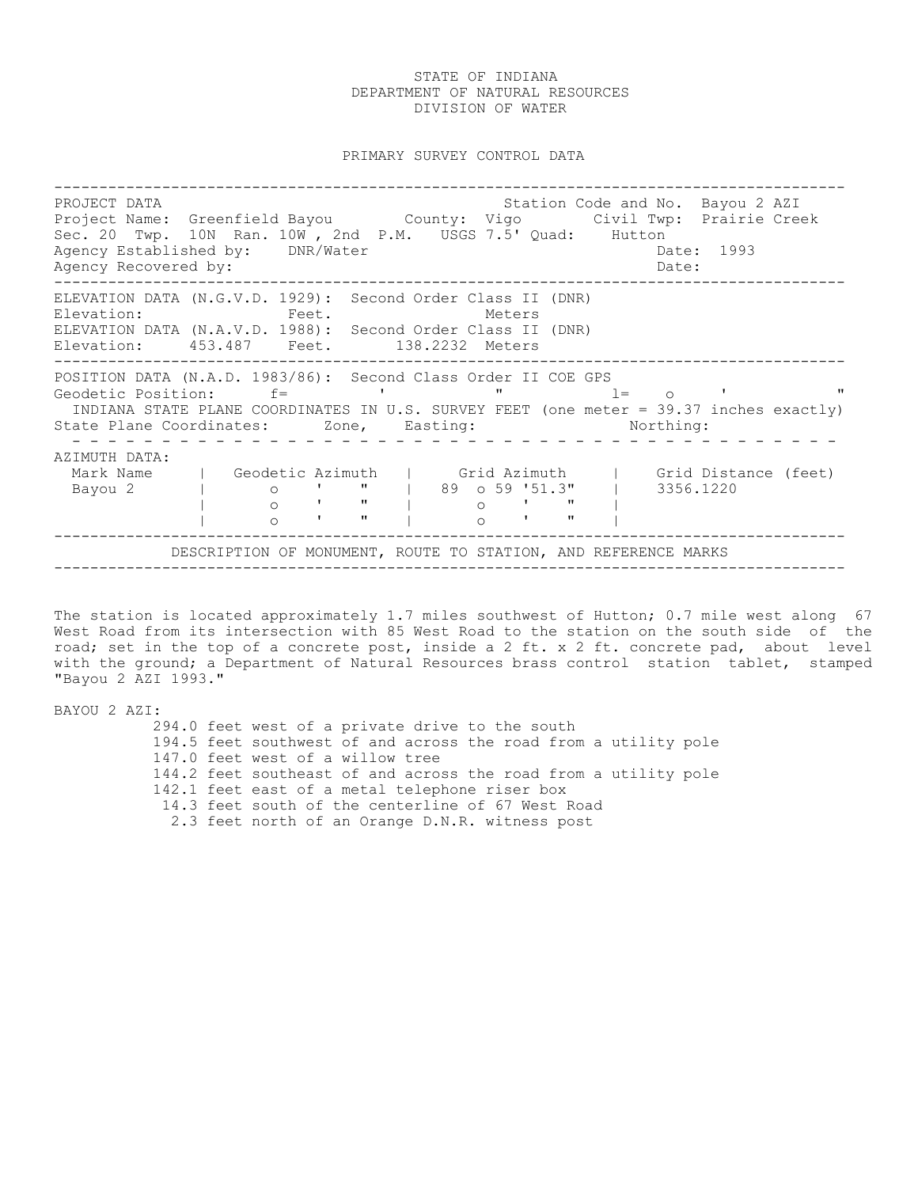PRIMARY SURVEY CONTROL DATA

---------------------------------------------------------------------------------------- PROJECT DATA STATION COLLECT DATA STATION COLLECT DATA STATION COLLECT DATA STATION STATION OF STATION OF STATI Project Name: Greenfield Bayou County: Vigo Civil Twp: Prairie Creek Sec. 20 Twp. 10N Ran. 10W , 2nd P.M. USGS 7.5' Quad: Hutton Agency Established by: DNR/Water Case Communication of the Date: 1993 Agency Recovered by: Date: ---------------------------------------------------------------------------------------- ELEVATION DATA (N.G.V.D. 1929): Second Order Class II (DNR) Elevation: Feet. Feet. Meters ELEVATION DATA (N.A.V.D. 1988): Second Order Class II (DNR) Elevation: 453.487 Feet. 138.2232 Meters ---------------------------------------------------------------------------------------- POSITION DATA (N.A.D. 1983/86): Second Class Order II COE GPS<br>Geodetic Position: f= ' " " 1= 0 ' Geodetic Position:  $f=$  ' ' "  $l=$  o ' " INDIANA STATE PLANE COORDINATES IN U.S. SURVEY FEET (one meter = 39.37 inches exactly) State Plane Coordinates: Zone, Easting: Northing: - - - - - - - - - - - - - - - - - - - - - - - - - - - - - - - - - - - - - - - - - - - AZIMUTH DATA: Mark Name | Geodetic Azimuth | Grid Azimuth | Grid Distance (feet) Bayou 2 | o ' " | 89 o 59 '51.3" | 3356.1220 | o ' " | o ' " | | o ' " | o ' " | ---------------------------------------------------------------------------------------- DESCRIPTION OF MONUMENT, ROUTE TO STATION, AND REFERENCE MARKS ----------------------------------------------------------------------------------------

The station is located approximately 1.7 miles southwest of Hutton; 0.7 mile west along 67 West Road from its intersection with 85 West Road to the station on the south side of the road; set in the top of a concrete post, inside a 2 ft. x 2 ft. concrete pad, about level with the ground; a Department of Natural Resources brass control station tablet, stamped "Bayou 2 AZI 1993."

BAYOU 2 AZI: 294.0 feet west of a private drive to the south 194.5 feet southwest of and across the road from a utility pole 147.0 feet west of a willow tree 144.2 feet southeast of and across the road from a utility pole 142.1 feet east of a metal telephone riser box 14.3 feet south of the centerline of 67 West Road 2.3 feet north of an Orange D.N.R. witness post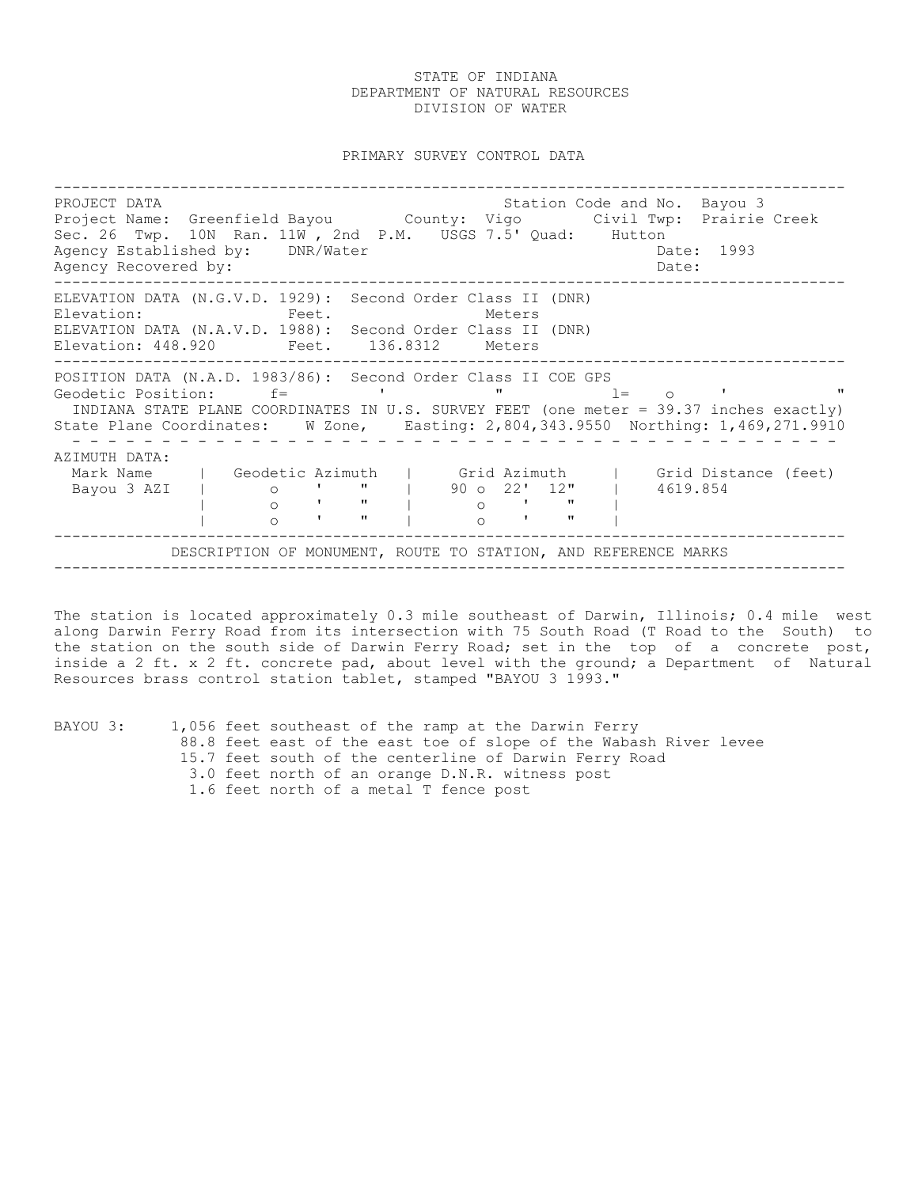PRIMARY SURVEY CONTROL DATA

---------------------------------------------------------------------------------------- PROJECT DATA Station Code and No. Bayou 3 Project Name: Greenfield Bayou County: Vigo Civil Twp: Prairie Creek Sec. 26 Twp. 10N Ran. 11W , 2nd P.M. USGS 7.5' Quad: Hutton Agency Established by: DNR/Water Case Controller Date: 1993 Agency Recovered by:  $\Box$ ---------------------------------------------------------------------------------------- ELEVATION DATA (N.G.V.D. 1929): Second Order Class II (DNR) Elevation: Feet. Feet. Meters ELEVATION DATA (N.A.V.D. 1988): Second Order Class II (DNR) Elevation: 448.920 Feet. 136.8312 Meters ---------------------------------------------------------------------------------------- POSITION DATA (N.A.D. 1983/86): Second Order Class II COE GPS<br>Geodetic Position: f= ' ' " 1= Geodetic Position:  $f=$  ' "  $l=$  o ' " INDIANA STATE PLANE COORDINATES IN U.S. SURVEY FEET (one meter = 39.37 inches exactly) State Plane Coordinates: W Zone, Easting: 2,804,343.9550 Northing: 1,469,271.9910 - - - - - - - - - - - - - - - - - - - - - - - - - - - - - - - - - - - - - - - - - - - AZIMUTH DATA: Mark Name | Geodetic Azimuth | Grid Azimuth | Grid Distance (feet) Bayou 3 AZI | o ' " | 90 o 22' 12" | 4619.854 | o ' " | o ' " | | o ' " | o ' " | ---------------------------------------------------------------------------------------- DESCRIPTION OF MONUMENT, ROUTE TO STATION, AND REFERENCE MARKS ----------------------------------------------------------------------------------------

The station is located approximately 0.3 mile southeast of Darwin, Illinois; 0.4 mile west along Darwin Ferry Road from its intersection with 75 South Road (T Road to the South) to the station on the south side of Darwin Ferry Road; set in the top of a concrete post, inside a 2 ft. x 2 ft. concrete pad, about level with the ground; a Department of Natural Resources brass control station tablet, stamped "BAYOU 3 1993."

| BAYOU 3: |  | 1,056 feet southeast of the ramp at the Darwin Ferry              |
|----------|--|-------------------------------------------------------------------|
|          |  | 88.8 feet east of the east toe of slope of the Wabash River levee |
|          |  | 15.7 feet south of the centerline of Darwin Ferry Road            |
|          |  | 3.0 feet north of an orange D.N.R. witness post                   |
|          |  | 1.6 feet north of a metal T fence post                            |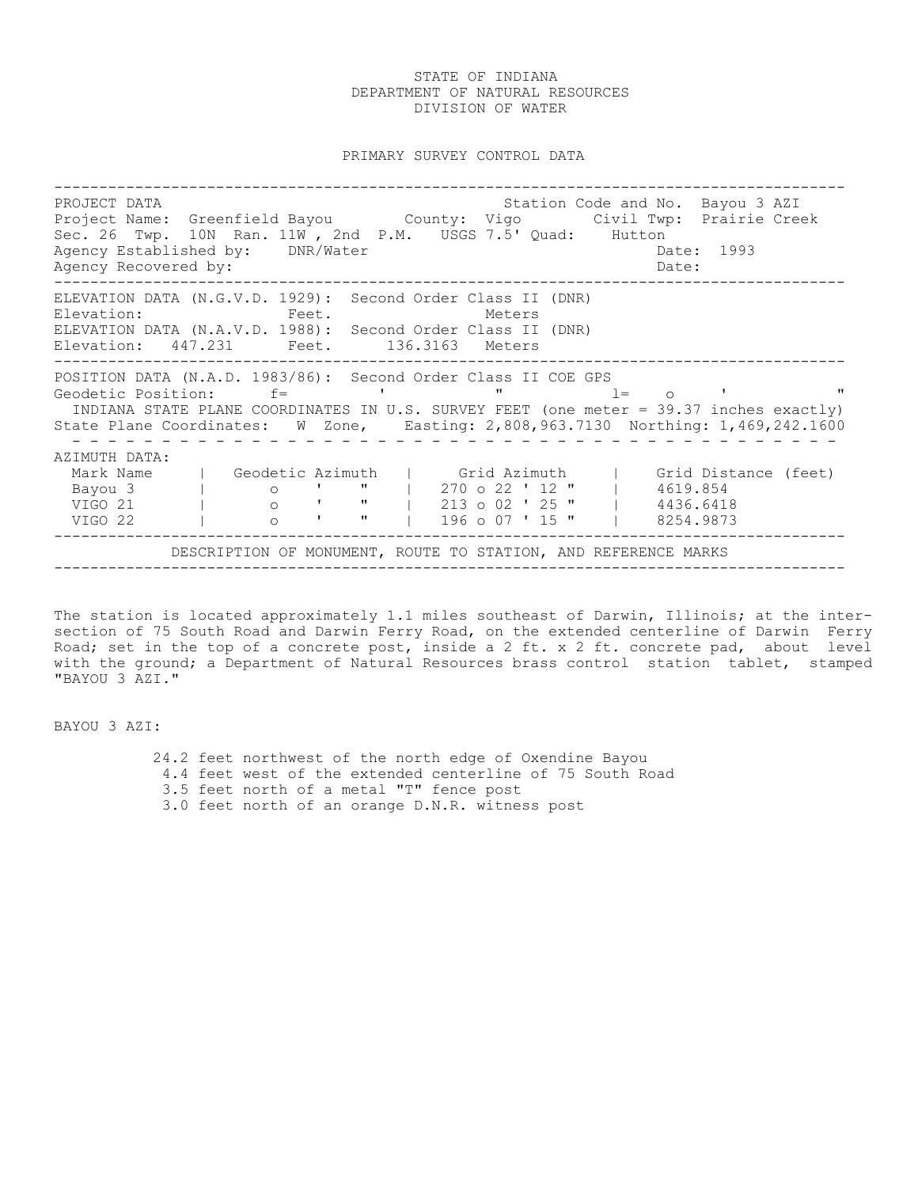PRIMARY SURVEY CONTROL DATA

---------------------------------------------------------------------------------------- PROJECT DATA Station Code and No. Bayou 3 AZI Project Name: Greenfield Bayou County: Vigo Civil Twp: Prairie Creek Sec. 26 Twp. 10N Ran. 11W , 2nd P.M. USGS 7.5' Quad: Hutton Agency Established by: DNR/Water Case Communication of the Date: 1993 Agency Recovered by: Date: ---------------------------------------------------------------------------------------- ELEVATION DATA (N.G.V.D. 1929): Second Order Class II (DNR) Elevation: Feet. Feet. Meters ELEVATION DATA (N.A.V.D. 1988): Second Order Class II (DNR) Elevation: 447.231 Feet. 136.3163 Meters ---------------------------------------------------------------------------------------- POSITION DATA (N.A.D. 1983/86): Second Order Class II COE GPS Geodetic Position:  $f=$  ' ' "  $l=$  o ' INDIANA STATE PLANE COORDINATES IN U.S. SURVEY FEET (one meter = 39.37 inches exactly) State Plane Coordinates: W Zone, Easting: 2,808,963.7130 Northing: 1,469,242.1600 - - - - - - - - - - - - - - - - - - - - - - - - - - - - - - - - - - - - - - - - - - - AZIMUTH DATA: Mark Name | Geodetic Azimuth | Grid Azimuth | Grid Distance (feet)<br>Bayou 3 | 0 ' " | 270 o 22 ' 12 " | 4619.854<br>" | 213 o 02 ' 25 " | 4436.6418 Bayou 3 | o ' " | 270 o 22 ' 12 " | 4619.854 VIGO 21 | o ' " | 213 o 02 ' 25 " | 4436.6418 VIGO 22 | o ' " | 196 o 07 ' 15 " | 8254.9873 ---------------------------------------------------------------------------------------- DESCRIPTION OF MONUMENT, ROUTE TO STATION, AND REFERENCE MARKS ----------------------------------------------------------------------------------------

The station is located approximately 1.1 miles southeast of Darwin, Illinois; at the intersection of 75 South Road and Darwin Ferry Road, on the extended centerline of Darwin Ferry Road; set in the top of a concrete post, inside a  $2$  ft.  $x$   $2$  ft. concrete pad, about level with the ground; a Department of Natural Resources brass control station tablet, stamped "BAYOU 3 AZI."

BAYOU 3 AZI:

 24.2 feet northwest of the north edge of Oxendine Bayou 4.4 feet west of the extended centerline of 75 South Road 3.5 feet north of a metal "T" fence post 3.0 feet north of an orange D.N.R. witness post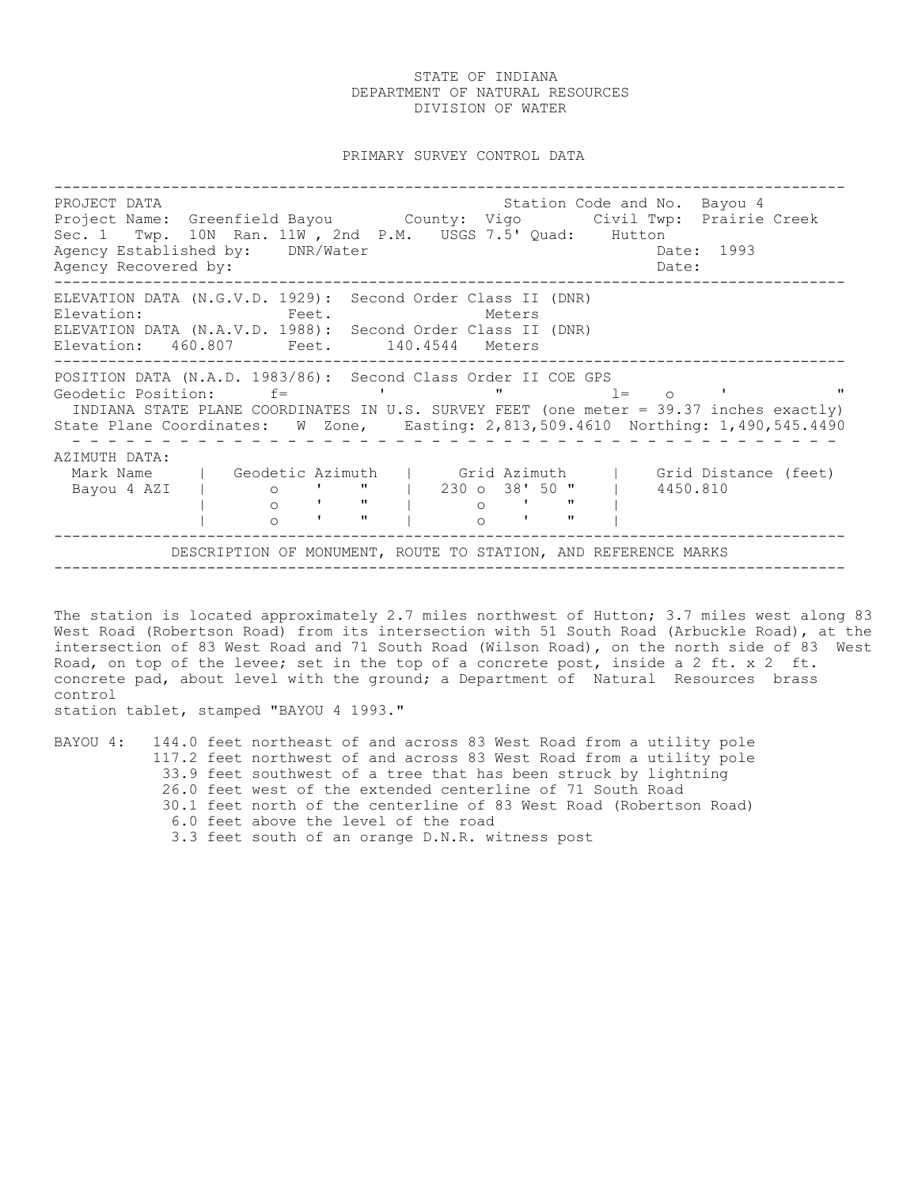PRIMARY SURVEY CONTROL DATA

---------------------------------------------------------------------------------------- PROJECT DATA **Station Code and No. Bayou 4** Project Name: Greenfield Bayou County: Vigo Civil Twp: Prairie Creek Sec. 1 Twp. 10N Ran. 11W , 2nd P.M. USGS 7.5' Quad: Hutton Agency Established by: DNR/Water Case Controller Date: 1993 Agency Recovered by:  $\Box$ ---------------------------------------------------------------------------------------- ELEVATION DATA (N.G.V.D. 1929): Second Order Class II (DNR) Elevation: Feet. Feet. Meters ELEVATION DATA (N.A.V.D. 1988): Second Order Class II (DNR) Elevation: 460.807 Feet. 140.4544 Meters ---------------------------------------------------------------------------------------- POSITION DATA (N.A.D. 1983/86): Second Class Order II COE GPS Geodetic Position: f= ' " l= o ' " INDIANA STATE PLANE COORDINATES IN U.S. SURVEY FEET (one meter = 39.37 inches exactly) State Plane Coordinates: W Zone, Easting: 2,813,509.4610 Northing: 1,490,545.4490 - - - - - - - - - - - - - - - - - - - - - - - - - - - - - - - - - - - - - - - - - - - AZIMUTH DATA: Mark Name | Geodetic Azimuth | Grid Azimuth | Grid Distance (feet)<br>Bayou 4 AZI | 0 ' " | 230 o 38' 50 " | 4450.810 | Grid Azimuth | Grid Dis<br>| 230 o 38' 50 " | 4450.810<br>| 0 ' " |<br>--- | o ' " | o ' " | | o ' " | o ' " | ---------------------------------------------------------------------------------------- DESCRIPTION OF MONUMENT, ROUTE TO STATION, AND REFERENCE MARKS ----------------------------------------------------------------------------------------

The station is located approximately 2.7 miles northwest of Hutton; 3.7 miles west along 83 West Road (Robertson Road) from its intersection with 51 South Road (Arbuckle Road), at the intersection of 83 West Road and 71 South Road (Wilson Road), on the north side of 83 West Road, on top of the levee; set in the top of a concrete post, inside a 2 ft. x 2 ft. concrete pad, about level with the ground; a Department of Natural Resources brass control

station tablet, stamped "BAYOU 4 1993."

|  |  | BAYOU 4: 144.0 feet northeast of and across 83 West Road from a utility pole |
|--|--|------------------------------------------------------------------------------|
|  |  | 117.2 feet northwest of and across 83 West Road from a utility pole          |
|  |  | 33.9 feet southwest of a tree that has been struck by lightning              |
|  |  | 26.0 feet west of the extended centerline of 71 South Road                   |
|  |  | 30.1 feet north of the centerline of 83 West Road (Robertson Road)           |
|  |  | 6.0 feet above the level of the road                                         |
|  |  | 3.3 feet south of an orange D.N.R. witness post                              |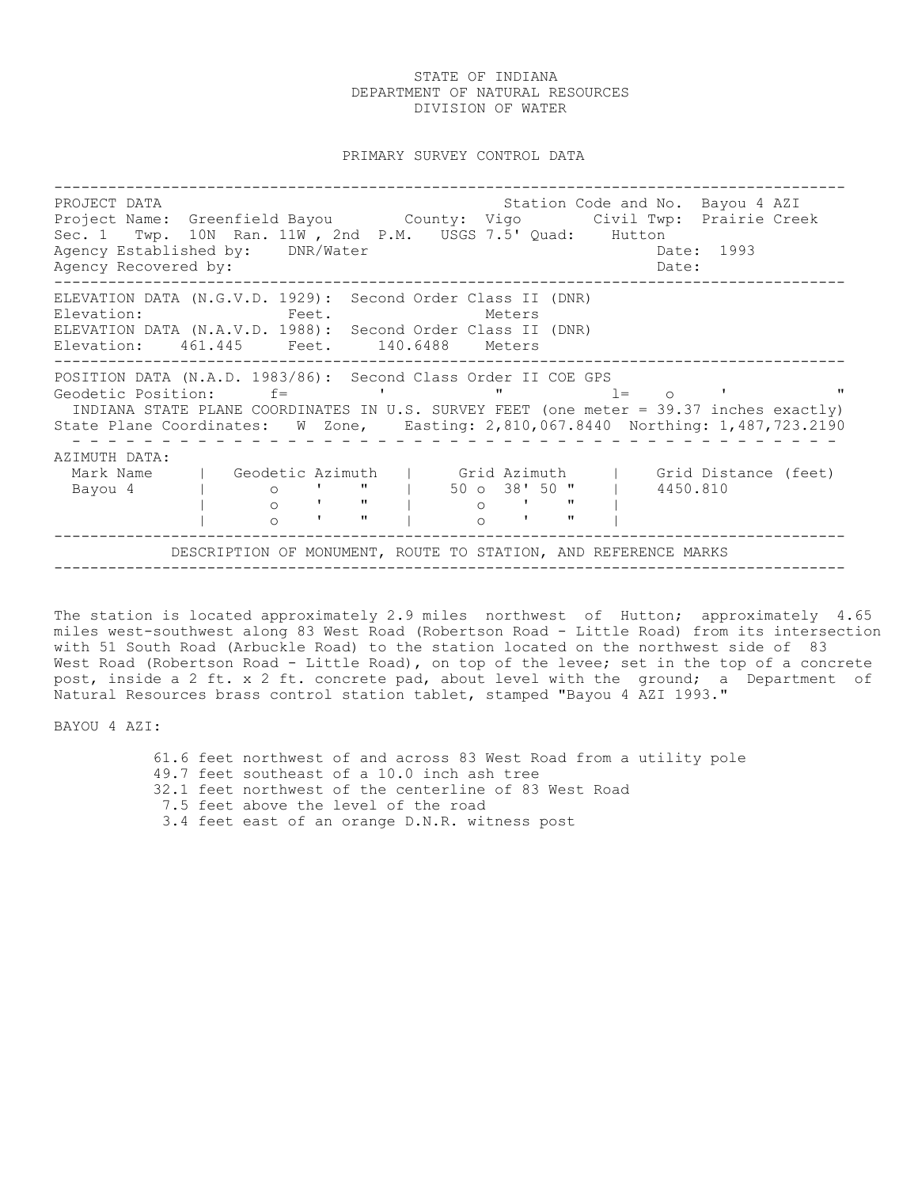PRIMARY SURVEY CONTROL DATA

---------------------------------------------------------------------------------------- PROJECT DATA STATION COLLECT DATA STATION COLLECT DATA STATION STATION CODE AND STATION OF A PART Project Name: Greenfield Bayou County: Vigo Civil Twp: Prairie Creek Sec. 1 Twp. 10N Ran. 11W , 2nd P.M. USGS 7.5' Quad: Hutton Agency Established by: DNR/Water Case Communication of the Date: 1993 Agency Recovered by: Date: ---------------------------------------------------------------------------------------- ELEVATION DATA (N.G.V.D. 1929): Second Order Class II (DNR) Elevation: Feet. Feet. Meters ELEVATION DATA (N.A.V.D. 1988): Second Order Class II (DNR) Elevation: 461.445 Feet. 140.6488 Meters ---------------------------------------------------------------------------------------- POSITION DATA (N.A.D. 1983/86): Second Class Order II COE GPS Geodetic Position:  $f=$  ' ' "  $l=$  o ' INDIANA STATE PLANE COORDINATES IN U.S. SURVEY FEET (one meter = 39.37 inches exactly) State Plane Coordinates: W Zone, Easting: 2,810,067.8440 Northing: 1,487,723.2190 - - - - - - - - - - - - - - - - - - - - - - - - - - - - - - - - - - - - - - - - - - - AZIMUTH DATA: Mark Name | Geodetic Azimuth | Grid Azimuth | Grid Distance (feet) Bayou 4 | o ' " | 50 o 38' 50 " | 4450.810 | o ' " | o ' " | | o ' " | o ' " | ---------------------------------------------------------------------------------------- DESCRIPTION OF MONUMENT, ROUTE TO STATION, AND REFERENCE MARKS ----------------------------------------------------------------------------------------

The station is located approximately 2.9 miles northwest of Hutton; approximately 4.65 miles west-southwest along 83 West Road (Robertson Road - Little Road) from its intersection with 51 South Road (Arbuckle Road) to the station located on the northwest side of 83 West Road (Robertson Road - Little Road), on top of the levee; set in the top of a concrete post, inside a 2 ft. x 2 ft. concrete pad, about level with the ground; a Department of Natural Resources brass control station tablet, stamped "Bayou 4 AZI 1993."

BAYOU 4 AZI:

 61.6 feet northwest of and across 83 West Road from a utility pole 49.7 feet southeast of a 10.0 inch ash tree 32.1 feet northwest of the centerline of 83 West Road 7.5 feet above the level of the road 3.4 feet east of an orange D.N.R. witness post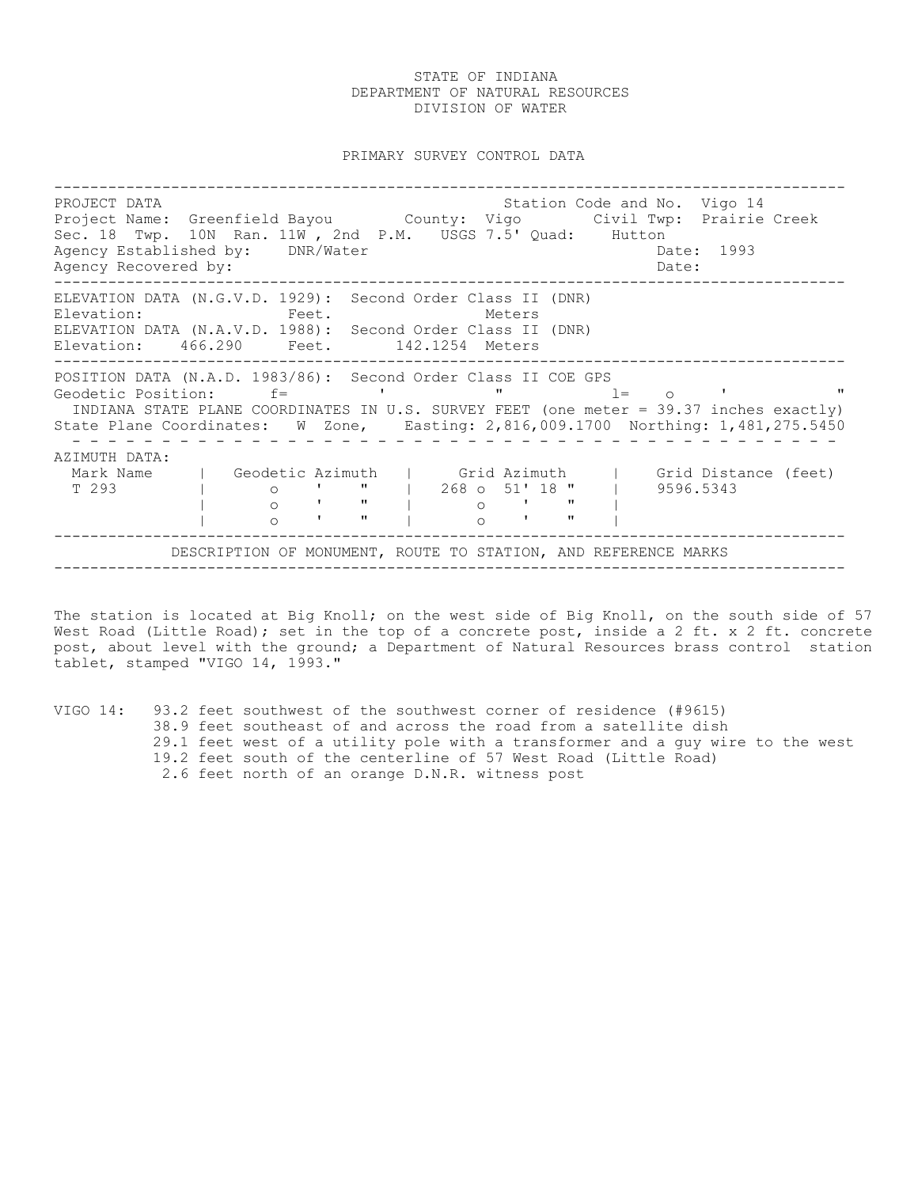PRIMARY SURVEY CONTROL DATA

---------------------------------------------------------------------------------------- PROJECT DATA Station Code and No. Vigo 14 Project Name: Greenfield Bayou County: Vigo Civil Twp: Prairie Creek Sec. 18 Twp. 10N Ran. 11W , 2nd P.M. USGS 7.5' Quad: Hutton Agency Established by: DNR/Water Case Controller Date: 1993 Agency Recovered by:  $\Box$ ---------------------------------------------------------------------------------------- ELEVATION DATA (N.G.V.D. 1929): Second Order Class II (DNR) Elevation: Feet. Feet. Meters ELEVATION DATA (N.A.V.D. 1988): Second Order Class II (DNR) Elevation: 466.290 Feet. 142.1254 Meters ---------------------------------------------------------------------------------------- POSITION DATA (N.A.D. 1983/86): Second Order Class II COE GPS Geodetic Position: f= ' " l= o ' " INDIANA STATE PLANE COORDINATES IN U.S. SURVEY FEET (one meter = 39.37 inches exactly) State Plane Coordinates: W Zone, Easting: 2,816,009.1700 Northing: 1,481,275.5450 - - - - - - - - - - - - - - - - - - - - - - - - - - - - - - - - - - - - - - - - - - - AZIMUTH DATA: Mark Name | Geodetic Azimuth | Grid Azimuth | Grid Distance (feet) Mark Name | Geodetic Azimuth | Grid Azimuth | Grid Distance | O ' " | 268 o 51' 18 " | 9596.5343<br>| o ' " | 0 ' " | 9596.5343<br>| o ' " | o ' " | | o ' " | o ' " | | o ' " | o ' " | ---------------------------------------------------------------------------------------- DESCRIPTION OF MONUMENT, ROUTE TO STATION, AND REFERENCE MARKS ----------------------------------------------------------------------------------------

The station is located at Big Knoll; on the west side of Big Knoll, on the south side of 57 West Road (Little Road); set in the top of a concrete post, inside a 2 ft. x 2 ft. concrete post, about level with the ground; a Department of Natural Resources brass control station tablet, stamped "VIGO 14, 1993."

VIGO 14: 93.2 feet southwest of the southwest corner of residence (#9615) 38.9 feet southeast of and across the road from a satellite dish 29.1 feet west of a utility pole with a transformer and a guy wire to the west 19.2 feet south of the centerline of 57 West Road (Little Road) 2.6 feet north of an orange D.N.R. witness post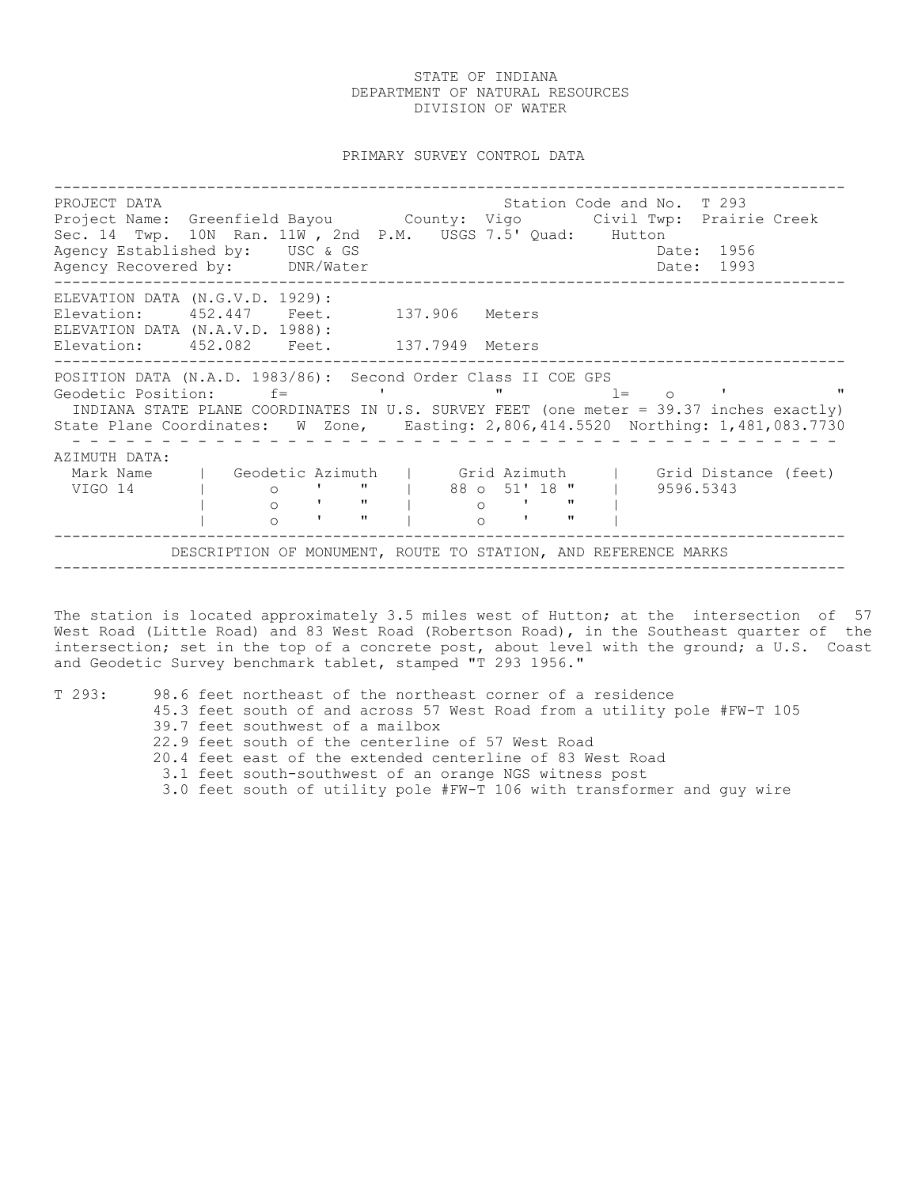#### PRIMARY SURVEY CONTROL DATA

---------------------------------------------------------------------------------------- PROJECT DATA **Station Code and No. T** 293 Project Name: Greenfield Bayou County: Vigo Civil Twp: Prairie Creek Sec. 14 Twp. 10N Ran. 11W, 2nd P.M. USGS 7.5' Quad: Hutton<br>Agency Established by: USC & GS Agency Established by: USC & GS Date: 1956 Agency Recovered by: DNR/Water Date: 1993 ---------------------------------------------------------------------------------------- ELEVATION DATA (N.G.V.D. 1929): Elevation: 452.447 Feet. 137.906 Meters ELEVATION DATA (N.A.V.D. 1988): Elevation: 452.082 Feet. 137.7949 Meters ---------------------------------------------------------------------------------------- POSITION DATA (N.A.D. 1983/86): Second Order Class II COE GPS<br>Geodetic Position: f= ' ' " 1= Geodetic Position:  $f=$  ' "  $l=$  o ' " INDIANA STATE PLANE COORDINATES IN U.S. SURVEY FEET (one meter = 39.37 inches exactly) State Plane Coordinates: W Zone, Easting: 2,806,414.5520 Northing: 1,481,083.7730 - - - - - - - - - - - - - - - - - - - - - - - - - - - - - - - - - - - - - - - - - - - AZIMUTH DATA: Mark Name | Geodetic Azimuth | Grid Azimuth | Grid Distance (feet) VIGO 14 | o ' " | 88 o 51' 18 " | 9596.5343 | o ' " | o ' " | | o ' " | o ' " | ---------------------------------------------------------------------------------------- DESCRIPTION OF MONUMENT, ROUTE TO STATION, AND REFERENCE MARKS ----------------------------------------------------------------------------------------

The station is located approximately 3.5 miles west of Hutton; at the intersection of 57 West Road (Little Road) and 83 West Road (Robertson Road), in the Southeast quarter of the intersection; set in the top of a concrete post, about level with the ground; a U.S. Coast and Geodetic Survey benchmark tablet, stamped "T 293 1956."

| T293: |  | 98.6 feet northeast of the northeast corner of a residence               |
|-------|--|--------------------------------------------------------------------------|
|       |  | 45.3 feet south of and across 57 West Road from a utility pole #FW-T 105 |
|       |  | 39.7 feet southwest of a mailbox                                         |
|       |  | 22.9 feet south of the centerline of 57 West Road                        |
|       |  | 20.4 feet east of the extended centerline of 83 West Road                |
|       |  | 3.1 feet south-southwest of an orange NGS witness post                   |
|       |  | 3.0 feet south of utility pole #FW-T 106 with transformer and guy wire   |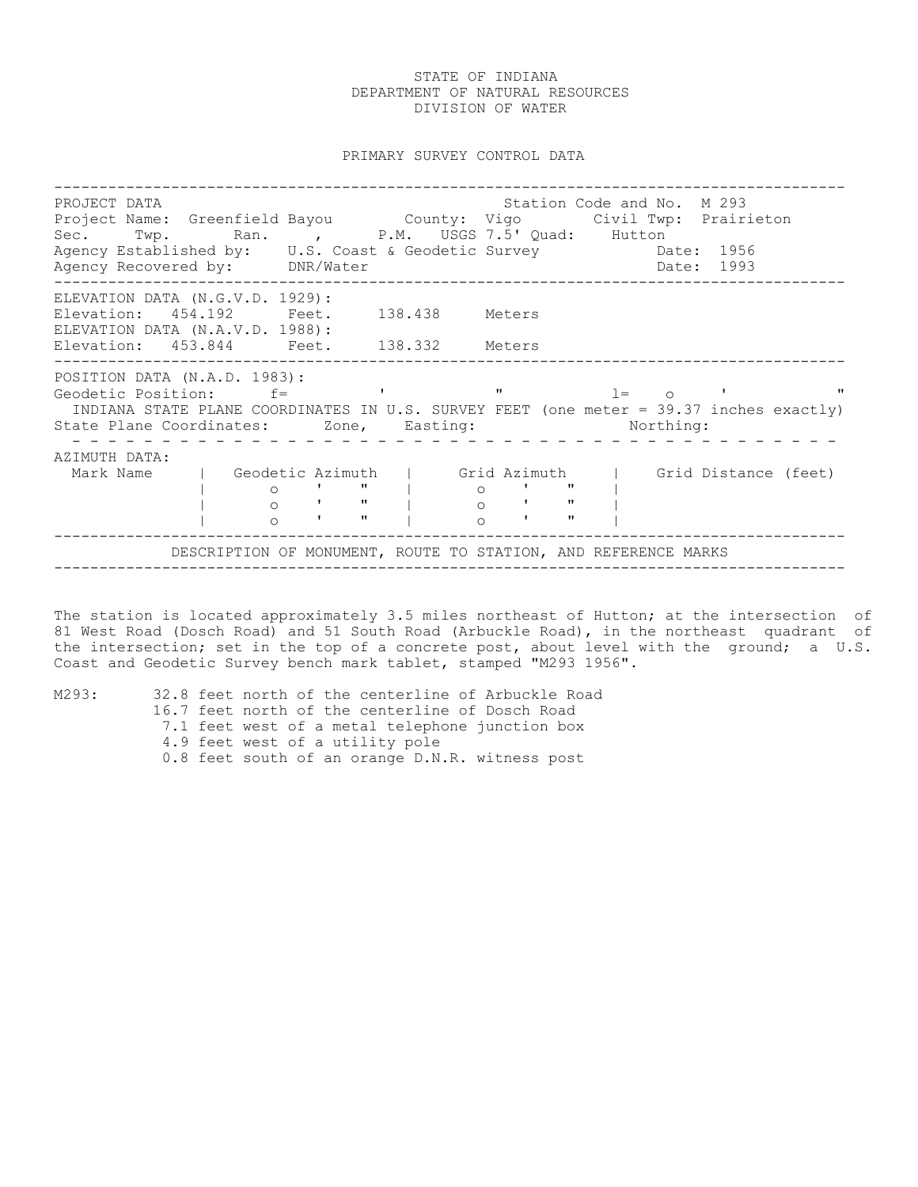PRIMARY SURVEY CONTROL DATA

---------------------------------------------------------------------------------------- PROJECT DATA<br>Project Name: Greenfield Bayou County: Vigo Civil Twp: Prairieton Project Name: Greenfield Bayou County: Vigo Civil Twp: Prairieton Sec. Twp. Ran. , P.M. USGS 7.5' Quad: Hutton Agency Established by: U.S. Coast & Geodetic Survey Date: 1956 Agency Recovered by: DNR/Water Date: 1993 ---------------------------------------------------------------------------------------- ELEVATION DATA (N.G.V.D. 1929): Elevation: 454.192 Feet. 138.438 Meters ELEVATION DATA (N.A.V.D. 1988): Elevation: 453.844 Feet. 138.332 Meters ---------------------------------------------------------------------------------------- POSITION DATA (N.A.D. 1983): Geodetic Position: f= ' " l= o ' " INDIANA STATE PLANE COORDINATES IN U.S. SURVEY FEET (one meter = 39.37 inches exactly) State Plane Coordinates: Zone, Easting: Northing: - - - - - - - - - - - - - - - - - - - - - - - - - - - - - - - - - - - - - - - - - - - AZIMUTH DATA: Mark Name | Geodetic Azimuth | Grid Azimuth | Grid Distance (feet) | o ' " | o ' " | | o ' " | o ' " | | o ' " | o ' " | ---------------------------------------------------------------------------------------- DESCRIPTION OF MONUMENT, ROUTE TO STATION, AND REFERENCE MARKS ----------------------------------------------------------------------------------------

The station is located approximately 3.5 miles northeast of Hutton; at the intersection of 81 West Road (Dosch Road) and 51 South Road (Arbuckle Road), in the northeast quadrant of the intersection; set in the top of a concrete post, about level with the ground; a U.S. Coast and Geodetic Survey bench mark tablet, stamped "M293 1956".

M293: 32.8 feet north of the centerline of Arbuckle Road 16.7 feet north of the centerline of Dosch Road 7.1 feet west of a metal telephone junction box 4.9 feet west of a utility pole 0.8 feet south of an orange D.N.R. witness post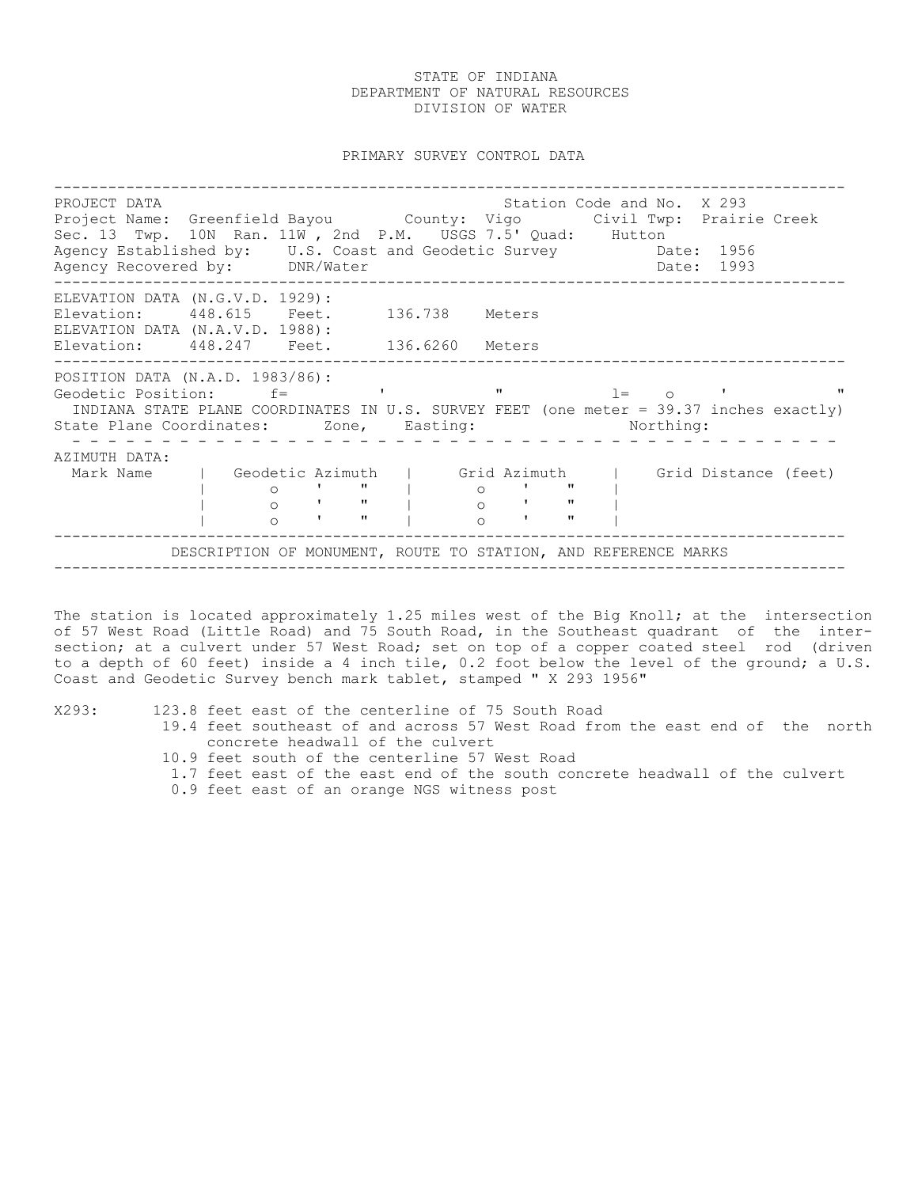PRIMARY SURVEY CONTROL DATA

---------------------------------------------------------------------------------------- PROJECT DATA Station Code and No. X 293 Project Name: Greenfield Bayou County: Vigo Civil Twp: Prairie Creek Sec. 13 Twp. 10N Ran. 11W, 2nd P.M. USGS 7.5' Quad: Hutton<br>Agency Established by: U.S. Coast and Geodetic Survey Date: 1956 Agency Established by: U.S. Coast and Geodetic Survey Date: 1956 Agency Recovered by: DNR/Water Date: 1993 ---------------------------------------------------------------------------------------- ELEVATION DATA (N.G.V.D. 1929): Elevation: 448.615 Feet. 136.738 Meters ELEVATION DATA (N.A.V.D. 1988): Elevation: 448.247 Feet. 136.6260 Meters ---------------------------------------------------------------------------------------- POSITION DATA (N.A.D. 1983/86): Geodetic Position: f= ' " l= o ' " INDIANA STATE PLANE COORDINATES IN U.S. SURVEY FEET (one meter = 39.37 inches exactly) State Plane Coordinates: Zone, Easting: Northing: - - - - - - - - - - - - - - - - - - - - - - - - - - - - - - - - - - - - - - - - - - - AZIMUTH DATA: Mark Name | Geodetic Azimuth | Grid Azimuth | Grid Distance (feet) | o ' " | o ' " | | o ' " | o ' " | | 0 | " | 0 | " |<br>| 0 | " | 0 | " |<br>| 0 | " | 0 | " | ---------------------------------------------------------------------------------------- DESCRIPTION OF MONUMENT, ROUTE TO STATION, AND REFERENCE MARKS ----------------------------------------------------------------------------------------

The station is located approximately 1.25 miles west of the Big Knoll; at the intersection of 57 West Road (Little Road) and 75 South Road, in the Southeast quadrant of the intersection; at a culvert under 57 West Road; set on top of a copper coated steel rod (driven to a depth of 60 feet) inside a 4 inch tile, 0.2 foot below the level of the ground; a U.S. Coast and Geodetic Survey bench mark tablet, stamped " X 293 1956"

X293: 123.8 feet east of the centerline of 75 South Road

- 19.4 feet southeast of and across 57 West Road from the east end of the north concrete headwall of the culvert
	- 10.9 feet south of the centerline 57 West Road
	- 1.7 feet east of the east end of the south concrete headwall of the culvert
	- 0.9 feet east of an orange NGS witness post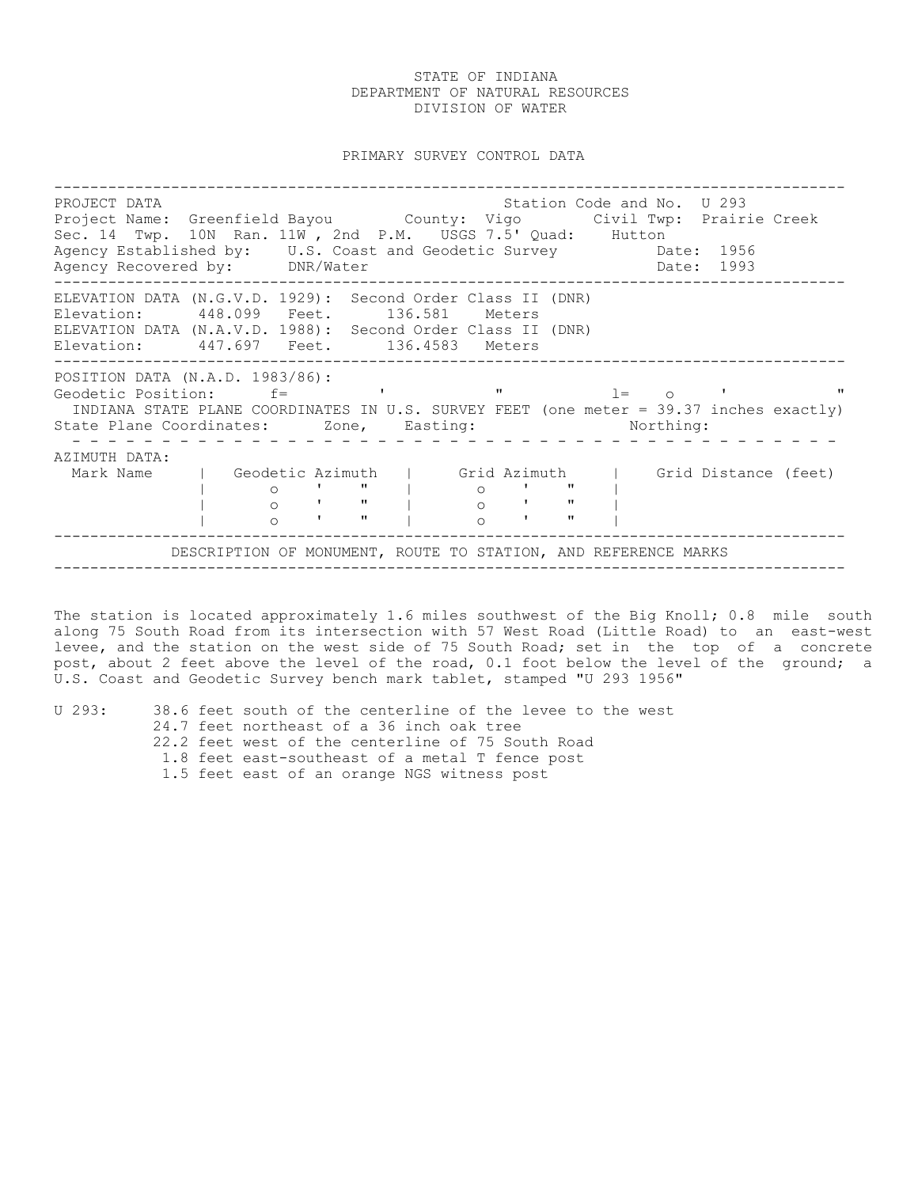PRIMARY SURVEY CONTROL DATA

---------------------------------------------------------------------------------------- PROJECT DATA **Station Code and No. U** 293 Project Name: Greenfield Bayou County: Vigo Civil Twp: Prairie Creek Sec. 14 Twp. 10N Ran. 11W, 2nd P.M. USGS 7.5' Quad: Hutton<br>Agency Established by: U.S. Coast and Geodetic Survey Date: 1956 Agency Established by: U.S. Coast and Geodetic Survey Date: 1956 Agency Recovered by: DNR/Water Date: 1993 ---------------------------------------------------------------------------------------- ELEVATION DATA (N.G.V.D. 1929): Second Order Class II (DNR) Elevation: 448.099 Feet. 136.581 Meters ELEVATION DATA (N.A.V.D. 1988): Second Order Class II (DNR) Elevation: 447.697 Feet. 136.4583 Meters ---------------------------------------------------------------------------------------- -------------<br>POSITION DATA (N.A.D. 1983/86): Geodetic Position:  $f =$  ' ' "  $l = 0$  ' " INDIANA STATE PLANE COORDINATES IN U.S. SURVEY FEET (one meter = 39.37 inches exactly) State Plane Coordinates: Zone, Easting: Northing: - - - - - - - - - - - - - - - - - - - - - - - - - - - - - - - - - - - - - - - - - - - AZIMUTH DATA: Mark Name | Geodetic Azimuth | Grid Azimuth | Grid Distance (feet) | o ' " | o ' " | | o ' " | o ' " | | 0 | " | 0 | " |<br>| 0 | " | 0 | " |<br>| 0 | " | 0 | " | ---------------------------------------------------------------------------------------- DESCRIPTION OF MONUMENT, ROUTE TO STATION, AND REFERENCE MARKS ----------------------------------------------------------------------------------------

The station is located approximately 1.6 miles southwest of the Big Knoll; 0.8 mile south along 75 South Road from its intersection with 57 West Road (Little Road) to an east-west levee, and the station on the west side of 75 South Road; set in the top of a concrete post, about 2 feet above the level of the road, 0.1 foot below the level of the ground; a U.S. Coast and Geodetic Survey bench mark tablet, stamped "U 293 1956"

U 293: 38.6 feet south of the centerline of the levee to the west

- 24.7 feet northeast of a 36 inch oak tree
- 22.2 feet west of the centerline of 75 South Road
- 1.8 feet east-southeast of a metal T fence post

1.5 feet east of an orange NGS witness post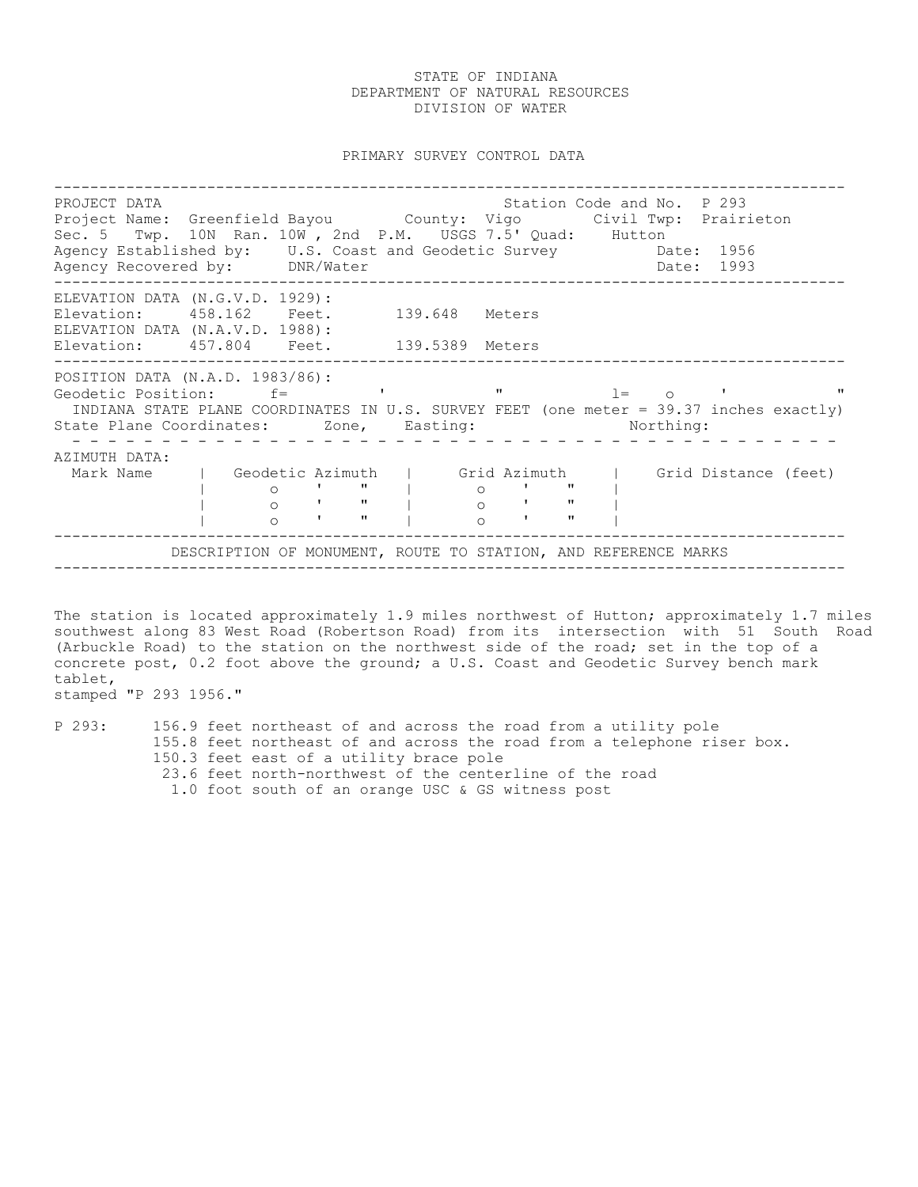PRIMARY SURVEY CONTROL DATA

---------------------------------------------------------------------------------------- PROJECT DATA STATION COLLECT DATA STATION CODE AND STATION CODE AND PASSAGE POSSESS. Project Name: Greenfield Bayou County: Vigo Civil Twp: Prairieton Sec. 5 Twp. 10N Ran. 10W, 2nd P.M. USGS 7.5' Quad: Hutton<br>Agency Established by: U.S. Coast and Geodetic Survey Date: 1956 Agency Established by: U.S. Coast and Geodetic Survey Date: 1956 Agency Recovered by: DNR/Water Date: 1993 ---------------------------------------------------------------------------------------- ELEVATION DATA (N.G.V.D. 1929): Elevation: 458.162 Feet. 139.648 Meters ELEVATION DATA (N.A.V.D. 1988): Elevation: 457.804 Feet. 139.5389 Meters ---------------------------------------------------------------------------------------- POSITION DATA (N.A.D. 1983/86): Geodetic Position: f= ' " l= o ' " INDIANA STATE PLANE COORDINATES IN U.S. SURVEY FEET (one meter = 39.37 inches exactly) State Plane Coordinates: Zone, Easting: Northing: - - - - - - - - - - - - - - - - - - - - - - - - - - - - - - - - - - - - - - - - - - - AZIMUTH DATA: Mark Name | Geodetic Azimuth | Grid Azimuth | Grid Distance (feet) | o ' " | o ' " | | o ' " | o ' " | | o ' " | o ' " | ---------------------------------------------------------------------------------------- DESCRIPTION OF MONUMENT, ROUTE TO STATION, AND REFERENCE MARKS ----------------------------------------------------------------------------------------

The station is located approximately 1.9 miles northwest of Hutton; approximately 1.7 miles southwest along 83 West Road (Robertson Road) from its intersection with 51 South Road (Arbuckle Road) to the station on the northwest side of the road; set in the top of a concrete post, 0.2 foot above the ground; a U.S. Coast and Geodetic Survey bench mark tablet,

stamped "P 293 1956."

P 293: 156.9 feet northeast of and across the road from a utility pole 155.8 feet northeast of and across the road from a telephone riser box. 150.3 feet east of a utility brace pole 23.6 feet north-northwest of the centerline of the road 1.0 foot south of an orange USC & GS witness post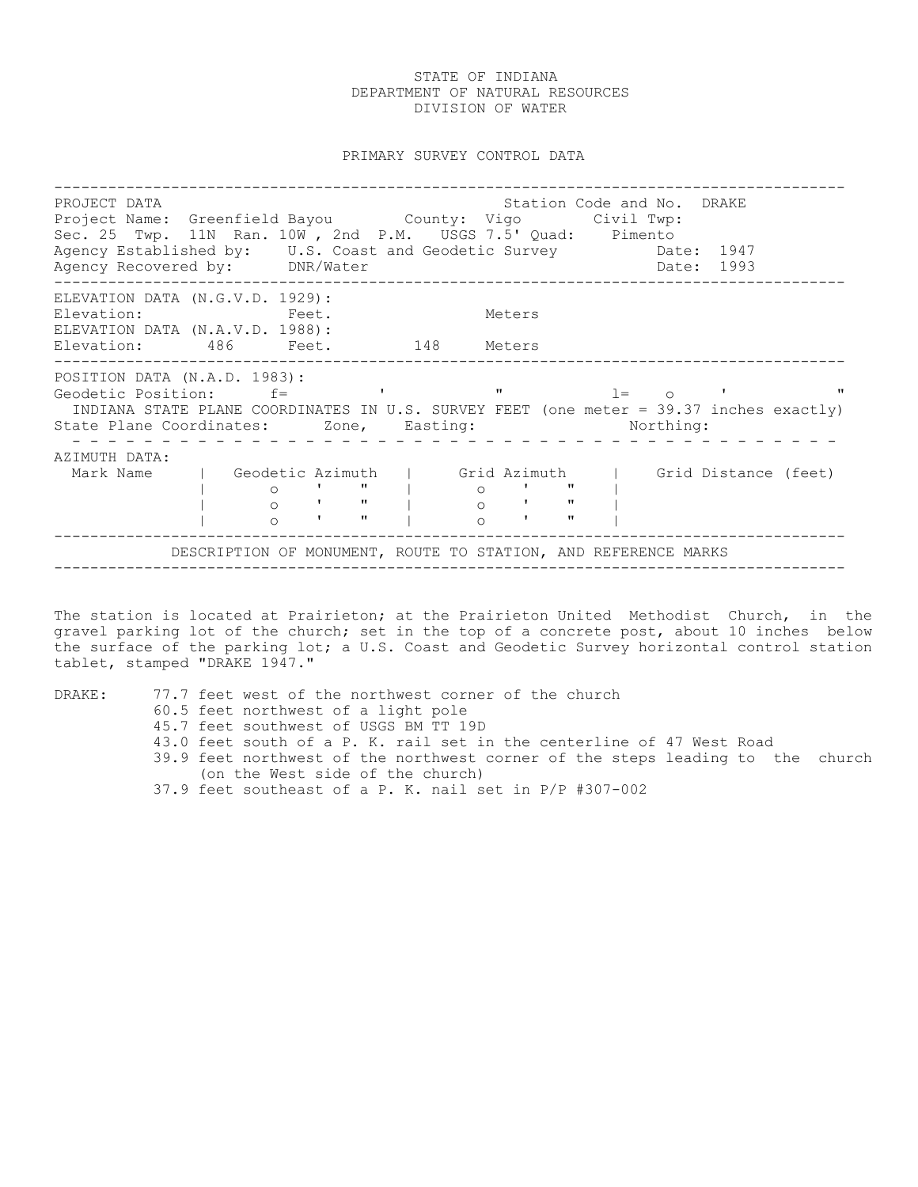PRIMARY SURVEY CONTROL DATA

---------------------------------------------------------------------------------------- PROJECT DATA Station Code and No. DRAKE Project Mame: Greenfield Bayou County: Vigo Civil Twp: Sec. 25 Twp. 11N Ran. 10W , 2nd P.M. USGS 7.5' Quad: Pimento Agency Established by: U.S. Coast and Geodetic Survey Date: 1947 Agency Recovered by: DNR/Water Date: 1993 ---------------------------------------------------------------------------------------- ELEVATION DATA (N.G.V.D. 1929): Elevation: Feet. Meters ELEVATION DATA (N.A.V.D. 1988): Elevation: 486 Feet. 148 Meters ---------------------------------------------------------------------------------------- POSITION DATA (N.A.D. 1983): Geodetic Position:  $f=$  ' ' "  $l=$  o ' " INDIANA STATE PLANE COORDINATES IN U.S. SURVEY FEET (one meter = 39.37 inches exactly) State Plane Coordinates: Zone, Easting: Northing: - - - - - - - - - - - - - - - - - - - - - - - - - - - - - - - - - - - - - - - - - - - AZIMUTH DATA: Mark Name | Geodetic Azimuth | Grid Azimuth | Grid Distance (feet) | o ' " | o ' " | | o ' " | o ' " | | 0 | " | 0 | " |<br>| 0 | " | 0 | " |<br>| 0 | " | 0 | " | ---------------------------------------------------------------------------------------- DESCRIPTION OF MONUMENT, ROUTE TO STATION, AND REFERENCE MARKS ----------------------------------------------------------------------------------------

The station is located at Prairieton; at the Prairieton United Methodist Church, in the gravel parking lot of the church; set in the top of a concrete post, about 10 inches below the surface of the parking lot; a U.S. Coast and Geodetic Survey horizontal control station tablet, stamped "DRAKE 1947."

DRAKE: 77.7 feet west of the northwest corner of the church

- 60.5 feet northwest of a light pole
- 45.7 feet southwest of USGS BM TT 19D
- 43.0 feet south of a P. K. rail set in the centerline of 47 West Road
- 39.9 feet northwest of the northwest corner of the steps leading to the church (on the West side of the church)
- 37.9 feet southeast of a P. K. nail set in P/P #307-002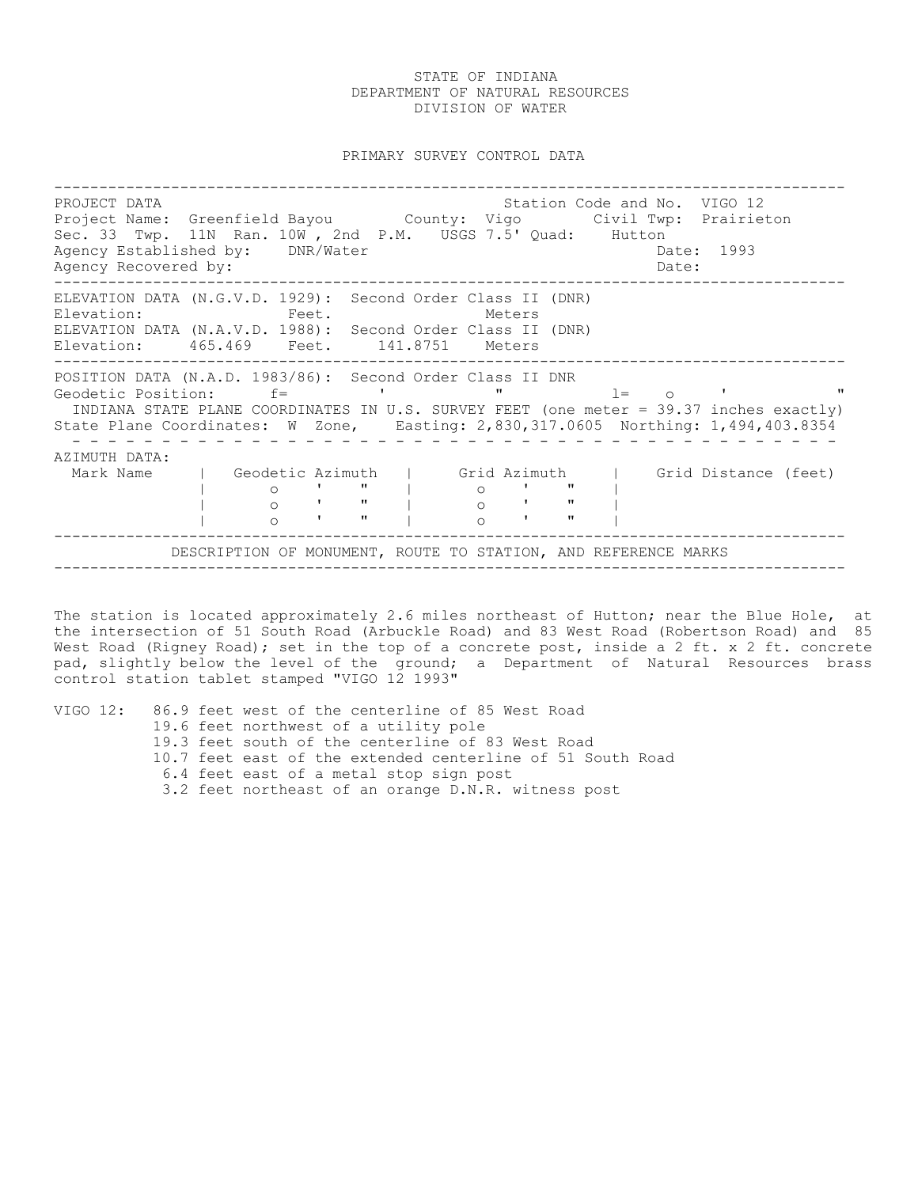PRIMARY SURVEY CONTROL DATA

---------------------------------------------------------------------------------------- PROJECT DATA Station Code and No. VIGO 12 Project Name: Greenfield Bayou County: Vigo Civil Twp: Prairieton Sec. 33 Twp. 11N Ran. 10W , 2nd P.M. USGS 7.5' Quad: Hutton Agency Established by: DNR/Water Case Communication of the Date: 1993 Agency Recovered by:  $\Box$ ---------------------------------------------------------------------------------------- ELEVATION DATA (N.G.V.D. 1929): Second Order Class II (DNR) Elevation: Feet. Feet. Meters ELEVATION DATA (N.A.V.D. 1988): Second Order Class II (DNR) Elevation: 465.469 Feet. 141.8751 Meters ---------------------------------------------------------------------------------------- POSITION DATA (N.A.D. 1983/86): Second Order Class II DNR Geodetic Position:  $f=$  ' ' " al= o ' INDIANA STATE PLANE COORDINATES IN U.S. SURVEY FEET (one meter = 39.37 inches exactly) State Plane Coordinates: W Zone, Easting: 2,830,317.0605 Northing: 1,494,403.8354 - - - - - - - - - - - - - - - - - - - - - - - - - - - - - - - - - - - - - - - - - - - AZIMUTH DATA: Mark Name | Geodetic Azimuth | Grid Azimuth | Grid Distance (feet) | o ' " | o ' " | | o ' " | o ' " | | o ' " | o ' " | ---------------------------------------------------------------------------------------- DESCRIPTION OF MONUMENT, ROUTE TO STATION, AND REFERENCE MARKS ----------------------------------------------------------------------------------------

The station is located approximately 2.6 miles northeast of Hutton; near the Blue Hole, at the intersection of 51 South Road (Arbuckle Road) and 83 West Road (Robertson Road) and 85 West Road (Rigney Road); set in the top of a concrete post, inside a 2 ft. x 2 ft. concrete pad, slightly below the level of the ground; a Department of Natural Resources brass control station tablet stamped "VIGO 12 1993"

VIGO 12: 86.9 feet west of the centerline of 85 West Road 19.6 feet northwest of a utility pole 19.3 feet south of the centerline of 83 West Road 10.7 feet east of the extended centerline of 51 South Road 6.4 feet east of a metal stop sign post 3.2 feet northeast of an orange D.N.R. witness post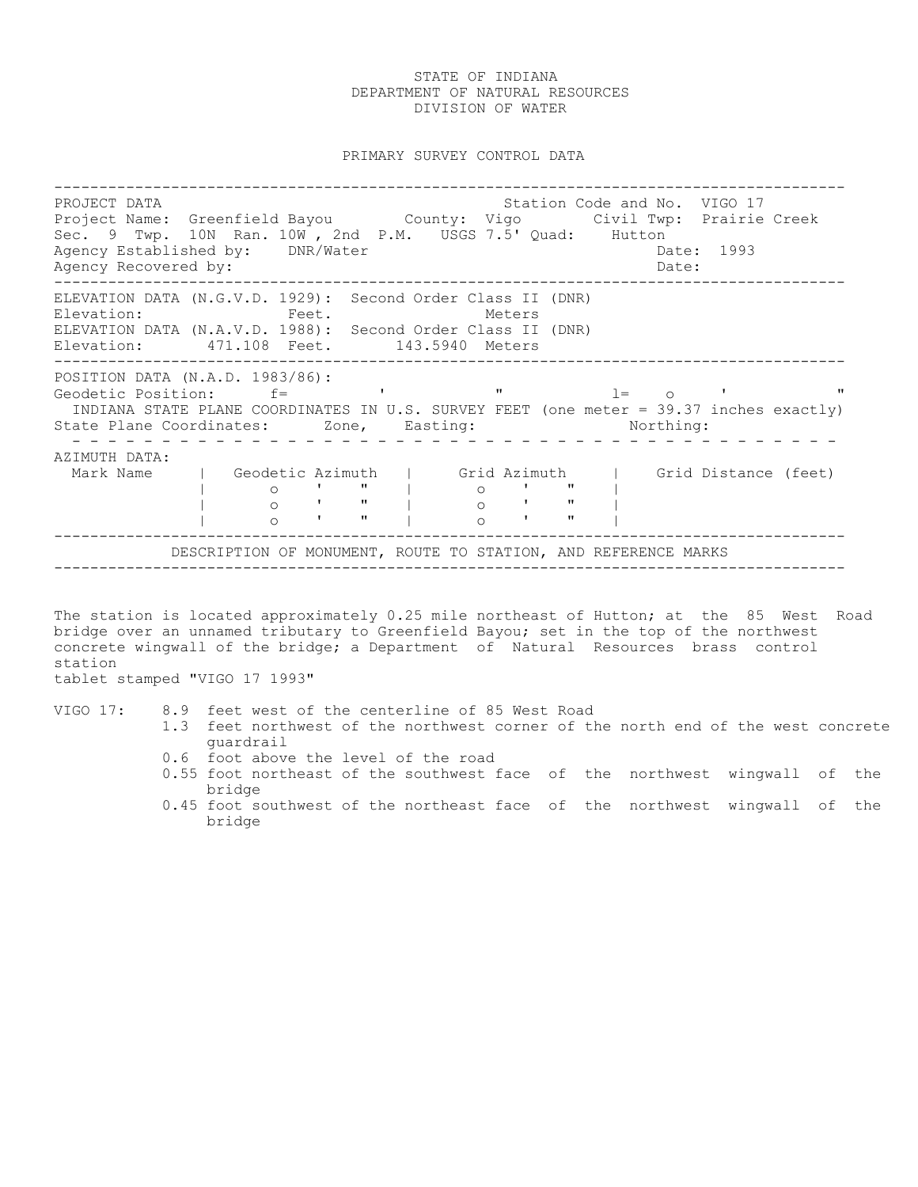PRIMARY SURVEY CONTROL DATA

---------------------------------------------------------------------------------------- PROJECT DATA Station Code and No. VIGO 17 Project Dinn<br>Project Name: Greenfield Bayou County: Vigo Civil Twp: Prairie Creek Sec. 9 Twp. 10N Ran. 10W , 2nd P.M. USGS 7.5' Quad: Hutton Agency Established by: DNR/Water Case Communication of the Date: 1993 Agency Recovered by:  $\Box$ ---------------------------------------------------------------------------------------- ELEVATION DATA (N.G.V.D. 1929): Second Order Class II (DNR) Elevation: Feet. Meters ELEVATION DATA (N.A.V.D. 1988): Second Order Class II (DNR) Elevation: 471.108 Feet. 143.5940 Meters ---------------------------------------------------------------------------------------- -----------<br>POSITION DATA (N.A.D. 1983/86): Geodetic Position:  $f =$  ' ' "  $l = 0$  ' " INDIANA STATE PLANE COORDINATES IN U.S. SURVEY FEET (one meter = 39.37 inches exactly) State Plane Coordinates: Zone, Easting: Northing: - - - - - - - - - - - - - - - - - - - - - - - - - - - - - - - - - - - - - - - - - - - AZIMUTH DATA: Mark Name | Geodetic Azimuth | Grid Azimuth | Grid Distance (feet) | o ' " | o ' " | | o ' " | o ' " | | 0 | " | 0 | " |<br>| 0 | " | 0 | " |<br>| 0 | " | 0 | " | ---------------------------------------------------------------------------------------- DESCRIPTION OF MONUMENT, ROUTE TO STATION, AND REFERENCE MARKS ----------------------------------------------------------------------------------------

The station is located approximately 0.25 mile northeast of Hutton; at the 85 West Road bridge over an unnamed tributary to Greenfield Bayou; set in the top of the northwest concrete wingwall of the bridge; a Department of Natural Resources brass control station

tablet stamped "VIGO 17 1993"

VIGO 17: 8.9 feet west of the centerline of 85 West Road

- 1.3 feet northwest of the northwest corner of the north end of the west concrete guardrail
- 0.6 foot above the level of the road
- 0.55 foot northeast of the southwest face of the northwest wingwall of the bridge
- 0.45 foot southwest of the northeast face of the northwest wingwall of the bridge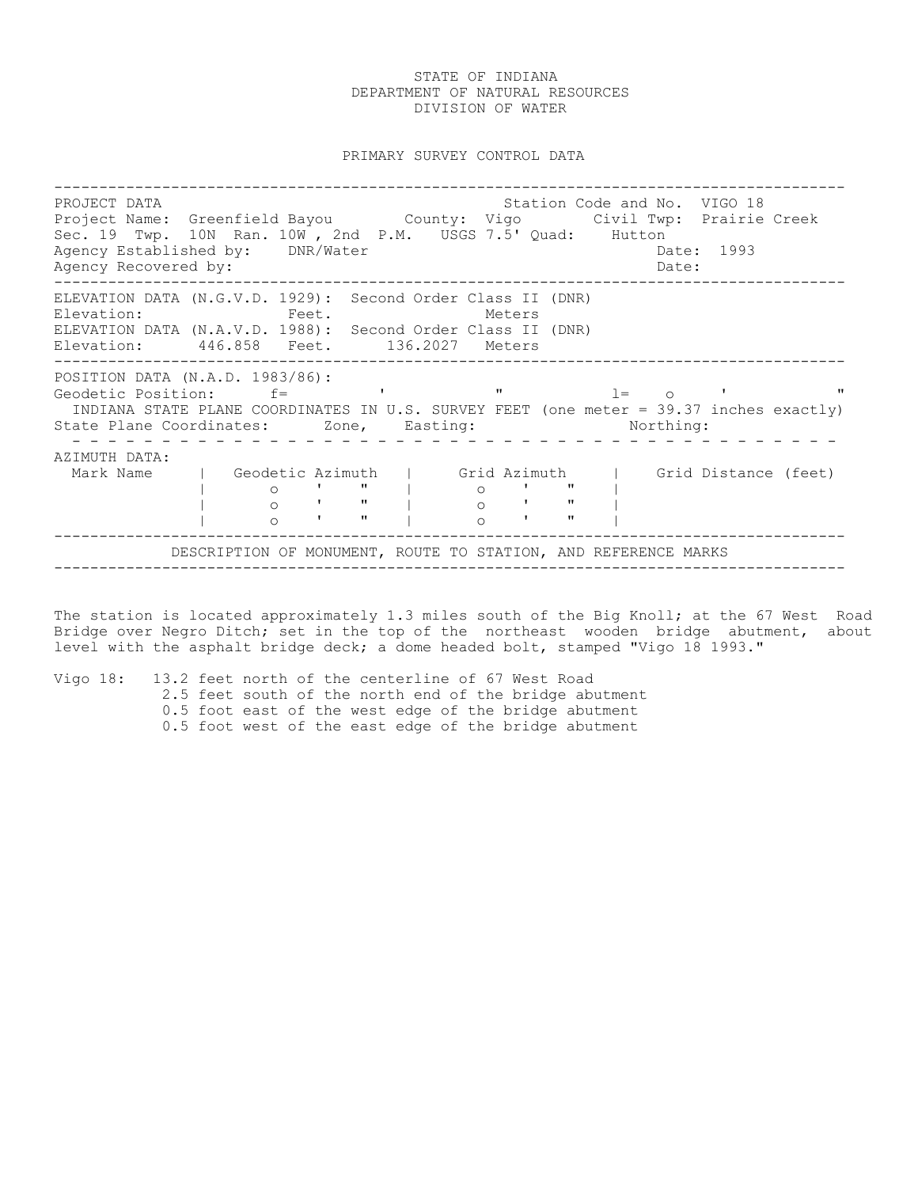PRIMARY SURVEY CONTROL DATA

---------------------------------------------------------------------------------------- PROJECT DATA Station Code and No. VIGO 18 Project Name: Greenfield Bayou County: Vigo Civil Twp: Prairie Creek Sec. 19 Twp. 10N Ran. 10W , 2nd P.M. USGS 7.5' Quad: Hutton Agency Established by: DNR/Water Case Communication of the Date: 1993 Agency Recovered by:  $\Box$ ---------------------------------------------------------------------------------------- ELEVATION DATA (N.G.V.D. 1929): Second Order Class II (DNR) Elevation: Feet. Feet. Meters ELEVATION DATA (N.A.V.D. 1988): Second Order Class II (DNR) Elevation: 446.858 Feet. 136.2027 Meters ---------------------------------------------------------------------------------------- POSITION DATA (N.A.D. 1983/86): Geodetic Position:  $f =$  ' ' "  $l = 0$  ' " INDIANA STATE PLANE COORDINATES IN U.S. SURVEY FEET (one meter = 39.37 inches exactly) State Plane Coordinates: Zone, Easting: Northing: - - - - - - - - - - - - - - - - - - - - - - - - - - - - - - - - - - - - - - - - - - - AZIMUTH DATA: Mark Name | Geodetic Azimuth | Grid Azimuth | Grid Distance (feet)<br>
| 0 ' " | 0 ' " |<br>
| 0 ' " | 0 ' " |<br>
| 0 ' " | 0 ' " | | o ' " | o ' " | | o ' " | o ' " | | o ' " | o ' " | ---------------------------------------------------------------------------------------- DESCRIPTION OF MONUMENT, ROUTE TO STATION, AND REFERENCE MARKS ----------------------------------------------------------------------------------------

The station is located approximately 1.3 miles south of the Big Knoll; at the 67 West Road Bridge over Negro Ditch; set in the top of the northeast wooden bridge abutment, about level with the asphalt bridge deck; a dome headed bolt, stamped "Vigo 18 1993."

Vigo 18: 13.2 feet north of the centerline of 67 West Road 2.5 feet south of the north end of the bridge abutment 0.5 foot east of the west edge of the bridge abutment 0.5 foot west of the east edge of the bridge abutment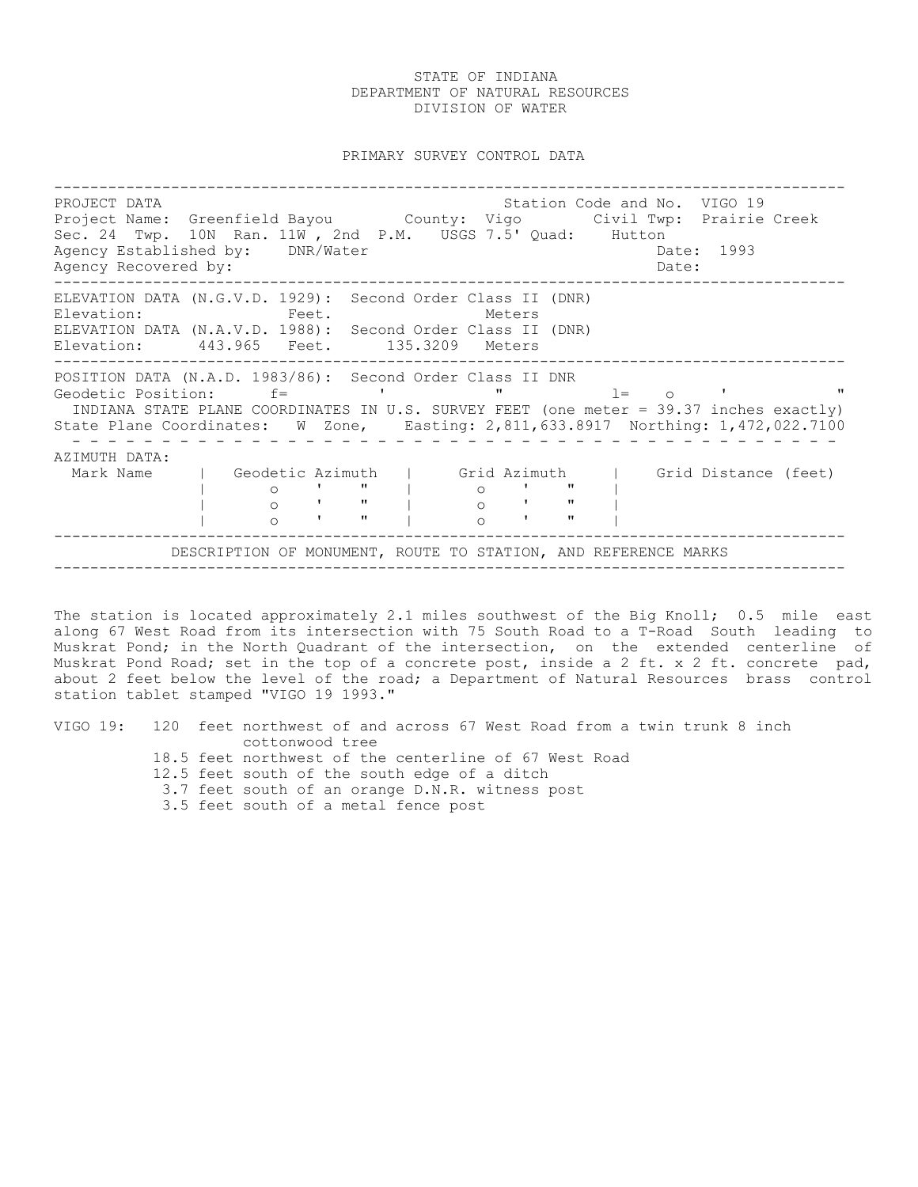PRIMARY SURVEY CONTROL DATA

---------------------------------------------------------------------------------------- PROJECT DATA Station Code and No. VIGO 19 Project Name: Greenfield Bayou County: Vigo Civil Twp: Prairie Creek Sec. 24 Twp. 10N Ran. 11W , 2nd P.M. USGS 7.5' Quad: Hutton Agency Established by: DNR/Water Case Communication of the Date: 1993 Agency Recovered by:  $\Box$ ---------------------------------------------------------------------------------------- ELEVATION DATA (N.G.V.D. 1929): Second Order Class II (DNR) Elevation: Feet. Feet. Meters ELEVATION DATA (N.A.V.D. 1988): Second Order Class II (DNR) Elevation: 443.965 Feet. 135.3209 Meters ---------------------------------------------------------------------------------------- POSITION DATA (N.A.D. 1983/86): Second Order Class II DNR Geodetic Position: f= ' " l= o ' " INDIANA STATE PLANE COORDINATES IN U.S. SURVEY FEET (one meter = 39.37 inches exactly) State Plane Coordinates: W Zone, Easting: 2,811,633.8917 Northing: 1,472,022.7100 - - - - - - - - - - - - - - - - - - - - - - - - - - - - - - - - - - - - - - - - - - - AZIMUTH DATA: Mark Name | Geodetic Azimuth | Grid Azimuth | Grid Distance (feet) | o ' " | o ' " | | o ' " | o ' " | | o ' " | o ' " | ---------------------------------------------------------------------------------------- DESCRIPTION OF MONUMENT, ROUTE TO STATION, AND REFERENCE MARKS ----------------------------------------------------------------------------------------

The station is located approximately 2.1 miles southwest of the Big Knoll; 0.5 mile east along 67 West Road from its intersection with 75 South Road to a T-Road South leading to Muskrat Pond; in the North Quadrant of the intersection, on the extended centerline of Muskrat Pond Road; set in the top of a concrete post, inside a 2 ft. x 2 ft. concrete pad, about 2 feet below the level of the road; a Department of Natural Resources brass control station tablet stamped "VIGO 19 1993."

VIGO 19: 120 feet northwest of and across 67 West Road from a twin trunk 8 inch cottonwood tree 18.5 feet northwest of the centerline of 67 West Road 12.5 feet south of the south edge of a ditch 3.7 feet south of an orange D.N.R. witness post 3.5 feet south of a metal fence post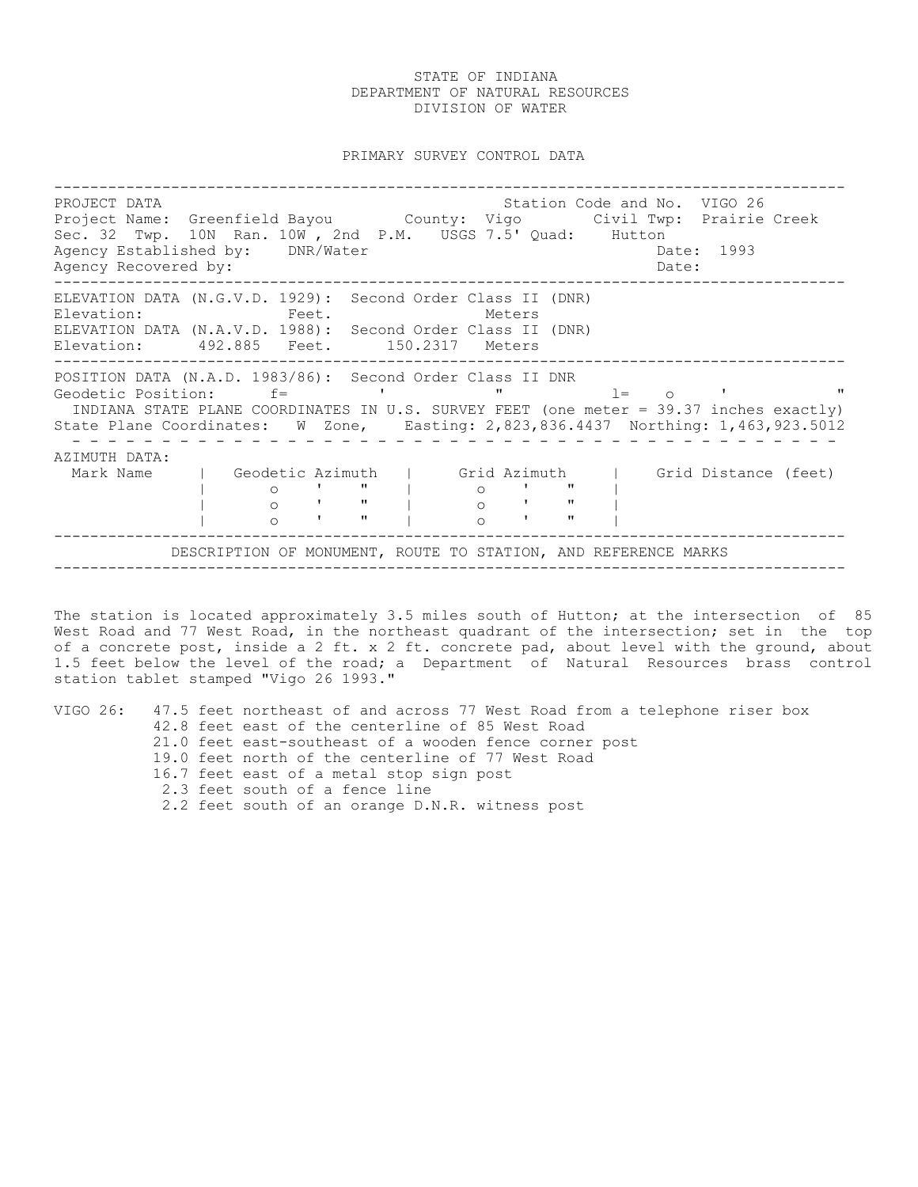PRIMARY SURVEY CONTROL DATA

---------------------------------------------------------------------------------------- PROJECT DATA Station Code and No. VIGO 26 Project Name: Greenfield Bayou County: Vigo Civil Twp: Prairie Creek Sec. 32 Twp. 10N Ran. 10W , 2nd P.M. USGS 7.5' Quad: Hutton Agency Established by: DNR/Water Case Communication of the Date: 1993 Agency Recovered by:  $\Box$ ---------------------------------------------------------------------------------------- ELEVATION DATA (N.G.V.D. 1929): Second Order Class II (DNR) Elevation: Feet. Feet. Meters ELEVATION DATA (N.A.V.D. 1988): Second Order Class II (DNR) Elevation: 492.885 Feet. 150.2317 Meters ---------------------------------------------------------------------------------------- POSITION DATA (N.A.D. 1983/86): Second Order Class II DNR Geodetic Position: f= ' " l= o ' " INDIANA STATE PLANE COORDINATES IN U.S. SURVEY FEET (one meter = 39.37 inches exactly) State Plane Coordinates: W Zone, Easting: 2,823,836.4437 Northing: 1,463,923.5012 - - - - - - - - - - - - - - - - - - - - - - - - - - - - - - - - - - - - - - - - - - - AZIMUTH DATA: Mark Name | Geodetic Azimuth | Grid Azimuth | Grid Distance (feet) | o ' " | o ' " | | o ' " | o ' " | | o ' " | o ' " | ---------------------------------------------------------------------------------------- DESCRIPTION OF MONUMENT, ROUTE TO STATION, AND REFERENCE MARKS ----------------------------------------------------------------------------------------

The station is located approximately 3.5 miles south of Hutton; at the intersection of 85 West Road and 77 West Road, in the northeast quadrant of the intersection; set in the top of a concrete post, inside a 2 ft. x 2 ft. concrete pad, about level with the ground, about 1.5 feet below the level of the road; a Department of Natural Resources brass control station tablet stamped "Vigo 26 1993."

VIGO 26: 47.5 feet northeast of and across 77 West Road from a telephone riser box 42.8 feet east of the centerline of 85 West Road 21.0 feet east-southeast of a wooden fence corner post 19.0 feet north of the centerline of 77 West Road 16.7 feet east of a metal stop sign post 2.3 feet south of a fence line 2.2 feet south of an orange D.N.R. witness post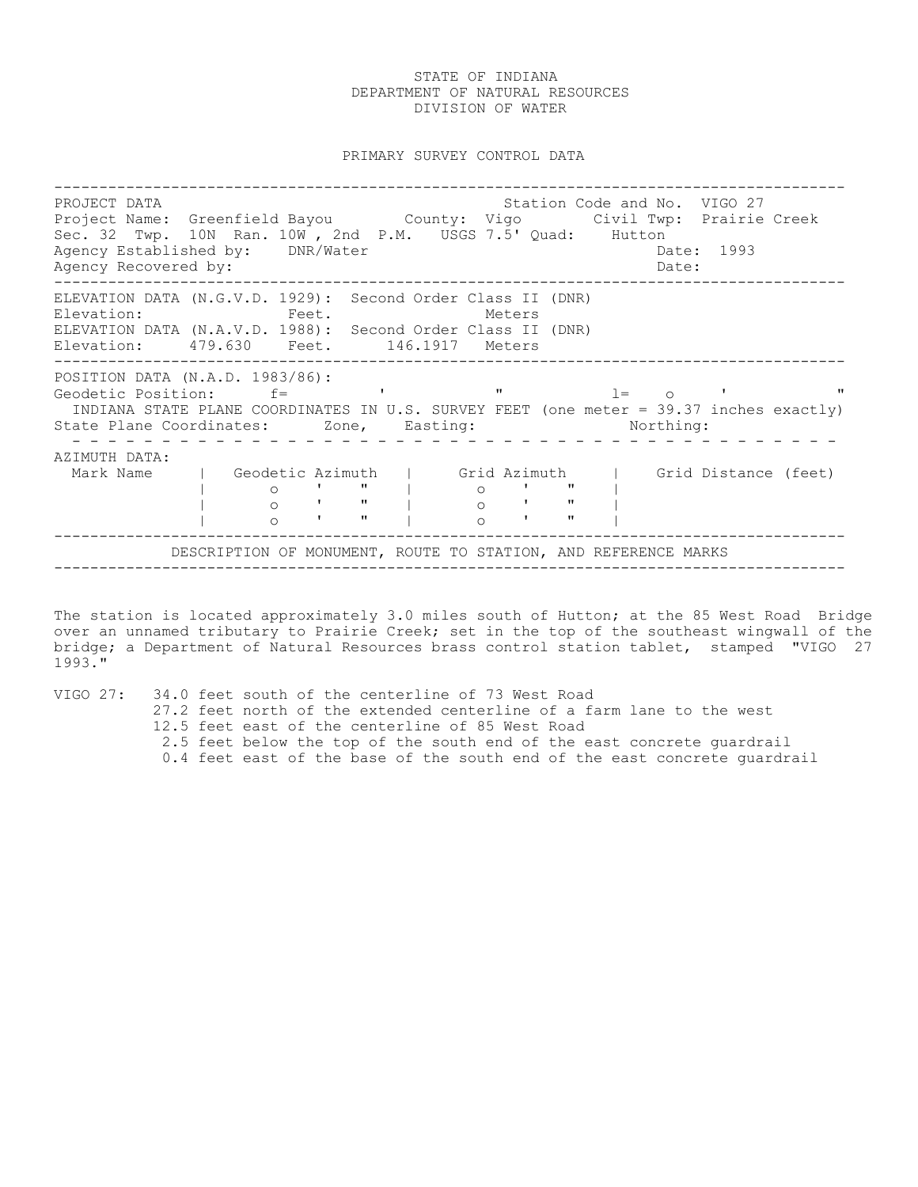PRIMARY SURVEY CONTROL DATA

---------------------------------------------------------------------------------------- PROJECT DATA Station Code and No. VIGO 27 Project Dinn<br>Project Name: Greenfield Bayou County: Vigo Civil Twp: Prairie Creek Sec. 32 Twp. 10N Ran. 10W , 2nd P.M. USGS 7.5' Quad: Hutton Agency Established by: DNR/Water Case Communication of the Date: 1993 Agency Recovered by:  $\Box$ ---------------------------------------------------------------------------------------- ELEVATION DATA (N.G.V.D. 1929): Second Order Class II (DNR) Elevation: Feet. Feet. Meters ELEVATION DATA (N.A.V.D. 1988): Second Order Class II (DNR) Elevation: 479.630 Feet. 146.1917 Meters ---------------------------------------------------------------------------------------- POSITION DATA (N.A.D. 1983/86): Geodetic Position: f= ' " l= o ' " INDIANA STATE PLANE COORDINATES IN U.S. SURVEY FEET (one meter = 39.37 inches exactly) State Plane Coordinates: Zone, Easting: Northing: - - - - - - - - - - - - - - - - - - - - - - - - - - - - - - - - - - - - - - - - - - - AZIMUTH DATA: Mark Name | Geodetic Azimuth | Grid Azimuth | Grid Distance (feet)<br>
| 0 ' " | 0 ' " |<br>
| 0 ' " | 0 ' " |<br>
| 0 ' " | 0 ' " | | o ' " | o ' " | | o ' " | o ' " | | o ' " | o ' " | ---------------------------------------------------------------------------------------- DESCRIPTION OF MONUMENT, ROUTE TO STATION, AND REFERENCE MARKS ----------------------------------------------------------------------------------------

The station is located approximately 3.0 miles south of Hutton; at the 85 West Road Bridge over an unnamed tributary to Prairie Creek; set in the top of the southeast wingwall of the bridge; a Department of Natural Resources brass control station tablet, stamped "VIGO 27 1993."

VIGO 27: 34.0 feet south of the centerline of 73 West Road

- 27.2 feet north of the extended centerline of a farm lane to the west
- 12.5 feet east of the centerline of 85 West Road
- 2.5 feet below the top of the south end of the east concrete guardrail
- 0.4 feet east of the base of the south end of the east concrete guardrail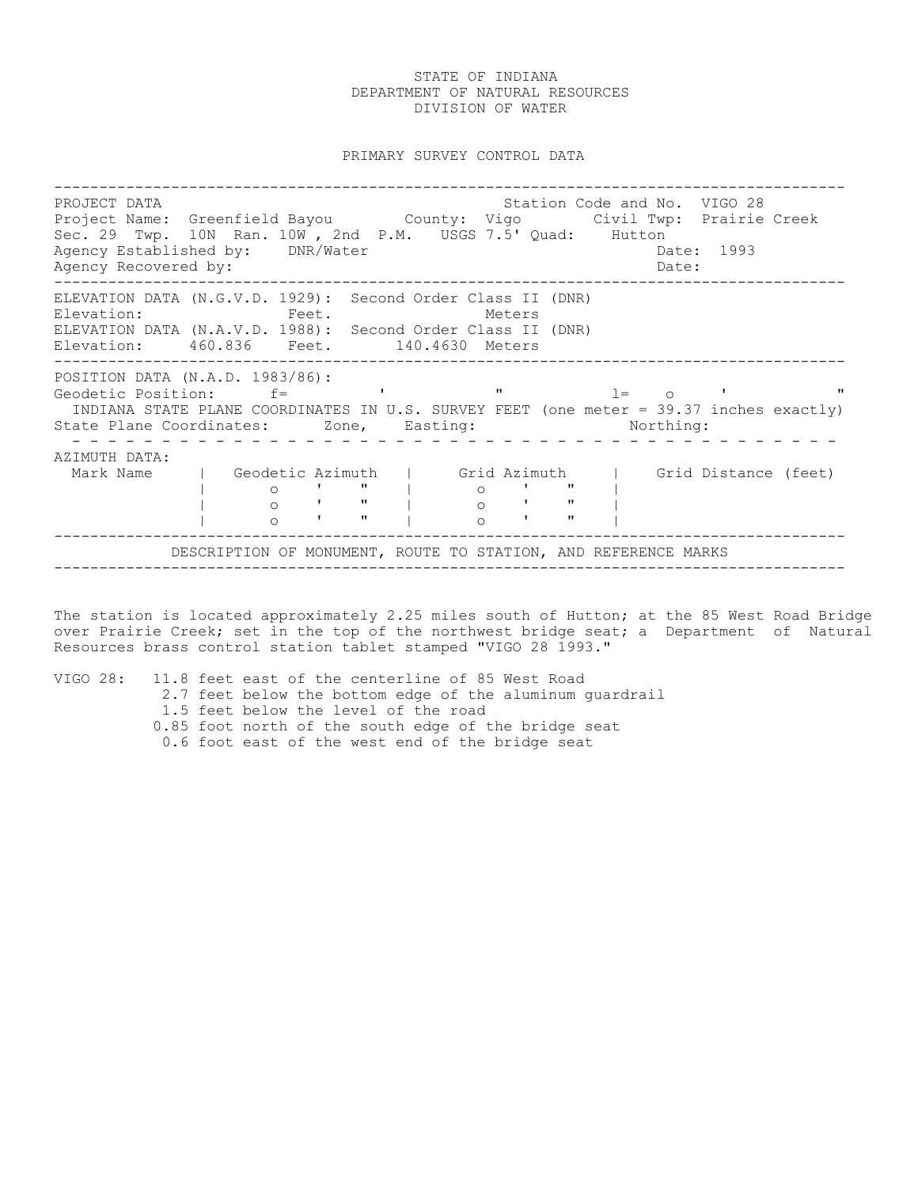PRIMARY SURVEY CONTROL DATA

---------------------------------------------------------------------------------------- PROJECT DATA Station Code and No. VIGO 28 Project Name: Greenfield Bayou County: Vigo Civil Twp: Prairie Creek Sec. 29 Twp. 10N Ran. 10W , 2nd P.M. USGS 7.5' Quad: Hutton Agency Established by: DNR/Water Case Communication of the Date: 1993 Agency Recovered by:  $\Box$ ---------------------------------------------------------------------------------------- ELEVATION DATA (N.G.V.D. 1929): Second Order Class II (DNR) Elevation: Feet. Feet. Meters ELEVATION DATA (N.A.V.D. 1988): Second Order Class II (DNR) Elevation: 460.836 Feet. 140.4630 Meters ---------------------------------------------------------------------------------------- POSITION DATA (N.A.D. 1983/86): Geodetic Position: f= ' " l= o ' " INDIANA STATE PLANE COORDINATES IN U.S. SURVEY FEET (one meter = 39.37 inches exactly) State Plane Coordinates: Zone, Easting: Northing: - - - - - - - - - - - - - - - - - - - - - - - - - - - - - - - - - - - - - - - - - - - AZIMUTH DATA: Mark Name | Geodetic Azimuth | Grid Azimuth | Grid Distance (feet)<br>| 0 ' " | 0 ' " |<br>| 0 ' " | 0 ' " | | o ' " | o ' " | | o ' " | o ' " | | o ' " | o ' " | ---------------------------------------------------------------------------------------- DESCRIPTION OF MONUMENT, ROUTE TO STATION, AND REFERENCE MARKS ----------------------------------------------------------------------------------------

The station is located approximately 2.25 miles south of Hutton; at the 85 West Road Bridge over Prairie Creek; set in the top of the northwest bridge seat; a Department of Natural Resources brass control station tablet stamped "VIGO 28 1993."

VIGO 28: 11.8 feet east of the centerline of 85 West Road

- 2.7 feet below the bottom edge of the aluminum guardrail
	- 1.5 feet below the level of the road
- 0.85 foot north of the south edge of the bridge seat
- 0.6 foot east of the west end of the bridge seat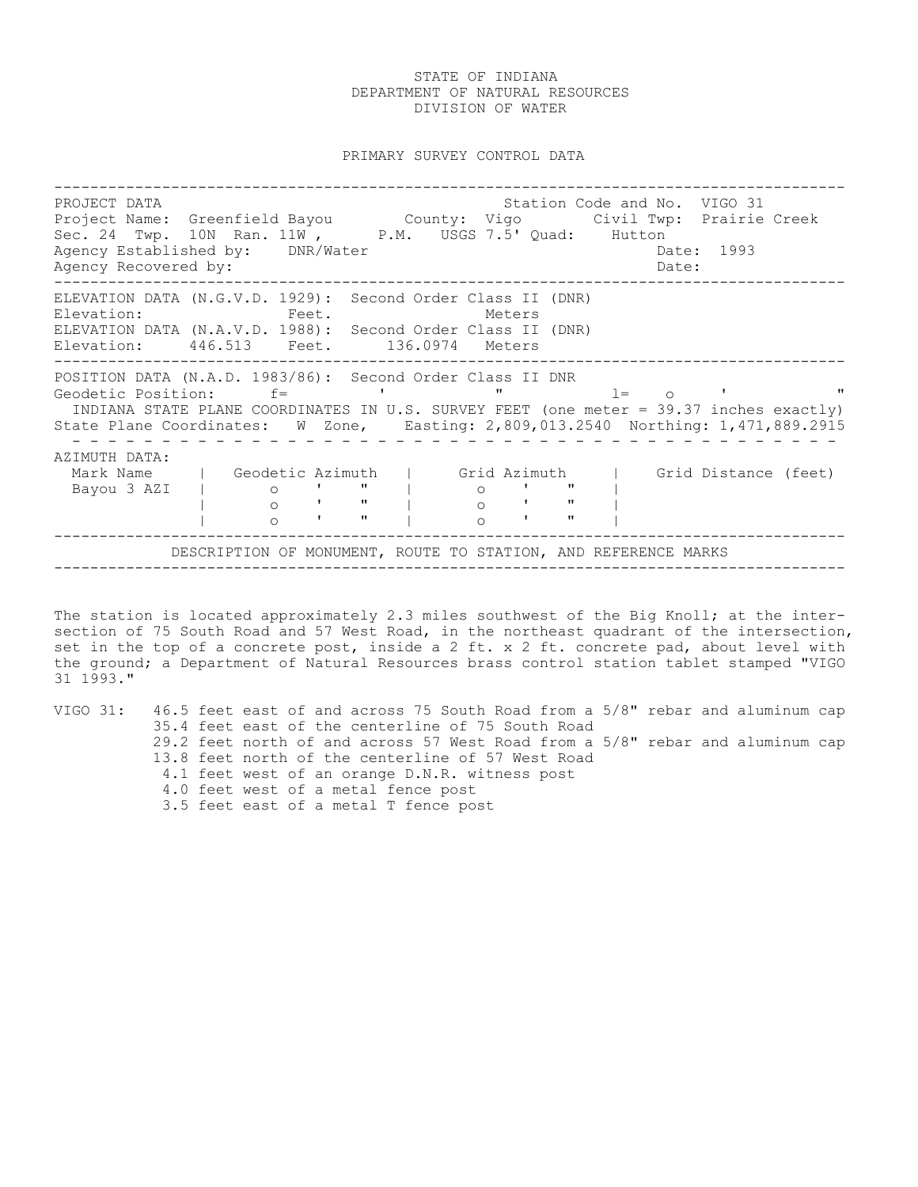PRIMARY SURVEY CONTROL DATA

---------------------------------------------------------------------------------------- PROJECT DATA STATION COLLECT DATA STATION COLLECT DATA STATION STATION COLLECT DATA STATION OF STATION OF STATION Project Name: Greenfield Bayou County: Vigo Civil Twp: Prairie Creek Sec. 24 Twp. 10N Ran. 11W, P.M. USGS 7.5' Quad: Hutton Agency Established by: DNR/Water Case Control of the Date: 1993 Agency Recovered by:  $\Box$ ---------------------------------------------------------------------------------------- ELEVATION DATA (N.G.V.D. 1929): Second Order Class II (DNR) Elevation: Feet. Feet. Meters ELEVATION DATA (N.A.V.D. 1988): Second Order Class II (DNR) Elevation: 446.513 Feet. 136.0974 Meters ---------------------------------------------------------------------------------------- POSITION DATA (N.A.D. 1983/86): Second Order Class II DNR Geodetic Position: f= ' " l= o ' " INDIANA STATE PLANE COORDINATES IN U.S. SURVEY FEET (one meter = 39.37 inches exactly) State Plane Coordinates: W Zone, Easting: 2,809,013.2540 Northing: 1,471,889.2915 - - - - - - - - - - - - - - - - - - - - - - - - - - - - - - - - - - - - - - - - - - - AZIMUTH DATA: Mark Name | Geodetic Azimuth | Grid Azimuth | Grid Distance (feet)<br>Bayou 3 AZI | 0 ' " | 0 ' " |<br>
0 ' " | 0 ' " | Bayou 3 AZI | o ' " | o ' " | | o ' " | o ' " | | o ' " | o ' " | ---------------------------------------------------------------------------------------- DESCRIPTION OF MONUMENT, ROUTE TO STATION, AND REFERENCE MARKS ----------------------------------------------------------------------------------------

The station is located approximately 2.3 miles southwest of the Big Knoll; at the intersection of 75 South Road and 57 West Road, in the northeast quadrant of the intersection, set in the top of a concrete post, inside a 2 ft. x 2 ft. concrete pad, about level with the ground; a Department of Natural Resources brass control station tablet stamped "VIGO 31 1993."

VIGO 31: 46.5 feet east of and across 75 South Road from a 5/8" rebar and aluminum cap 35.4 feet east of the centerline of 75 South Road 29.2 feet north of and across 57 West Road from a 5/8" rebar and aluminum cap 13.8 feet north of the centerline of 57 West Road 4.1 feet west of an orange D.N.R. witness post 4.0 feet west of a metal fence post 3.5 feet east of a metal T fence post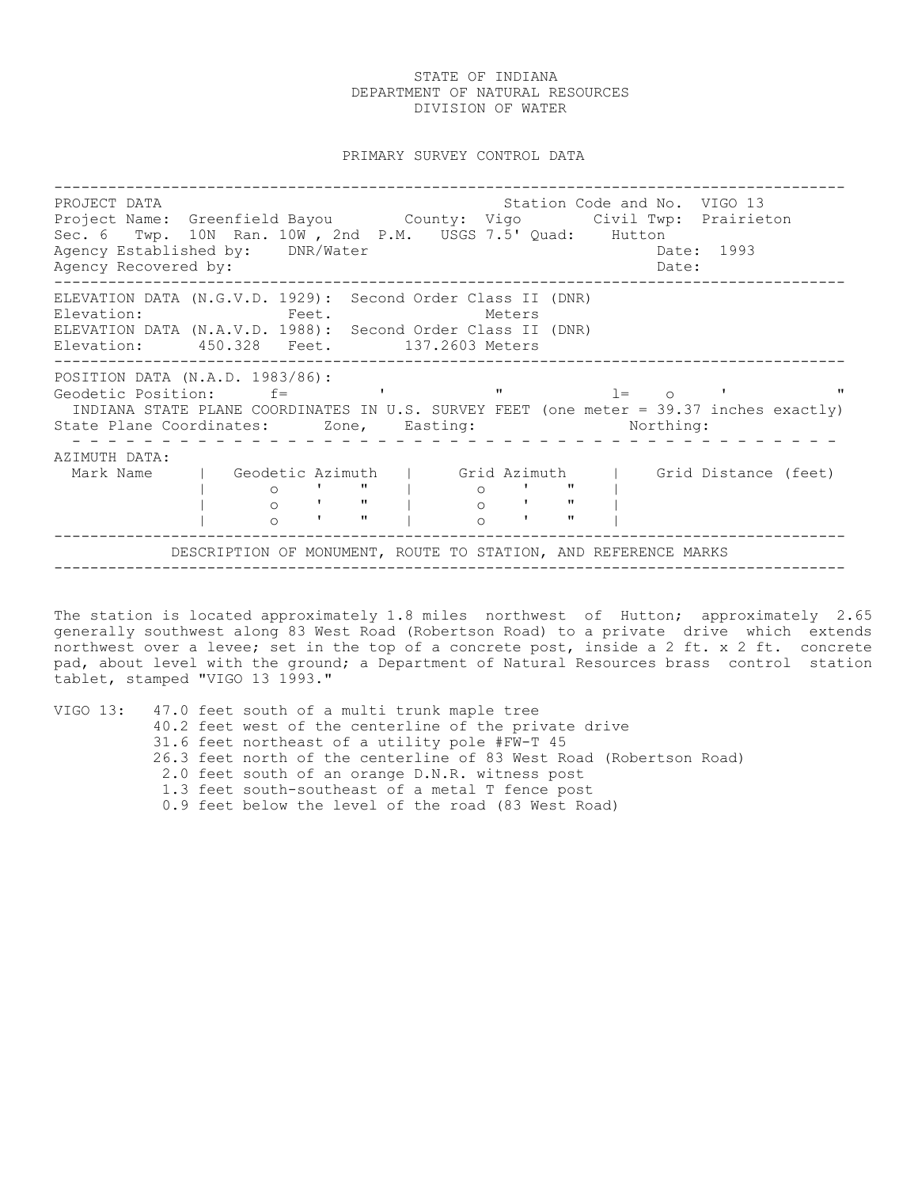PRIMARY SURVEY CONTROL DATA

---------------------------------------------------------------------------------------- PROJECT DATA Station Code and No. VIGO 13 Project Name: Greenfield Bayou County: Vigo Civil Twp: Prairieton Sec. 6 Twp. 10N Ran. 10W , 2nd P.M. USGS 7.5' Quad: Hutton Agency Established by: DNR/Water Case Controller Date: 1993 Agency Recovered by:  $\Box$ ---------------------------------------------------------------------------------------- ELEVATION DATA (N.G.V.D. 1929): Second Order Class II (DNR) Elevation: Feet. Feet. Meters ELEVATION DATA (N.A.V.D. 1988): Second Order Class II (DNR) Elevation: 450.328 Feet. 137.2603 Meters ---------------------------------------------------------------------------------------- POSITION DATA (N.A.D. 1983/86): Geodetic Position: f= ' " l= o ' " INDIANA STATE PLANE COORDINATES IN U.S. SURVEY FEET (one meter = 39.37 inches exactly) State Plane Coordinates: Zone, Easting: Northing: - - - - - - - - - - - - - - - - - - - - - - - - - - - - - - - - - - - - - - - - - - - AZIMUTH DATA: Mark Name | Geodetic Azimuth | Grid Azimuth | Grid Distance (feet)<br>| 0 ' " | 0 ' " | | o ' " | o ' " | | o ' " | o ' " | | o ' " | o ' " | ---------------------------------------------------------------------------------------- DESCRIPTION OF MONUMENT, ROUTE TO STATION, AND REFERENCE MARKS ----------------------------------------------------------------------------------------

The station is located approximately 1.8 miles northwest of Hutton; approximately 2.65 generally southwest along 83 West Road (Robertson Road) to a private drive which extends northwest over a levee; set in the top of a concrete post, inside a 2 ft. x 2 ft. concrete pad, about level with the ground; a Department of Natural Resources brass control station tablet, stamped "VIGO 13 1993."

| VIGO 13: 47.0 feet south of a multi trunk maple tree               |
|--------------------------------------------------------------------|
| 40.2 feet west of the centerline of the private drive              |
| 31.6 feet northeast of a utility pole #FW-T 45                     |
| 26.3 feet north of the centerline of 83 West Road (Robertson Road) |
| 2.0 feet south of an orange D.N.R. witness post                    |
| 1.3 feet south-southeast of a metal T fence post                   |
| 0.9 feet below the level of the road (83 West Road)                |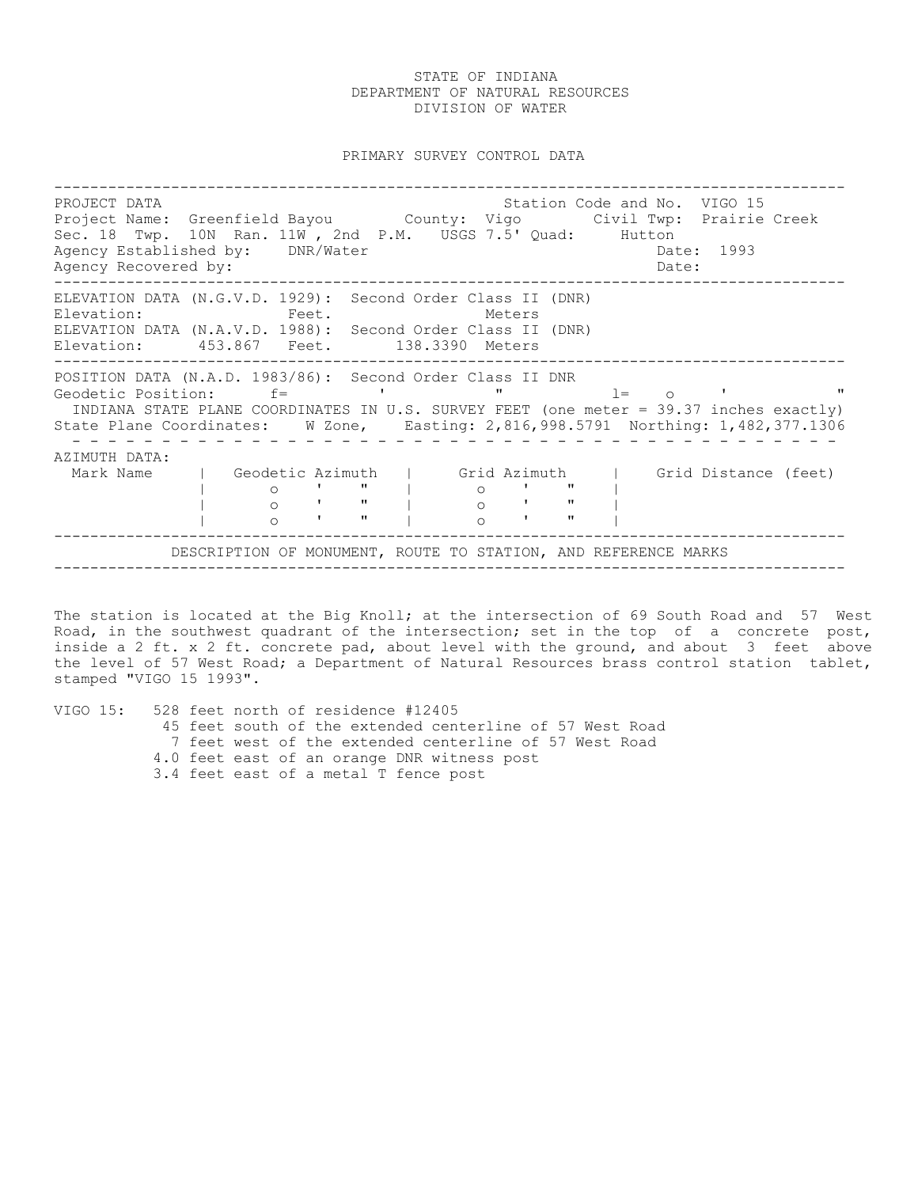PRIMARY SURVEY CONTROL DATA

---------------------------------------------------------------------------------------- PROJECT DATA Station Code and No. VIGO 15 Project Name: Greenfield Bayou County: Vigo Civil Twp: Prairie Creek Sec. 18 Twp. 10N Ran. 11W , 2nd P.M. USGS 7.5' Quad: Hutton Agency Established by: DNR/Water Case Communication of the Date: 1993 Agency Recovered by:  $\Box$ ---------------------------------------------------------------------------------------- ELEVATION DATA (N.G.V.D. 1929): Second Order Class II (DNR) Elevation: Feet. Feet. Meters ELEVATION DATA (N.A.V.D. 1988): Second Order Class II (DNR) Elevation: 453.867 Feet. 138.3390 Meters ---------------------------------------------------------------------------------------- POSITION DATA (N.A.D. 1983/86): Second Order Class II DNR Geodetic Position: f= ' " l= o ' " INDIANA STATE PLANE COORDINATES IN U.S. SURVEY FEET (one meter = 39.37 inches exactly) State Plane Coordinates: W Zone, Easting: 2,816,998.5791 Northing: 1,482,377.1306 - - - - - - - - - - - - - - - - - - - - - - - - - - - - - - - - - - - - - - - - - - - AZIMUTH DATA: Mark Name | Geodetic Azimuth | Grid Azimuth | Grid Distance (feet)<br>| 0 ' " | 0 ' " |<br>| 0 ' " | 0 ' " | | o ' " | o ' " | | o ' " | o ' " | | o ' " | o ' " | ---------------------------------------------------------------------------------------- DESCRIPTION OF MONUMENT, ROUTE TO STATION, AND REFERENCE MARKS ----------------------------------------------------------------------------------------

The station is located at the Big Knoll; at the intersection of 69 South Road and 57 West Road, in the southwest quadrant of the intersection; set in the top of a concrete post, inside a 2 ft. x 2 ft. concrete pad, about level with the ground, and about 3 feet above the level of 57 West Road; a Department of Natural Resources brass control station tablet, stamped "VIGO 15 1993".

VIGO 15: 528 feet north of residence #12405 45 feet south of the extended centerline of 57 West Road 7 feet west of the extended centerline of 57 West Road 4.0 feet east of an orange DNR witness post 3.4 feet east of a metal T fence post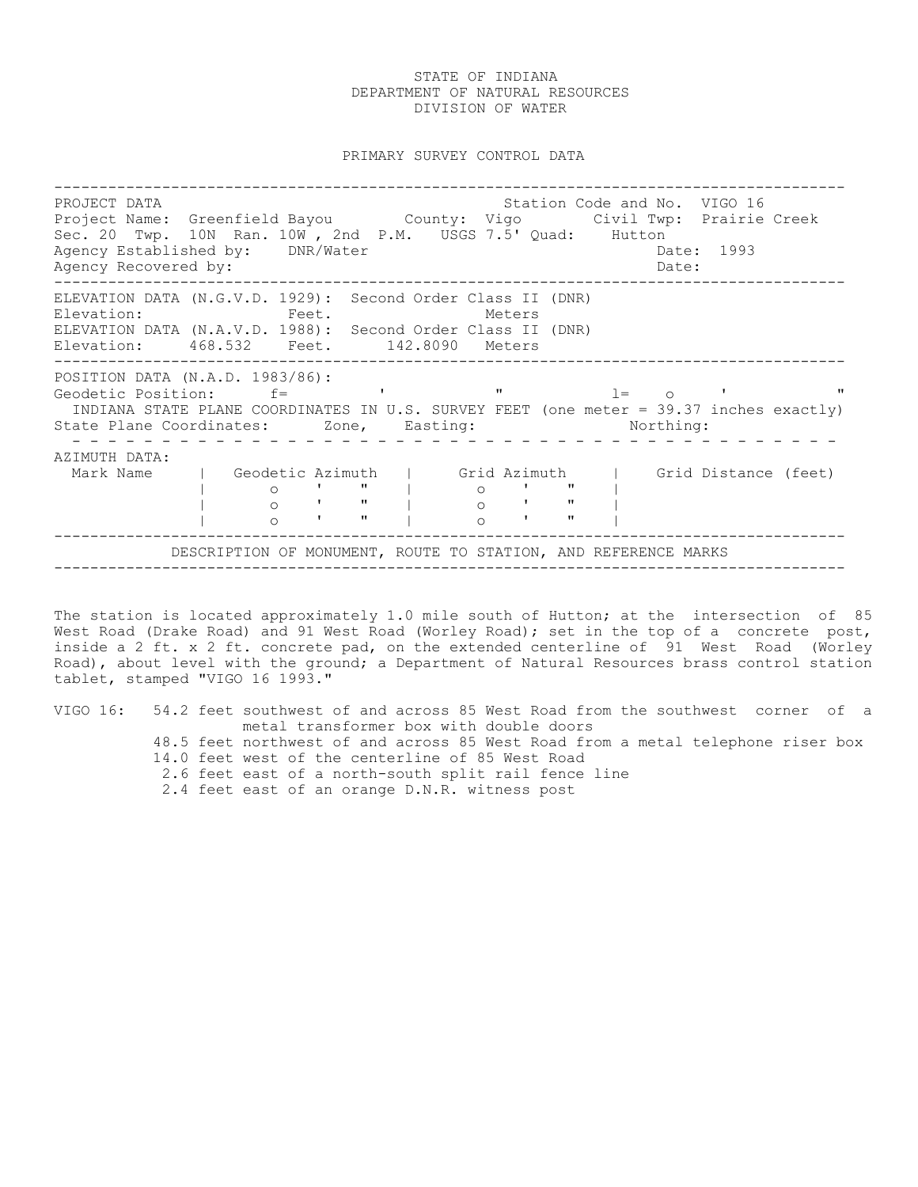PRIMARY SURVEY CONTROL DATA

---------------------------------------------------------------------------------------- PROJECT DATA Station Code and No. VIGO 16 Project Name: Greenfield Bayou County: Vigo Civil Twp: Prairie Creek Sec. 20 Twp. 10N Ran. 10W , 2nd P.M. USGS 7.5' Quad: Hutton Agency Established by: DNR/Water Case Controller Date: 1993 Agency Recovered by:  $\Box$ ---------------------------------------------------------------------------------------- ELEVATION DATA (N.G.V.D. 1929): Second Order Class II (DNR) Elevation: Feet. Feet. Meters ELEVATION DATA (N.A.V.D. 1988): Second Order Class II (DNR) Elevation: 468.532 Feet. 142.8090 Meters ---------------------------------------------------------------------------------------- POSITION DATA (N.A.D. 1983/86): Geodetic Position:  $f=$  ' "  $l=$  o ' " INDIANA STATE PLANE COORDINATES IN U.S. SURVEY FEET (one meter = 39.37 inches exactly) State Plane Coordinates: Zone, Easting: Northing: - - - - - - - - - - - - - - - - - - - - - - - - - - - - - - - - - - - - - - - - - - - AZIMUTH DATA: Mark Name | Geodetic Azimuth | Grid Azimuth | Grid Distance (feet)<br>| 0 ' " | 0 ' " | | o ' " | o ' " | | o ' " | o ' " | | o ' " | o ' " | ---------------------------------------------------------------------------------------- DESCRIPTION OF MONUMENT, ROUTE TO STATION, AND REFERENCE MARKS ----------------------------------------------------------------------------------------

The station is located approximately 1.0 mile south of Hutton; at the intersection of 85 West Road (Drake Road) and 91 West Road (Worley Road); set in the top of a concrete post, inside a 2 ft. x 2 ft. concrete pad, on the extended centerline of 91 West Road (Worley Road), about level with the ground; a Department of Natural Resources brass control station tablet, stamped "VIGO 16 1993."

|  | VIGO 16: 54.2 feet southwest of and across 85 West Road from the southwest corner of a |
|--|----------------------------------------------------------------------------------------|
|  | metal transformer box with double doors                                                |
|  | 48.5 feet northwest of and across 85 West Road from a metal telephone riser box        |
|  | 14.0 feet west of the centerline of 85 West Road                                       |
|  | 2.6 feet east of a north-south split rail fence line                                   |
|  | 2.4 feet east of an orange D.N.R. witness post                                         |
|  |                                                                                        |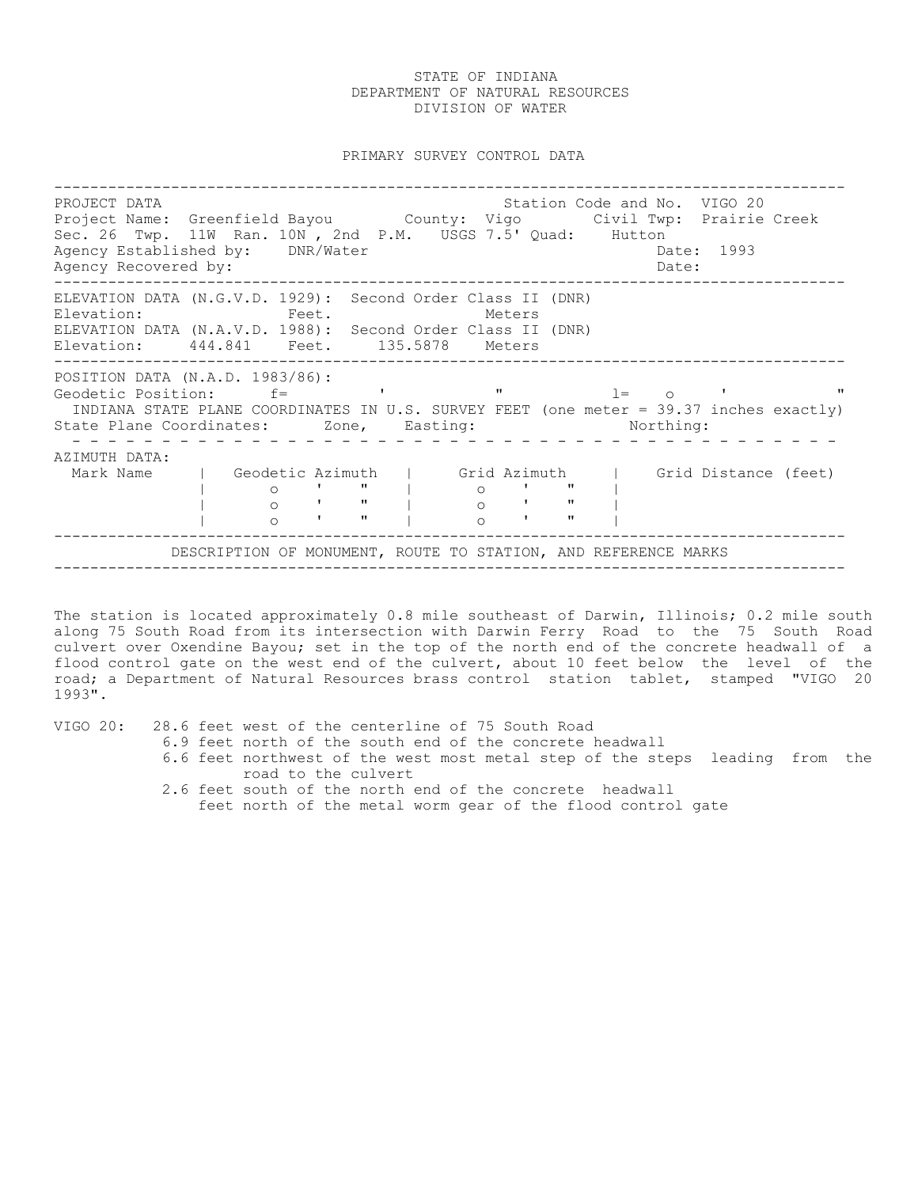PRIMARY SURVEY CONTROL DATA

---------------------------------------------------------------------------------------- PROJECT DATA Station Code and No. VIGO 20 Project Name: Greenfield Bayou County: Vigo Civil Twp: Prairie Creek Sec. 26 Twp. 11W Ran. 10N , 2nd P.M. USGS 7.5' Quad: Hutton Agency Established by: DNR/Water Case Communication of the Date: 1993 Agency Recovered by:  $\Box$ ---------------------------------------------------------------------------------------- ELEVATION DATA (N.G.V.D. 1929): Second Order Class II (DNR) Elevation: Feet. Feet. Meters ELEVATION DATA (N.A.V.D. 1988): Second Order Class II (DNR) Elevation: 444.841 Feet. 135.5878 Meters ---------------------------------------------------------------------------------------- POSITION DATA (N.A.D. 1983/86): Geodetic Position: f= ' " l= o ' " INDIANA STATE PLANE COORDINATES IN U.S. SURVEY FEET (one meter = 39.37 inches exactly) State Plane Coordinates: Zone, Easting: Northing: - - - - - - - - - - - - - - - - - - - - - - - - - - - - - - - - - - - - - - - - - - - AZIMUTH DATA: Mark Name | Geodetic Azimuth | Grid Azimuth | Grid Distance (feet) | o ' " | o ' " | | o ' " | o ' " | | 0 | " | 0 | " |<br>| 0 | " | 0 | " |<br>| 0 | " | 0 | " | ---------------------------------------------------------------------------------------- DESCRIPTION OF MONUMENT, ROUTE TO STATION, AND REFERENCE MARKS ----------------------------------------------------------------------------------------

The station is located approximately 0.8 mile southeast of Darwin, Illinois; 0.2 mile south along 75 South Road from its intersection with Darwin Ferry Road to the 75 South Road culvert over Oxendine Bayou; set in the top of the north end of the concrete headwall of a flood control gate on the west end of the culvert, about 10 feet below the level of the road; a Department of Natural Resources brass control station tablet, stamped "VIGO 20 1993".

VIGO 20: 28.6 feet west of the centerline of 75 South Road 6.9 feet north of the south end of the concrete headwall 6.6 feet northwest of the west most metal step of the steps leading from the road to the culvert 2.6 feet south of the north end of the concrete headwall feet north of the metal worm gear of the flood control gate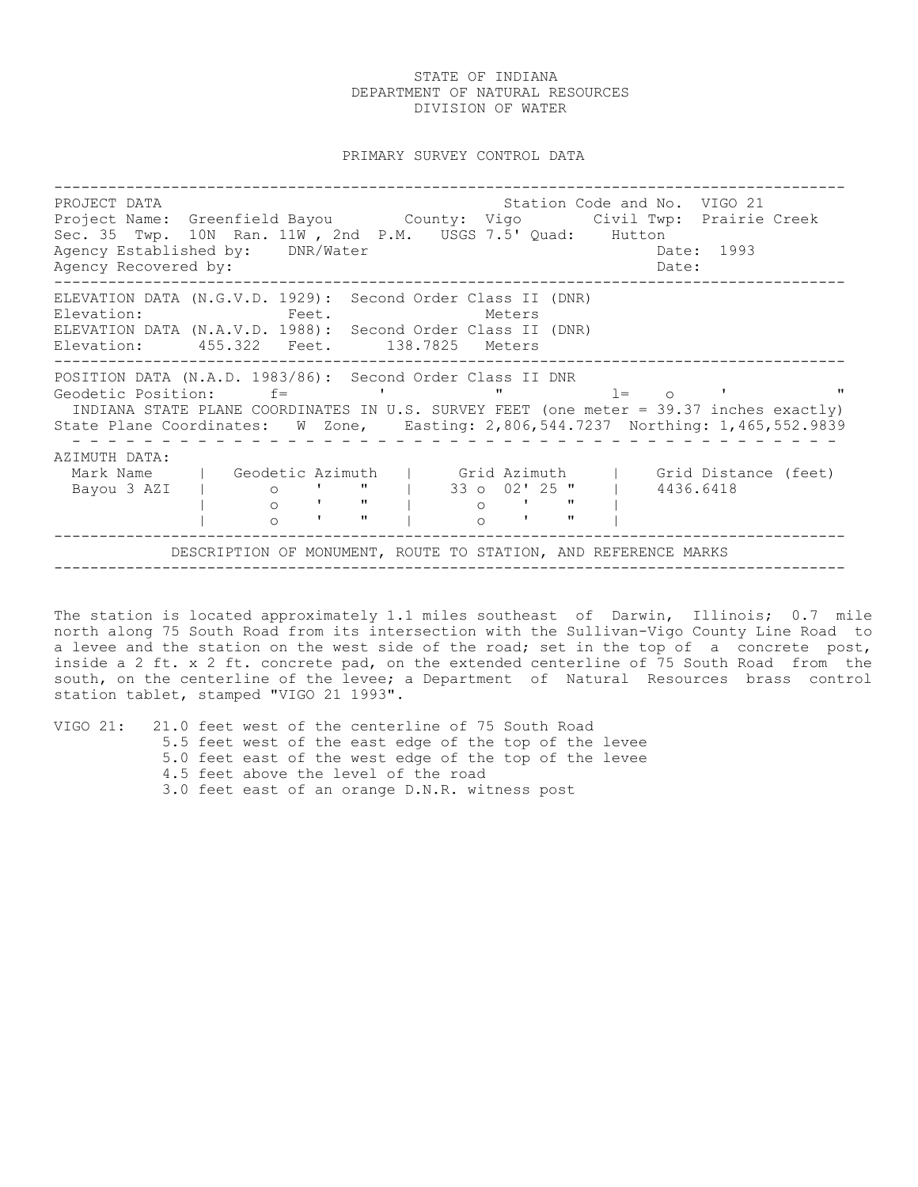PRIMARY SURVEY CONTROL DATA

---------------------------------------------------------------------------------------- PROJECT DATA Station Code and No. VIGO 21 Project Name: Greenfield Bayou County: Vigo Civil Twp: Prairie Creek Sec. 35 Twp. 10N Ran. 11W , 2nd P.M. USGS 7.5' Quad: Hutton Agency Established by: DNR/Water Case Controller Date: 1993 Agency Recovered by:  $\Box$ ---------------------------------------------------------------------------------------- ELEVATION DATA (N.G.V.D. 1929): Second Order Class II (DNR) Elevation: Feet. Feet. Meters ELEVATION DATA (N.A.V.D. 1988): Second Order Class II (DNR) Elevation: 455.322 Feet. 138.7825 Meters ---------------------------------------------------------------------------------------- POSITION DATA (N.A.D. 1983/86): Second Order Class II DNR Geodetic Position: f= ' " l= o ' " INDIANA STATE PLANE COORDINATES IN U.S. SURVEY FEET (one meter = 39.37 inches exactly) State Plane Coordinates: W Zone, Easting: 2,806,544.7237 Northing: 1,465,552.9839 - - - - - - - - - - - - - - - - - - - - - - - - - - - - - - - - - - - - - - - - - - - AZIMUTH DATA: Mark Name | Geodetic Azimuth | Grid Azimuth | Grid Distance (feet) Bayou 3 AZI | o ' " | 33 o 02' 25 " | 4436.6418 | o ' " | o ' " | | o ' " | o ' " | ---------------------------------------------------------------------------------------- DESCRIPTION OF MONUMENT, ROUTE TO STATION, AND REFERENCE MARKS ----------------------------------------------------------------------------------------

The station is located approximately 1.1 miles southeast of Darwin, Illinois; 0.7 mile north along 75 South Road from its intersection with the Sullivan-Vigo County Line Road to a levee and the station on the west side of the road; set in the top of a concrete post, inside a 2 ft. x 2 ft. concrete pad, on the extended centerline of 75 South Road from the south, on the centerline of the levee; a Department of Natural Resources brass control station tablet, stamped "VIGO 21 1993".

|  |  | VIGO 21: 21.0 feet west of the centerline of 75 South Road |  |  |  |  |  |  |  |  |  |                                                        |
|--|--|------------------------------------------------------------|--|--|--|--|--|--|--|--|--|--------------------------------------------------------|
|  |  |                                                            |  |  |  |  |  |  |  |  |  | 5.5 feet west of the east edge of the top of the levee |
|  |  |                                                            |  |  |  |  |  |  |  |  |  | 5.0 feet east of the west edge of the top of the levee |
|  |  | 4.5 feet above the level of the road                       |  |  |  |  |  |  |  |  |  |                                                        |
|  |  | 3.0 feet east of an orange D.N.R. witness post             |  |  |  |  |  |  |  |  |  |                                                        |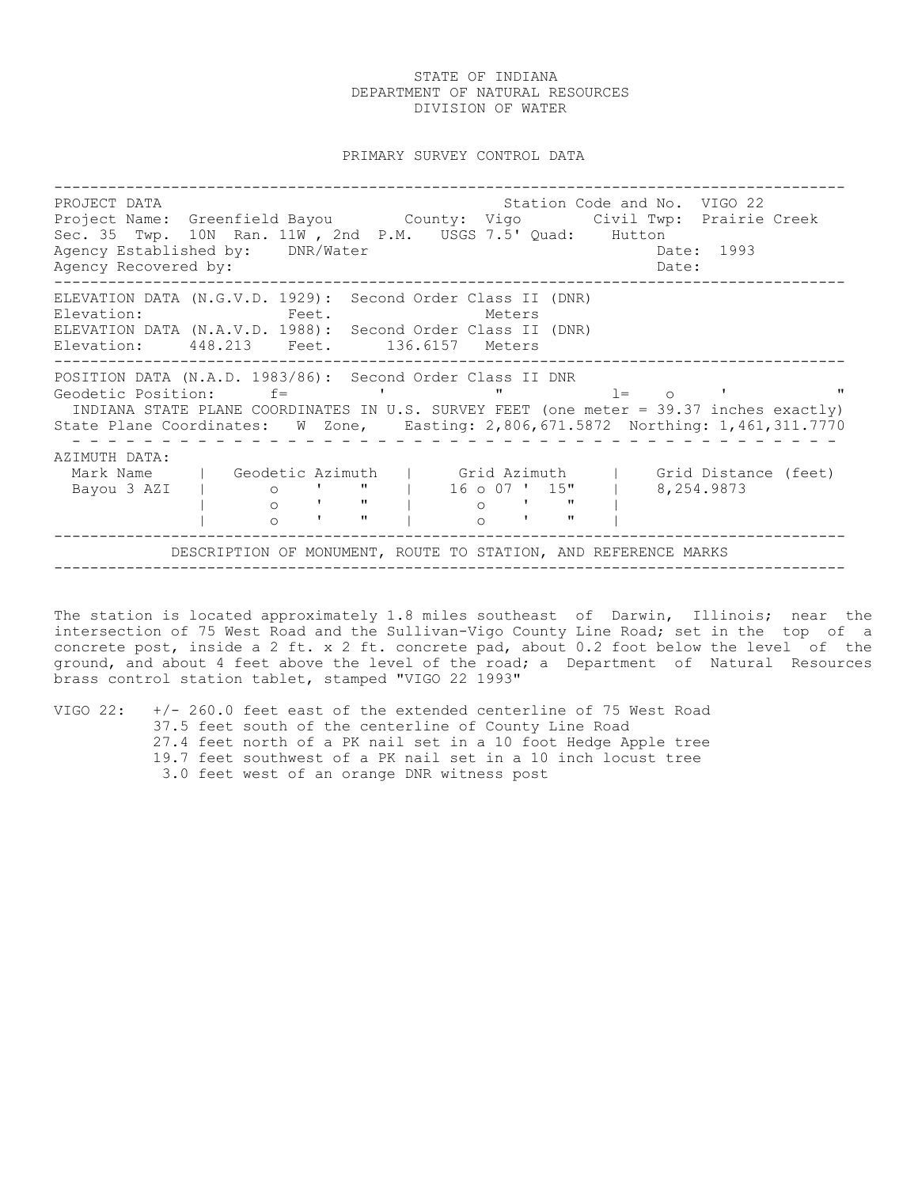PRIMARY SURVEY CONTROL DATA

---------------------------------------------------------------------------------------- PROJECT DATA Station Code and No. VIGO 22 Project Name: Greenfield Bayou County: Vigo Civil Twp: Prairie Creek Sec. 35 Twp. 10N Ran. 11W , 2nd P.M. USGS 7.5' Quad: Hutton Agency Established by: DNR/Water Case Communication of the Date: 1993 Agency Recovered by:  $\Box$ ---------------------------------------------------------------------------------------- ELEVATION DATA (N.G.V.D. 1929): Second Order Class II (DNR) Elevation: Feet. Feet. Meters ELEVATION DATA (N.A.V.D. 1988): Second Order Class II (DNR) Elevation: 448.213 Feet. 136.6157 Meters ---------------------------------------------------------------------------------------- POSITION DATA (N.A.D. 1983/86): Second Order Class II DNR Geodetic Position: f= ' " l= o ' " INDIANA STATE PLANE COORDINATES IN U.S. SURVEY FEET (one meter = 39.37 inches exactly) State Plane Coordinates: W Zone, Easting: 2,806,671.5872 Northing: 1,461,311.7770 - - - - - - - - - - - - - - - - - - - - - - - - - - - - - - - - - - - - - - - - - - - AZIMUTH DATA: Mark Name | Geodetic Azimuth | Grid Azimuth | Grid Distance (feet) Bayou 3 AZI | o ' " | 16 o 07 ' 15" | 8,254.9873 | o ' " | o ' " | | o ' " | o ' " | ---------------------------------------------------------------------------------------- DESCRIPTION OF MONUMENT, ROUTE TO STATION, AND REFERENCE MARKS ----------------------------------------------------------------------------------------

The station is located approximately 1.8 miles southeast of Darwin, Illinois; near the intersection of 75 West Road and the Sullivan-Vigo County Line Road; set in the top of a concrete post, inside a 2 ft. x 2 ft. concrete pad, about 0.2 foot below the level of the ground, and about 4 feet above the level of the road; a Department of Natural Resources brass control station tablet, stamped "VIGO 22 1993"

VIGO 22: +/- 260.0 feet east of the extended centerline of 75 West Road 37.5 feet south of the centerline of County Line Road 27.4 feet north of a PK nail set in a 10 foot Hedge Apple tree 19.7 feet southwest of a PK nail set in a 10 inch locust tree 3.0 feet west of an orange DNR witness post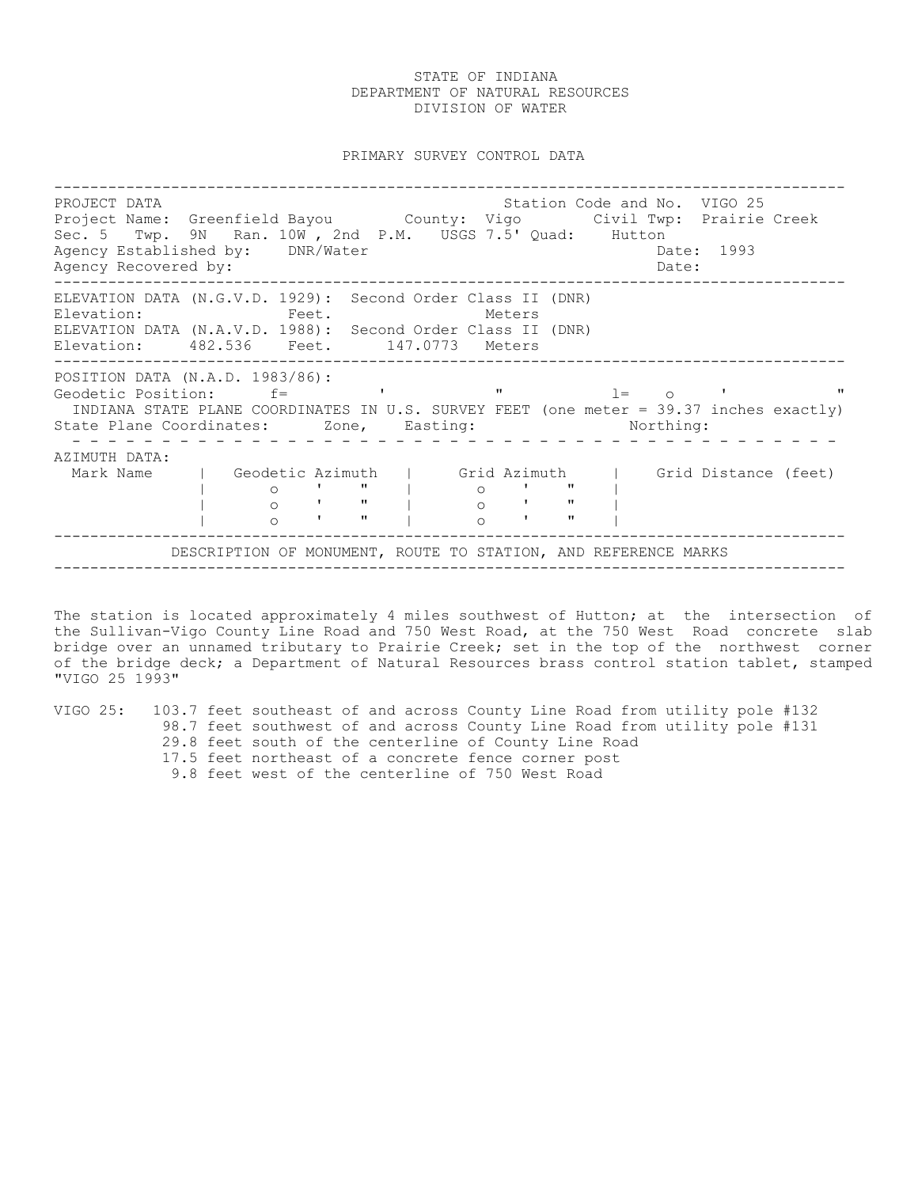PRIMARY SURVEY CONTROL DATA

---------------------------------------------------------------------------------------- PROJECT DATA Station Code and No. VIGO 25 Project Name: Greenfield Bayou County: Vigo Civil Twp: Prairie Creek Sec. 5 Twp. 9N Ran. 10W , 2nd P.M. USGS 7.5' Quad: Hutton Agency Established by: DNR/Water Case Controller Date: 1993 Agency Recovered by:  $\Box$ ---------------------------------------------------------------------------------------- ELEVATION DATA (N.G.V.D. 1929): Second Order Class II (DNR) Elevation: Feet. Feet. Meters ELEVATION DATA (N.A.V.D. 1988): Second Order Class II (DNR) Elevation: 482.536 Feet. 147.0773 Meters ---------------------------------------------------------------------------------------- POSITION DATA (N.A.D. 1983/86): Geodetic Position:  $f =$  ' ' "  $l = 0$  ' " INDIANA STATE PLANE COORDINATES IN U.S. SURVEY FEET (one meter = 39.37 inches exactly) State Plane Coordinates: Zone, Easting: Northing: - - - - - - - - - - - - - - - - - - - - - - - - - - - - - - - - - - - - - - - - - - - AZIMUTH DATA: Mark Name | Geodetic Azimuth | Grid Azimuth | Grid Distance (feet) | o ' " | o ' " | | o ' " | o ' " | | o ' " | o ' " | ---------------------------------------------------------------------------------------- DESCRIPTION OF MONUMENT, ROUTE TO STATION, AND REFERENCE MARKS ----------------------------------------------------------------------------------------

The station is located approximately 4 miles southwest of Hutton; at the intersection of the Sullivan-Vigo County Line Road and 750 West Road, at the 750 West Road concrete slab bridge over an unnamed tributary to Prairie Creek; set in the top of the northwest corner of the bridge deck; a Department of Natural Resources brass control station tablet, stamped "VIGO 25 1993"

VIGO 25: 103.7 feet southeast of and across County Line Road from utility pole #132 98.7 feet southwest of and across County Line Road from utility pole #131 29.8 feet south of the centerline of County Line Road 17.5 feet northeast of a concrete fence corner post

9.8 feet west of the centerline of 750 West Road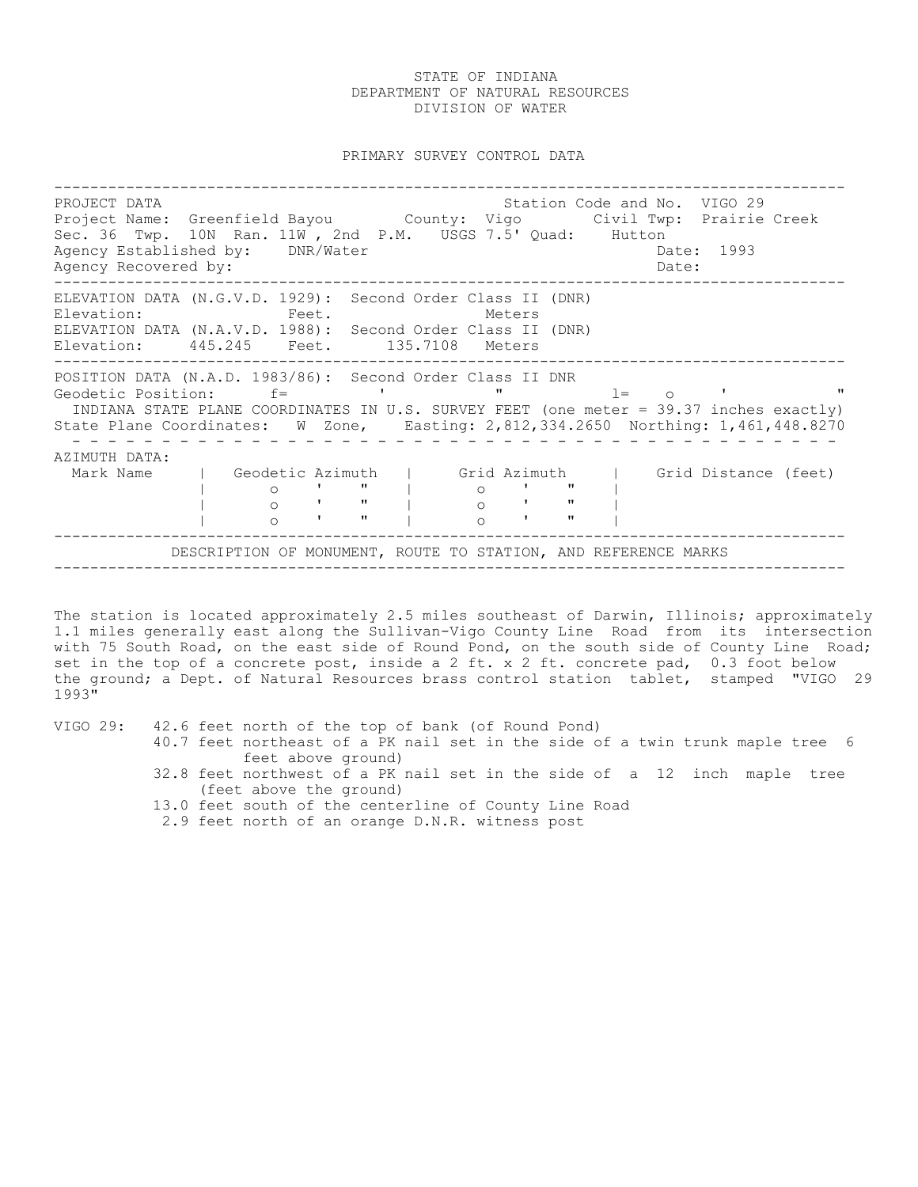PRIMARY SURVEY CONTROL DATA

---------------------------------------------------------------------------------------- PROJECT DATA Station Code and No. VIGO 29 Project Name: Greenfield Bayou County: Vigo Civil Twp: Prairie Creek Sec. 36 Twp. 10N Ran. 11W , 2nd P.M. USGS 7.5' Quad: Hutton Agency Established by: DNR/Water Case Communication of the Date: 1993 Agency Recovered by: Date: ---------------------------------------------------------------------------------------- ELEVATION DATA (N.G.V.D. 1929): Second Order Class II (DNR) Elevation: Feet. Feet. Meters ELEVATION DATA (N.A.V.D. 1988): Second Order Class II (DNR) Elevation: 445.245 Feet. 135.7108 Meters ---------------------------------------------------------------------------------------- POSITION DATA (N.A.D. 1983/86): Second Order Class II DNR Geodetic Position: f= ' " l= o ' " INDIANA STATE PLANE COORDINATES IN U.S. SURVEY FEET (one meter = 39.37 inches exactly) State Plane Coordinates: W Zone, Easting: 2,812,334.2650 Northing: 1,461,448.8270 - - - - - - - - - - - - - - - - - - - - - - - - - - - - - - - - - - - - - - - - - - - AZIMUTH DATA: Mark Name | Geodetic Azimuth | Grid Azimuth | Grid Distance (feet)<br>
| 0 ' " | 0 ' " |<br>
| 0 ' " | 0 ' " | | o ' " | o ' " | | o ' " | o ' " | | o ' " | o ' " | ---------------------------------------------------------------------------------------- DESCRIPTION OF MONUMENT, ROUTE TO STATION, AND REFERENCE MARKS ----------------------------------------------------------------------------------------

The station is located approximately 2.5 miles southeast of Darwin, Illinois; approximately 1.1 miles generally east along the Sullivan-Vigo County Line Road from its intersection with 75 South Road, on the east side of Round Pond, on the south side of County Line Road; set in the top of a concrete post, inside a 2 ft. x 2 ft. concrete pad, 0.3 foot below the ground; a Dept. of Natural Resources brass control station tablet, stamped "VIGO 29 1993"

VIGO 29: 42.6 feet north of the top of bank (of Round Pond)

- 40.7 feet northeast of a PK nail set in the side of a twin trunk maple tree 6 feet above ground)
- 32.8 feet northwest of a PK nail set in the side of a 12 inch maple tree (feet above the ground)
- 13.0 feet south of the centerline of County Line Road
- 2.9 feet north of an orange D.N.R. witness post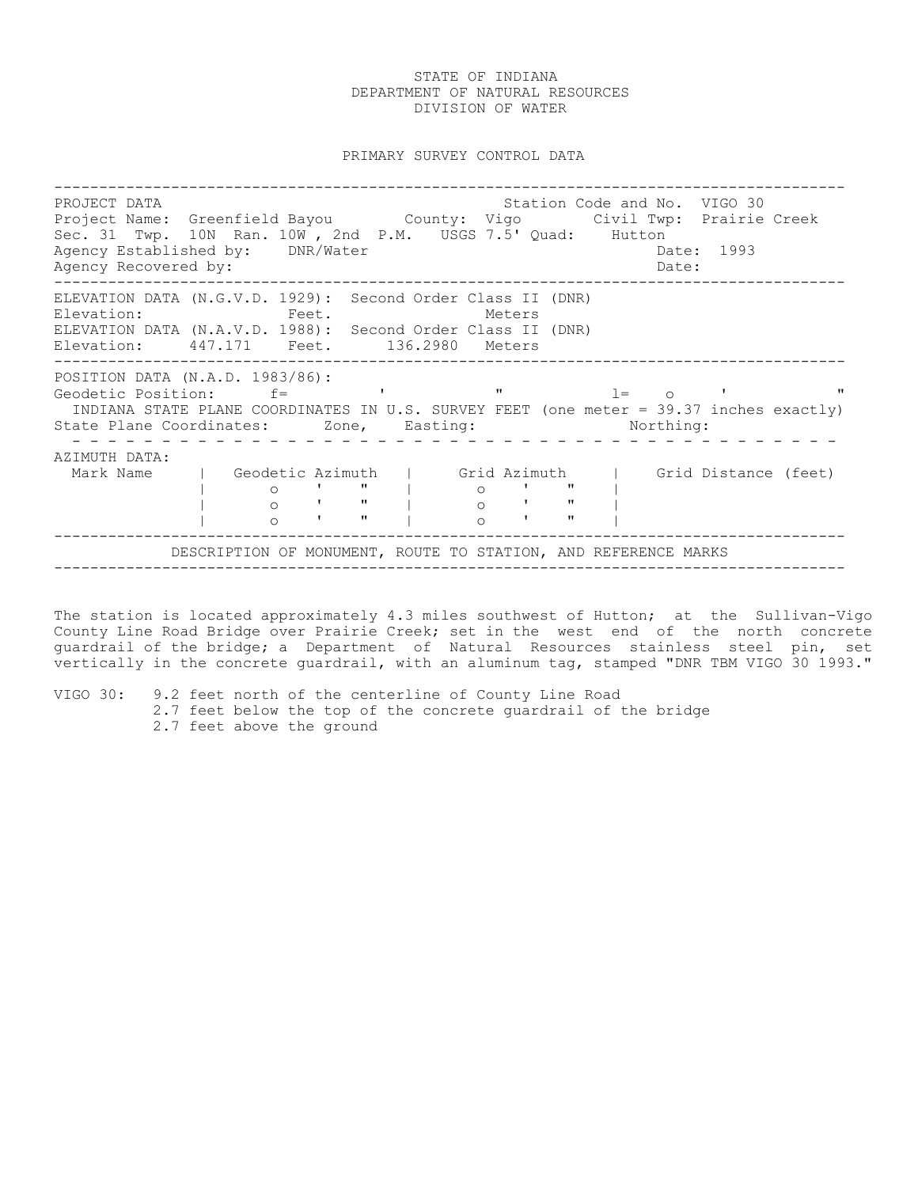PRIMARY SURVEY CONTROL DATA

---------------------------------------------------------------------------------------- PROJECT DATA Station Code and No. VIGO 30 Project Name: Greenfield Bayou County: Vigo Civil Twp: Prairie Creek Sec. 31 Twp. 10N Ran. 10W , 2nd P.M. USGS 7.5' Quad: Hutton Agency Established by: DNR/Water Case Communication of the Date: 1993 Agency Recovered by:  $\Box$ ---------------------------------------------------------------------------------------- ELEVATION DATA (N.G.V.D. 1929): Second Order Class II (DNR) Elevation: Feet. Feet. Meters ELEVATION DATA (N.A.V.D. 1988): Second Order Class II (DNR) Elevation: 447.171 Feet. 136.2980 Meters ---------------------------------------------------------------------------------------- POSITION DATA (N.A.D. 1983/86): Geodetic Position:  $f=$  ' ' "  $l=$  o ' " INDIANA STATE PLANE COORDINATES IN U.S. SURVEY FEET (one meter = 39.37 inches exactly) State Plane Coordinates: Zone, Easting: Northing: - - - - - - - - - - - - - - - - - - - - - - - - - - - - - - - - - - - - - - - - - - - AZIMUTH DATA: Mark Name | Geodetic Azimuth | Grid Azimuth | Grid Distance (feet)<br>
| 0 ' " | 0 ' " |<br>
| 0 ' " | 0 ' " | | o ' " | o ' " | | o ' " | o ' " | | o ' " | o ' " | ---------------------------------------------------------------------------------------- DESCRIPTION OF MONUMENT, ROUTE TO STATION, AND REFERENCE MARKS ----------------------------------------------------------------------------------------

The station is located approximately 4.3 miles southwest of Hutton; at the Sullivan-Vigo County Line Road Bridge over Prairie Creek; set in the west end of the north concrete guardrail of the bridge; a Department of Natural Resources stainless steel pin, set vertically in the concrete guardrail, with an aluminum tag, stamped "DNR TBM VIGO 30 1993."

VIGO 30: 9.2 feet north of the centerline of County Line Road 2.7 feet below the top of the concrete guardrail of the bridge 2.7 feet above the ground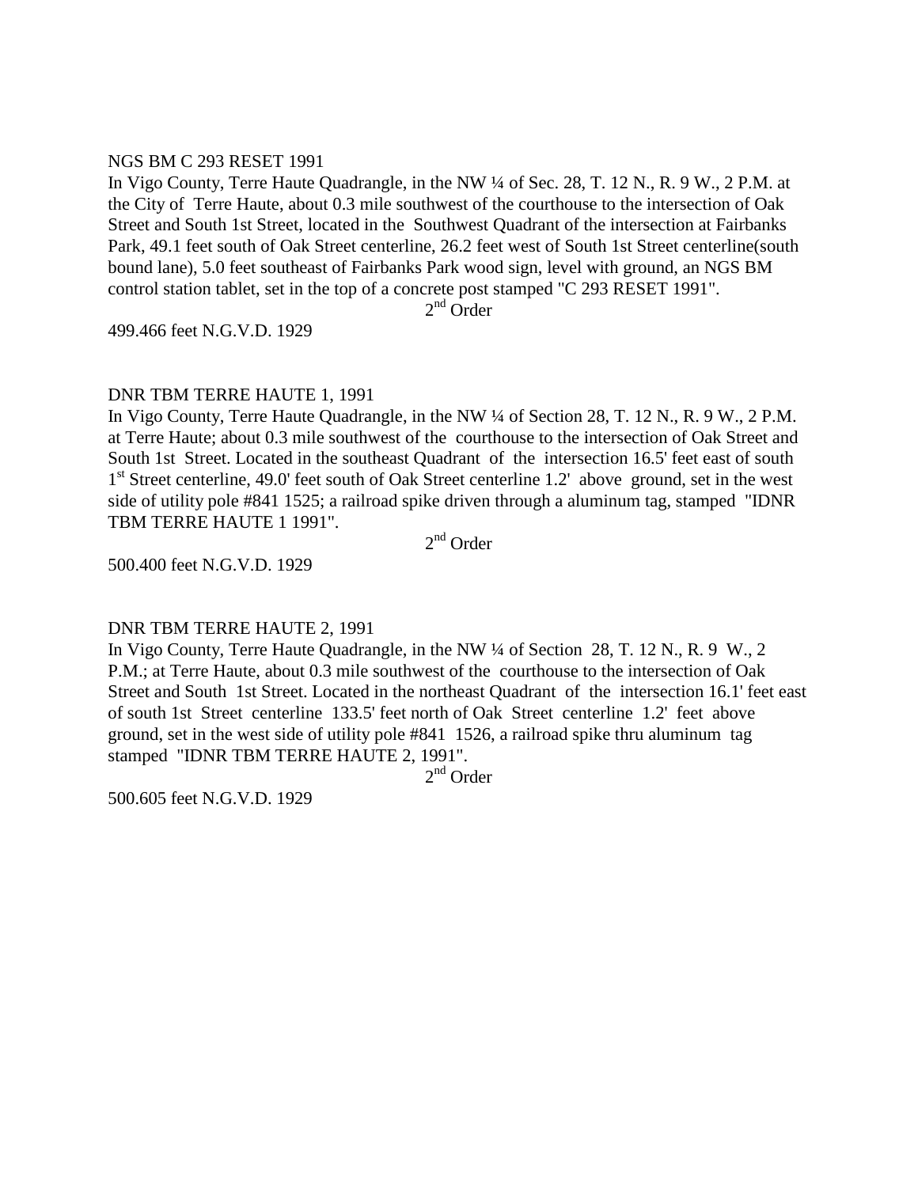## NGS BM C 293 RESET 1991

In Vigo County, Terre Haute Quadrangle, in the NW ¼ of Sec. 28, T. 12 N., R. 9 W., 2 P.M. at the City of Terre Haute, about 0.3 mile southwest of the courthouse to the intersection of Oak Street and South 1st Street, located in the Southwest Quadrant of the intersection at Fairbanks Park, 49.1 feet south of Oak Street centerline, 26.2 feet west of South 1st Street centerline(south bound lane), 5.0 feet southeast of Fairbanks Park wood sign, level with ground, an NGS BM control station tablet, set in the top of a concrete post stamped "C 293 RESET 1991".

 $2<sup>nd</sup>$  Order

499.466 feet N.G.V.D. 1929

# DNR TBM TERRE HAUTE 1, 1991

In Vigo County, Terre Haute Quadrangle, in the NW  $\frac{1}{4}$  of Section 28, T. 12 N., R. 9 W., 2 P.M. at Terre Haute; about 0.3 mile southwest of the courthouse to the intersection of Oak Street and South 1st Street. Located in the southeast Quadrant of the intersection 16.5' feet east of south 1<sup>st</sup> Street centerline, 49.0' feet south of Oak Street centerline 1.2' above ground, set in the west side of utility pole #841 1525; a railroad spike driven through a aluminum tag, stamped "IDNR TBM TERRE HAUTE 1 1991".

2<sup>nd</sup> Order

500.400 feet N.G.V.D. 1929

# DNR TBM TERRE HAUTE 2, 1991

In Vigo County, Terre Haute Quadrangle, in the NW ¼ of Section 28, T. 12 N., R. 9 W., 2 P.M.; at Terre Haute, about 0.3 mile southwest of the courthouse to the intersection of Oak Street and South 1st Street. Located in the northeast Quadrant of the intersection 16.1' feet east of south 1st Street centerline 133.5' feet north of Oak Street centerline 1.2' feet above ground, set in the west side of utility pole #841 1526, a railroad spike thru aluminum tag stamped "IDNR TBM TERRE HAUTE 2, 1991".

2<sup>nd</sup> Order

500.605 feet N.G.V.D. 1929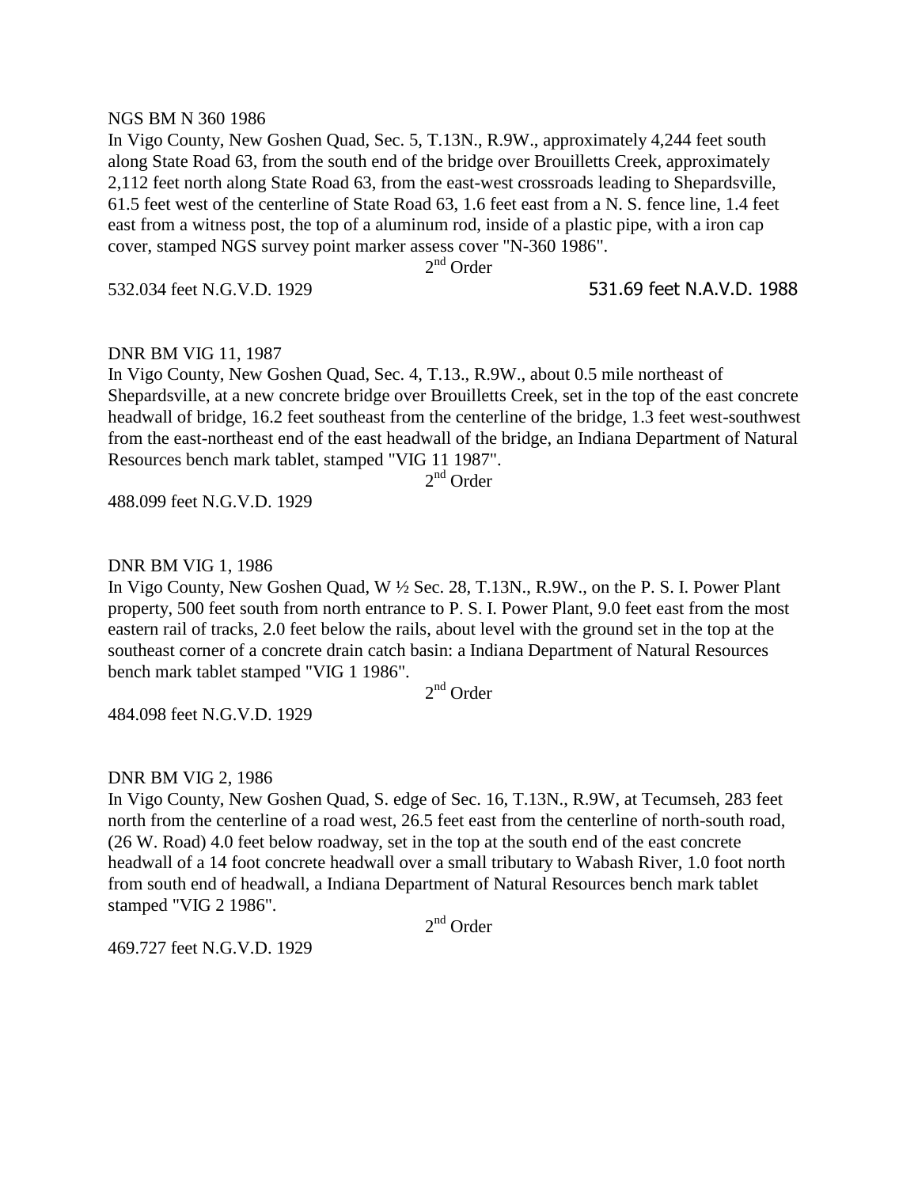### NGS BM N 360 1986

In Vigo County, New Goshen Quad, Sec. 5, T.13N., R.9W., approximately 4,244 feet south along State Road 63, from the south end of the bridge over Brouilletts Creek, approximately 2,112 feet north along State Road 63, from the east-west crossroads leading to Shepardsville, 61.5 feet west of the centerline of State Road 63, 1.6 feet east from a N. S. fence line, 1.4 feet east from a witness post, the top of a aluminum rod, inside of a plastic pipe, with a iron cap cover, stamped NGS survey point marker assess cover "N-360 1986".

2<sup>nd</sup> Order

532.034 feet N.G.V.D. 1929 531.69 feet N.A.V.D. 1988

## DNR BM VIG 11, 1987

In Vigo County, New Goshen Quad, Sec. 4, T.13., R.9W., about 0.5 mile northeast of Shepardsville, at a new concrete bridge over Brouilletts Creek, set in the top of the east concrete headwall of bridge, 16.2 feet southeast from the centerline of the bridge, 1.3 feet west-southwest from the east-northeast end of the east headwall of the bridge, an Indiana Department of Natural Resources bench mark tablet, stamped "VIG 11 1987".

2<sup>nd</sup> Order

488.099 feet N.G.V.D. 1929

#### DNR BM VIG 1, 1986

In Vigo County, New Goshen Quad, W ½ Sec. 28, T.13N., R.9W., on the P. S. I. Power Plant property, 500 feet south from north entrance to P. S. I. Power Plant, 9.0 feet east from the most eastern rail of tracks, 2.0 feet below the rails, about level with the ground set in the top at the southeast corner of a concrete drain catch basin: a Indiana Department of Natural Resources bench mark tablet stamped "VIG 1 1986".

2<sup>nd</sup> Order

484.098 feet N.G.V.D. 1929

DNR BM VIG 2, 1986

In Vigo County, New Goshen Quad, S. edge of Sec. 16, T.13N., R.9W, at Tecumseh, 283 feet north from the centerline of a road west, 26.5 feet east from the centerline of north-south road, (26 W. Road) 4.0 feet below roadway, set in the top at the south end of the east concrete headwall of a 14 foot concrete headwall over a small tributary to Wabash River, 1.0 foot north from south end of headwall, a Indiana Department of Natural Resources bench mark tablet stamped "VIG 2 1986".

2<sup>nd</sup> Order

469.727 feet N.G.V.D. 1929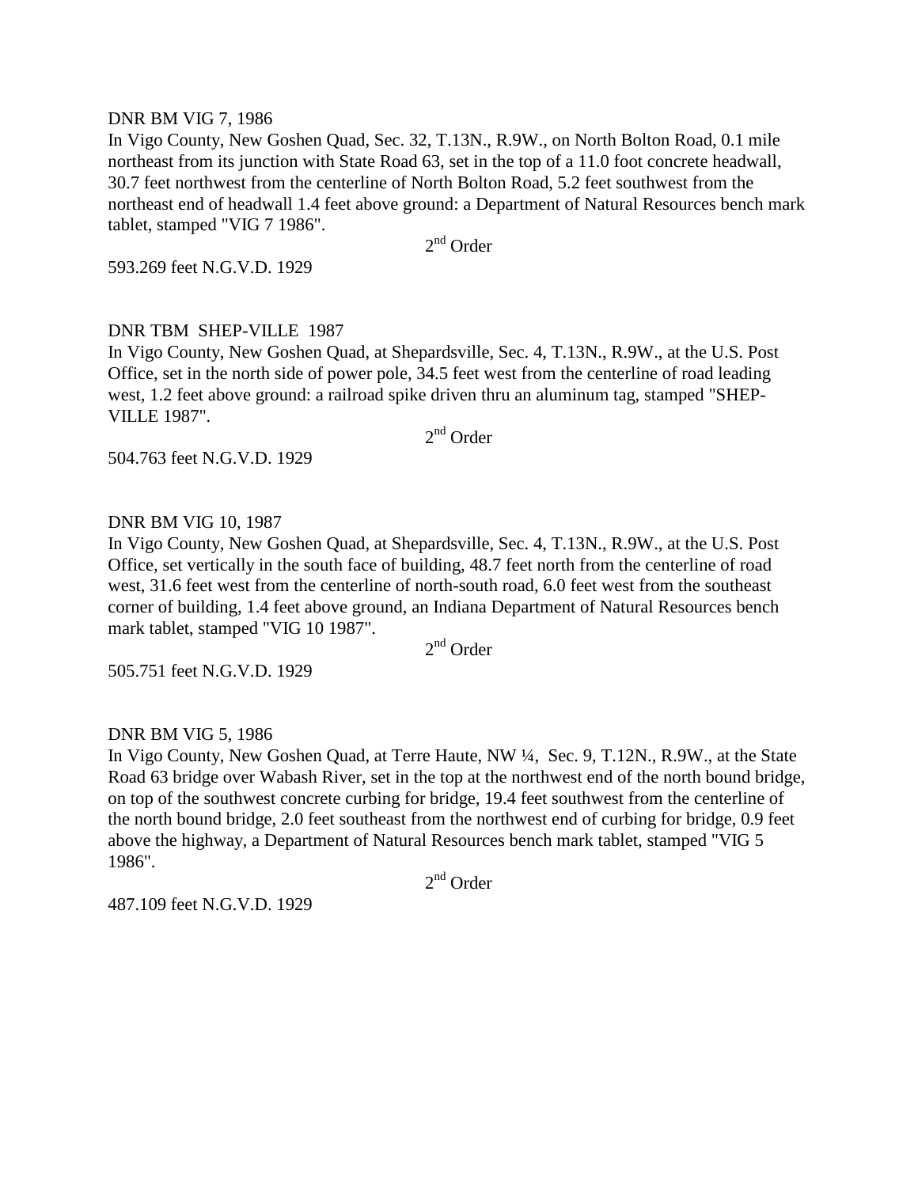### DNR BM VIG 7, 1986

In Vigo County, New Goshen Quad, Sec. 32, T.13N., R.9W., on North Bolton Road, 0.1 mile northeast from its junction with State Road 63, set in the top of a 11.0 foot concrete headwall, 30.7 feet northwest from the centerline of North Bolton Road, 5.2 feet southwest from the northeast end of headwall 1.4 feet above ground: a Department of Natural Resources bench mark tablet, stamped "VIG 7 1986".

2<sup>nd</sup> Order

593.269 feet N.G.V.D. 1929

# DNR TBM SHEP-VILLE 1987

In Vigo County, New Goshen Quad, at Shepardsville, Sec. 4, T.13N., R.9W., at the U.S. Post Office, set in the north side of power pole, 34.5 feet west from the centerline of road leading west, 1.2 feet above ground: a railroad spike driven thru an aluminum tag, stamped "SHEP-VILLE 1987".

2<sup>nd</sup> Order

504.763 feet N.G.V.D. 1929

# DNR BM VIG 10, 1987

In Vigo County, New Goshen Quad, at Shepardsville, Sec. 4, T.13N., R.9W., at the U.S. Post Office, set vertically in the south face of building, 48.7 feet north from the centerline of road west, 31.6 feet west from the centerline of north-south road, 6.0 feet west from the southeast corner of building, 1.4 feet above ground, an Indiana Department of Natural Resources bench mark tablet, stamped "VIG 10 1987".

2<sup>nd</sup> Order

505.751 feet N.G.V.D. 1929

DNR BM VIG 5, 1986

In Vigo County, New Goshen Quad, at Terre Haute, NW ¼, Sec. 9, T.12N., R.9W., at the State Road 63 bridge over Wabash River, set in the top at the northwest end of the north bound bridge, on top of the southwest concrete curbing for bridge, 19.4 feet southwest from the centerline of the north bound bridge, 2.0 feet southeast from the northwest end of curbing for bridge, 0.9 feet above the highway, a Department of Natural Resources bench mark tablet, stamped "VIG 5 1986".

2<sup>nd</sup> Order

487.109 feet N.G.V.D. 1929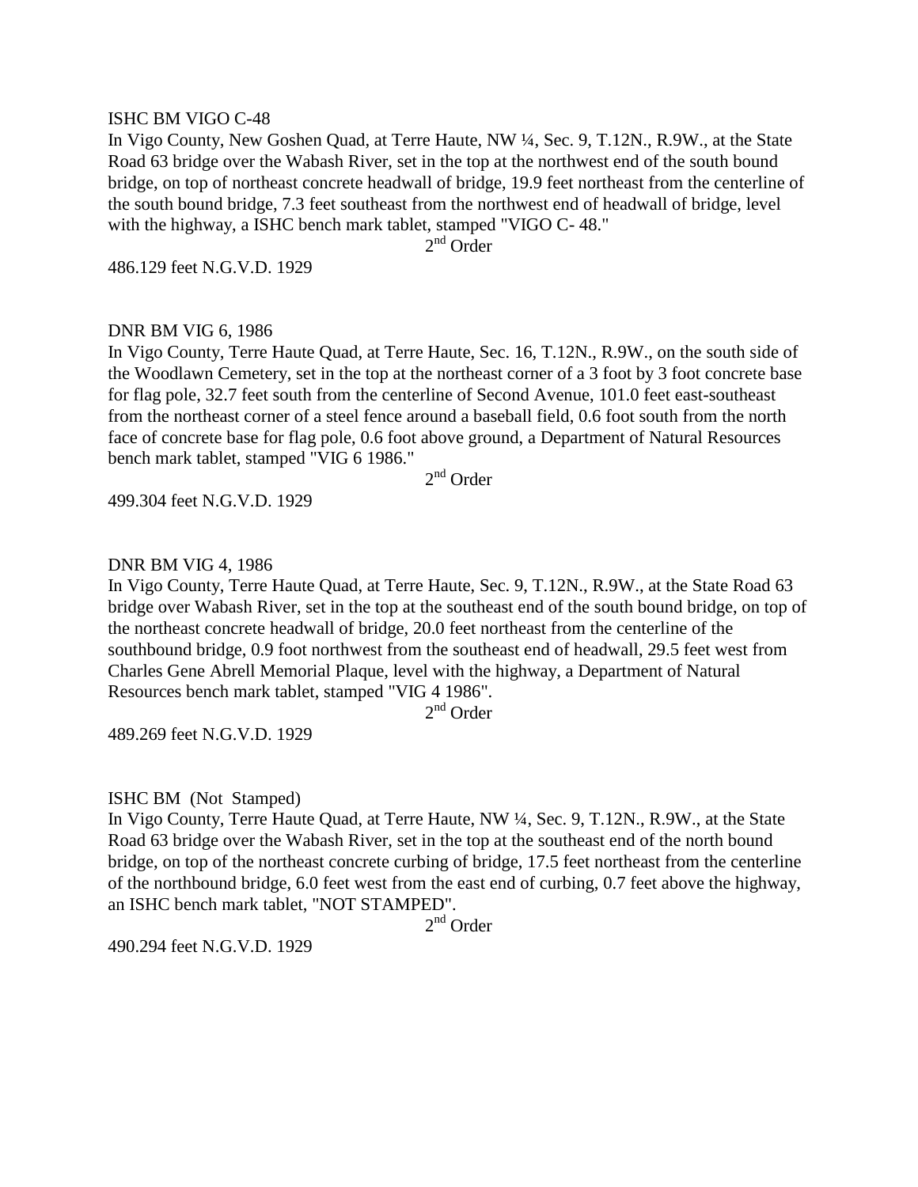### ISHC BM VIGO C-48

In Vigo County, New Goshen Quad, at Terre Haute, NW ¼, Sec. 9, T.12N., R.9W., at the State Road 63 bridge over the Wabash River, set in the top at the northwest end of the south bound bridge, on top of northeast concrete headwall of bridge, 19.9 feet northeast from the centerline of the south bound bridge, 7.3 feet southeast from the northwest end of headwall of bridge, level with the highway, a ISHC bench mark tablet, stamped "VIGO C- 48."

 $2<sup>nd</sup>$  Order

486.129 feet N.G.V.D. 1929

## DNR BM VIG 6, 1986

In Vigo County, Terre Haute Quad, at Terre Haute, Sec. 16, T.12N., R.9W., on the south side of the Woodlawn Cemetery, set in the top at the northeast corner of a 3 foot by 3 foot concrete base for flag pole, 32.7 feet south from the centerline of Second Avenue, 101.0 feet east-southeast from the northeast corner of a steel fence around a baseball field, 0.6 foot south from the north face of concrete base for flag pole, 0.6 foot above ground, a Department of Natural Resources bench mark tablet, stamped "VIG 6 1986."

2<sup>nd</sup> Order

499.304 feet N.G.V.D. 1929

### DNR BM VIG 4, 1986

In Vigo County, Terre Haute Quad, at Terre Haute, Sec. 9, T.12N., R.9W., at the State Road 63 bridge over Wabash River, set in the top at the southeast end of the south bound bridge, on top of the northeast concrete headwall of bridge, 20.0 feet northeast from the centerline of the southbound bridge, 0.9 foot northwest from the southeast end of headwall, 29.5 feet west from Charles Gene Abrell Memorial Plaque, level with the highway, a Department of Natural Resources bench mark tablet, stamped "VIG 4 1986".

2<sup>nd</sup> Order

489.269 feet N.G.V.D. 1929

### ISHC BM (Not Stamped)

In Vigo County, Terre Haute Quad, at Terre Haute, NW ¼, Sec. 9, T.12N., R.9W., at the State Road 63 bridge over the Wabash River, set in the top at the southeast end of the north bound bridge, on top of the northeast concrete curbing of bridge, 17.5 feet northeast from the centerline of the northbound bridge, 6.0 feet west from the east end of curbing, 0.7 feet above the highway, an ISHC bench mark tablet, "NOT STAMPED".

2<sup>nd</sup> Order

490.294 feet N.G.V.D. 1929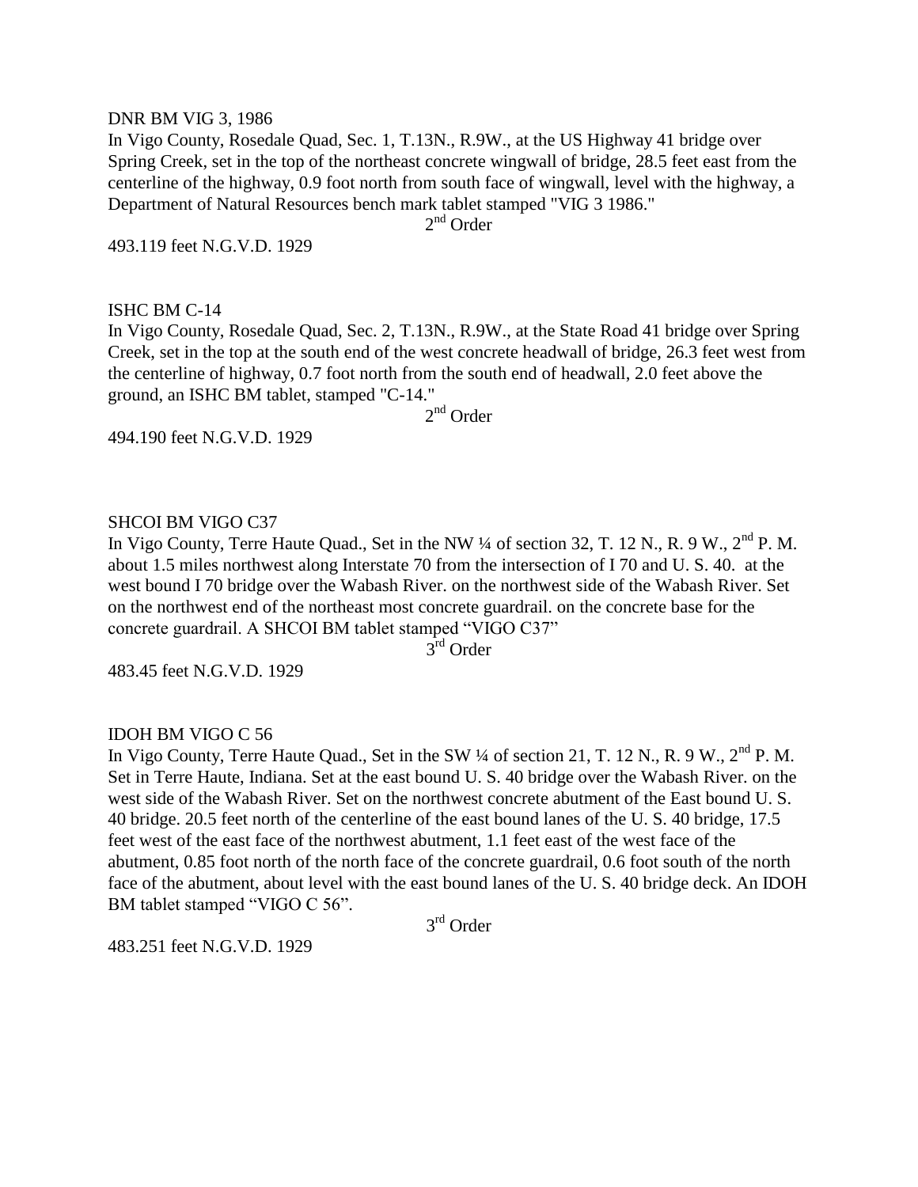#### DNR BM VIG 3, 1986

In Vigo County, Rosedale Quad, Sec. 1, T.13N., R.9W., at the US Highway 41 bridge over Spring Creek, set in the top of the northeast concrete wingwall of bridge, 28.5 feet east from the centerline of the highway, 0.9 foot north from south face of wingwall, level with the highway, a Department of Natural Resources bench mark tablet stamped "VIG 3 1986."

2<sup>nd</sup> Order

493.119 feet N.G.V.D. 1929

#### ISHC BM C-14

In Vigo County, Rosedale Quad, Sec. 2, T.13N., R.9W., at the State Road 41 bridge over Spring Creek, set in the top at the south end of the west concrete headwall of bridge, 26.3 feet west from the centerline of highway, 0.7 foot north from the south end of headwall, 2.0 feet above the ground, an ISHC BM tablet, stamped "C-14." 2<sup>nd</sup> Order

494.190 feet N.G.V.D. 1929

## SHCOI BM VIGO C37

In Vigo County, Terre Haute Quad., Set in the NW 1/4 of section 32, T. 12 N., R. 9 W., 2<sup>nd</sup> P. M. about 1.5 miles northwest along Interstate 70 from the intersection of I 70 and U. S. 40. at the west bound I 70 bridge over the Wabash River. on the northwest side of the Wabash River. Set on the northwest end of the northeast most concrete guardrail. on the concrete base for the concrete guardrail. A SHCOI BM tablet stamped "VIGO C37"

3 rd Order

483.45 feet N.G.V.D. 1929

### IDOH BM VIGO C 56

In Vigo County, Terre Haute Quad., Set in the SW  $\frac{1}{4}$  of section 21, T. 12 N., R. 9 W.,  $2^{nd}$  P. M. Set in Terre Haute, Indiana. Set at the east bound U. S. 40 bridge over the Wabash River. on the west side of the Wabash River. Set on the northwest concrete abutment of the East bound U. S. 40 bridge. 20.5 feet north of the centerline of the east bound lanes of the U. S. 40 bridge, 17.5 feet west of the east face of the northwest abutment, 1.1 feet east of the west face of the abutment, 0.85 foot north of the north face of the concrete guardrail, 0.6 foot south of the north face of the abutment, about level with the east bound lanes of the U. S. 40 bridge deck. An IDOH BM tablet stamped "VIGO C 56".

3<sup>rd</sup> Order

483.251 feet N.G.V.D. 1929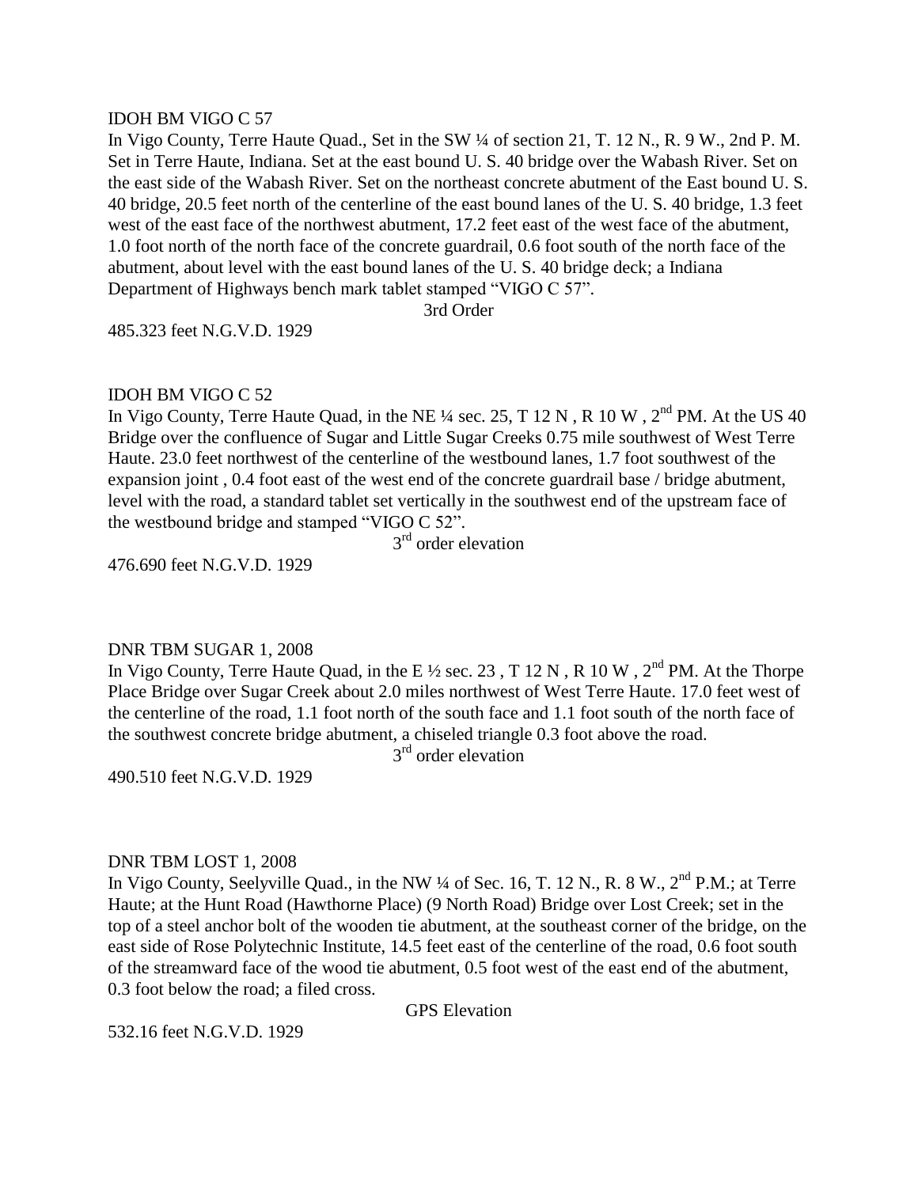### IDOH BM VIGO C 57

In Vigo County, Terre Haute Quad., Set in the SW 1/4 of section 21, T. 12 N., R. 9 W., 2nd P. M. Set in Terre Haute, Indiana. Set at the east bound U. S. 40 bridge over the Wabash River. Set on the east side of the Wabash River. Set on the northeast concrete abutment of the East bound U. S. 40 bridge, 20.5 feet north of the centerline of the east bound lanes of the U. S. 40 bridge, 1.3 feet west of the east face of the northwest abutment, 17.2 feet east of the west face of the abutment, 1.0 foot north of the north face of the concrete guardrail, 0.6 foot south of the north face of the abutment, about level with the east bound lanes of the U. S. 40 bridge deck; a Indiana Department of Highways bench mark tablet stamped "VIGO C 57".

3rd Order

485.323 feet N.G.V.D. 1929

### IDOH BM VIGO C 52

In Vigo County, Terre Haute Quad, in the NE  $\frac{1}{4}$  sec. 25, T 12 N, R 10 W,  $2^{nd}$  PM. At the US 40 Bridge over the confluence of Sugar and Little Sugar Creeks 0.75 mile southwest of West Terre Haute. 23.0 feet northwest of the centerline of the westbound lanes, 1.7 foot southwest of the expansion joint , 0.4 foot east of the west end of the concrete guardrail base / bridge abutment, level with the road, a standard tablet set vertically in the southwest end of the upstream face of the westbound bridge and stamped "VIGO C 52".

3<sup>rd</sup> order elevation

476.690 feet N.G.V.D. 1929

### DNR TBM SUGAR 1, 2008

In Vigo County, Terre Haute Quad, in the E  $\frac{1}{2}$  sec. 23, T 12 N, R 10 W, 2<sup>nd</sup> PM. At the Thorpe Place Bridge over Sugar Creek about 2.0 miles northwest of West Terre Haute. 17.0 feet west of the centerline of the road, 1.1 foot north of the south face and 1.1 foot south of the north face of the southwest concrete bridge abutment, a chiseled triangle 0.3 foot above the road.

3<sup>rd</sup> order elevation

490.510 feet N.G.V.D. 1929

### DNR TBM LOST 1, 2008

In Vigo County, Seelyville Quad., in the NW  $\frac{1}{4}$  of Sec. 16, T. 12 N., R. 8 W.,  $2^{nd}$  P.M.; at Terre Haute; at the Hunt Road (Hawthorne Place) (9 North Road) Bridge over Lost Creek; set in the top of a steel anchor bolt of the wooden tie abutment, at the southeast corner of the bridge, on the east side of Rose Polytechnic Institute, 14.5 feet east of the centerline of the road, 0.6 foot south of the streamward face of the wood tie abutment, 0.5 foot west of the east end of the abutment, 0.3 foot below the road; a filed cross.

GPS Elevation

532.16 feet N.G.V.D. 1929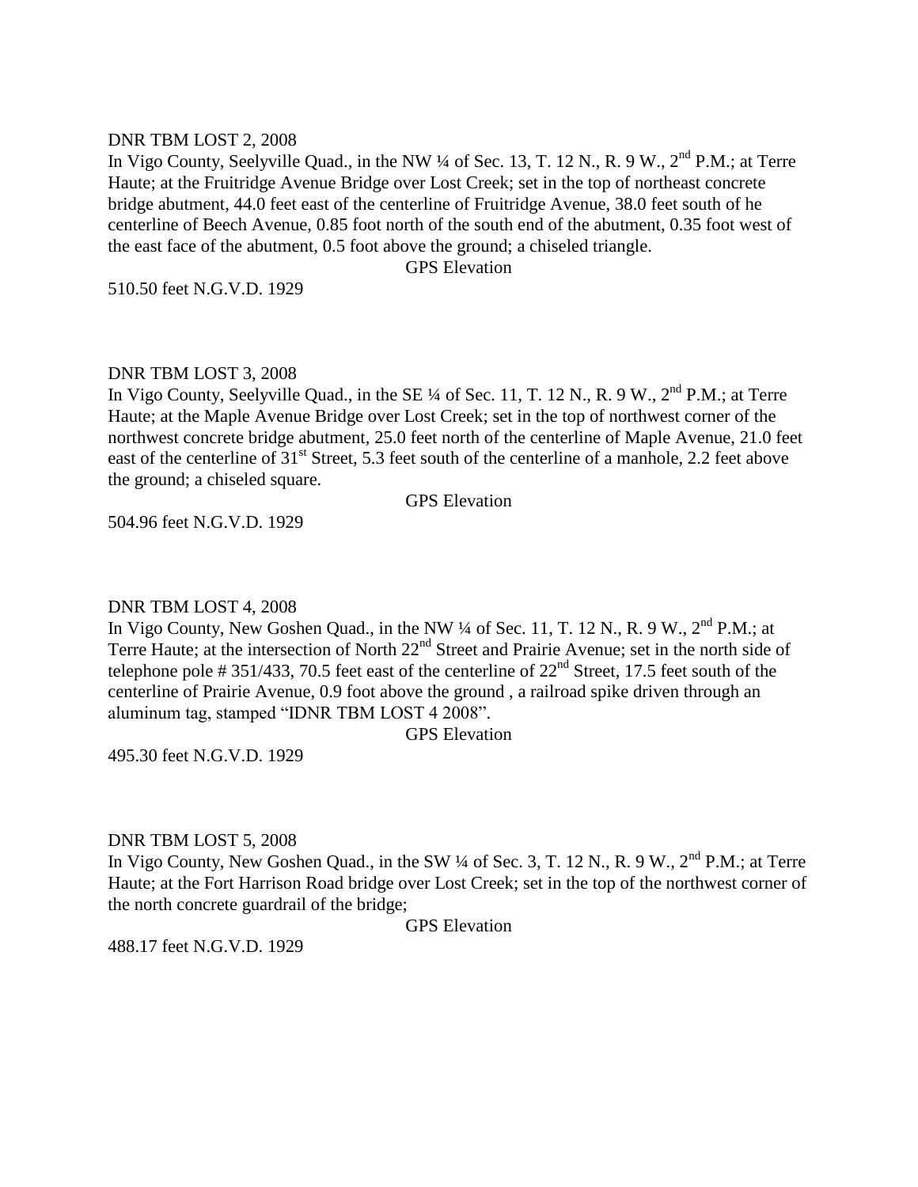### DNR TBM LOST 2, 2008

In Vigo County, Seelyville Quad., in the NW  $\frac{1}{4}$  of Sec. 13, T. 12 N., R. 9 W.,  $2^{nd}$  P.M.; at Terre Haute; at the Fruitridge Avenue Bridge over Lost Creek; set in the top of northeast concrete bridge abutment, 44.0 feet east of the centerline of Fruitridge Avenue, 38.0 feet south of he centerline of Beech Avenue, 0.85 foot north of the south end of the abutment, 0.35 foot west of the east face of the abutment, 0.5 foot above the ground; a chiseled triangle.

GPS Elevation

510.50 feet N.G.V.D. 1929

## DNR TBM LOST 3, 2008

In Vigo County, Seelyville Quad., in the SE  $\frac{1}{4}$  of Sec. 11, T. 12 N., R. 9 W.,  $2^{nd}$  P.M.; at Terre Haute; at the Maple Avenue Bridge over Lost Creek; set in the top of northwest corner of the northwest concrete bridge abutment, 25.0 feet north of the centerline of Maple Avenue, 21.0 feet east of the centerline of 31<sup>st</sup> Street, 5.3 feet south of the centerline of a manhole, 2.2 feet above the ground; a chiseled square.

GPS Elevation

504.96 feet N.G.V.D. 1929

# DNR TBM LOST 4, 2008

In Vigo County, New Goshen Quad., in the NW ¼ of Sec. 11, T. 12 N., R. 9 W., 2<sup>nd</sup> P.M.; at Terre Haute; at the intersection of North 22<sup>nd</sup> Street and Prairie Avenue; set in the north side of telephone pole # 351/433, 70.5 feet east of the centerline of  $22<sup>nd</sup>$  Street, 17.5 feet south of the centerline of Prairie Avenue, 0.9 foot above the ground , a railroad spike driven through an aluminum tag, stamped "IDNR TBM LOST 4 2008".

GPS Elevation

495.30 feet N.G.V.D. 1929

# DNR TBM LOST 5, 2008

In Vigo County, New Goshen Quad., in the SW  $\frac{1}{4}$  of Sec. 3, T. 12 N., R. 9 W.,  $2^{nd}$  P.M.; at Terre Haute; at the Fort Harrison Road bridge over Lost Creek; set in the top of the northwest corner of the north concrete guardrail of the bridge;

GPS Elevation

488.17 feet N.G.V.D. 1929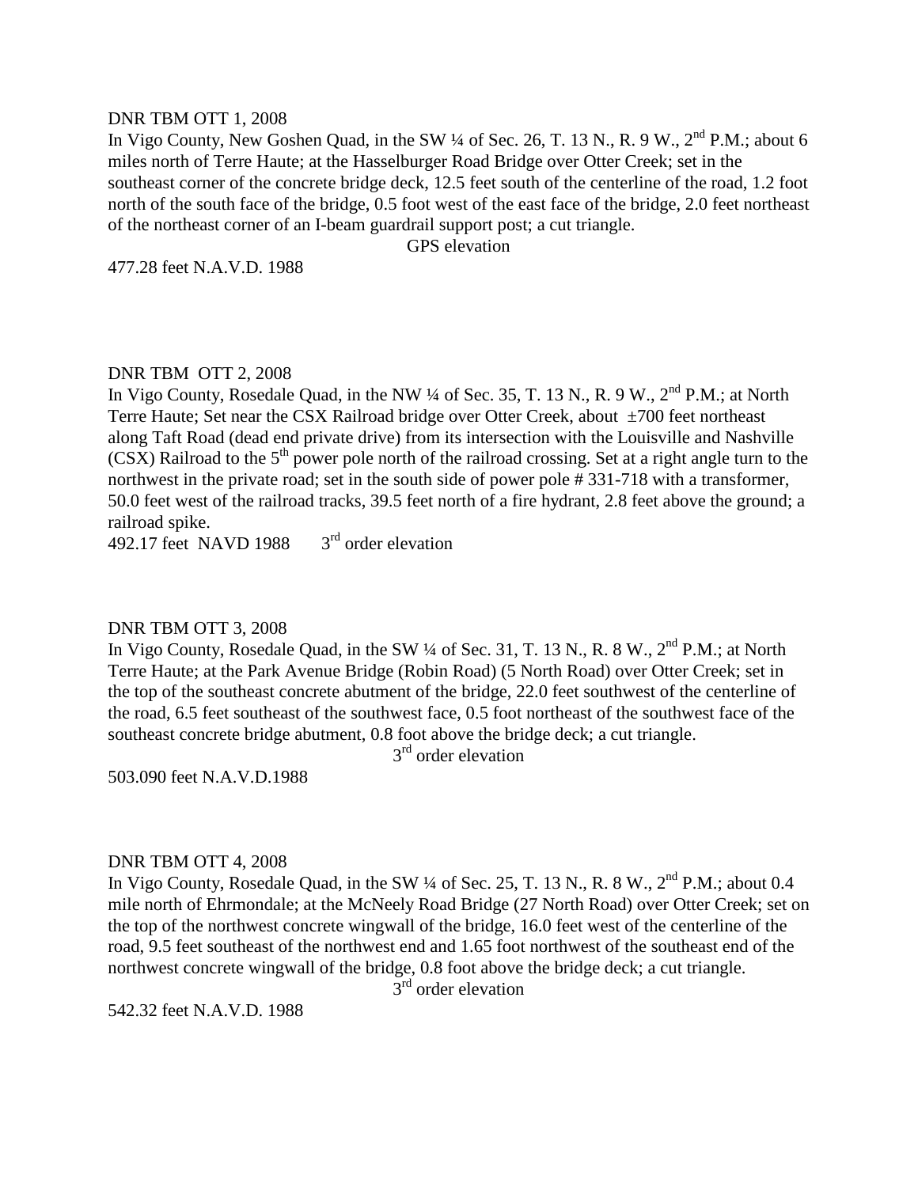#### DNR TBM OTT 1, 2008

In Vigo County, New Goshen Quad, in the SW  $\frac{1}{4}$  of Sec. 26, T. 13 N., R. 9 W.,  $2^{nd}$  P.M.; about 6 miles north of Terre Haute; at the Hasselburger Road Bridge over Otter Creek; set in the southeast corner of the concrete bridge deck, 12.5 feet south of the centerline of the road, 1.2 foot north of the south face of the bridge, 0.5 foot west of the east face of the bridge, 2.0 feet northeast of the northeast corner of an I-beam guardrail support post; a cut triangle.

GPS elevation

477.28 feet N.A.V.D. 1988

## DNR TBM OTT 2, 2008

In Vigo County, Rosedale Quad, in the NW  $\frac{1}{4}$  of Sec. 35, T. 13 N., R. 9 W.,  $2^{nd}$  P.M.; at North Terre Haute; Set near the CSX Railroad bridge over Otter Creek, about ±700 feet northeast along Taft Road (dead end private drive) from its intersection with the Louisville and Nashville  $(CSX)$  Railroad to the  $5<sup>th</sup>$  power pole north of the railroad crossing. Set at a right angle turn to the northwest in the private road; set in the south side of power pole # 331-718 with a transformer, 50.0 feet west of the railroad tracks, 39.5 feet north of a fire hydrant, 2.8 feet above the ground; a railroad spike.

492.17 feet NAVD 1988  $3<sup>rd</sup>$  order elevation

### DNR TBM OTT 3, 2008

In Vigo County, Rosedale Quad, in the SW 1/4 of Sec. 31, T. 13 N., R. 8 W., 2<sup>nd</sup> P.M.; at North Terre Haute; at the Park Avenue Bridge (Robin Road) (5 North Road) over Otter Creek; set in the top of the southeast concrete abutment of the bridge, 22.0 feet southwest of the centerline of the road, 6.5 feet southeast of the southwest face, 0.5 foot northeast of the southwest face of the southeast concrete bridge abutment, 0.8 foot above the bridge deck; a cut triangle.

3<sup>rd</sup> order elevation

503.090 feet N.A.V.D.1988

### DNR TBM OTT 4, 2008

In Vigo County, Rosedale Quad, in the SW  $\frac{1}{4}$  of Sec. 25, T. 13 N., R. 8 W.,  $2^{nd}$  P.M.; about 0.4 mile north of Ehrmondale; at the McNeely Road Bridge (27 North Road) over Otter Creek; set on the top of the northwest concrete wingwall of the bridge, 16.0 feet west of the centerline of the road, 9.5 feet southeast of the northwest end and 1.65 foot northwest of the southeast end of the northwest concrete wingwall of the bridge, 0.8 foot above the bridge deck; a cut triangle.

 $3<sup>rd</sup>$  order elevation

542.32 feet N.A.V.D. 1988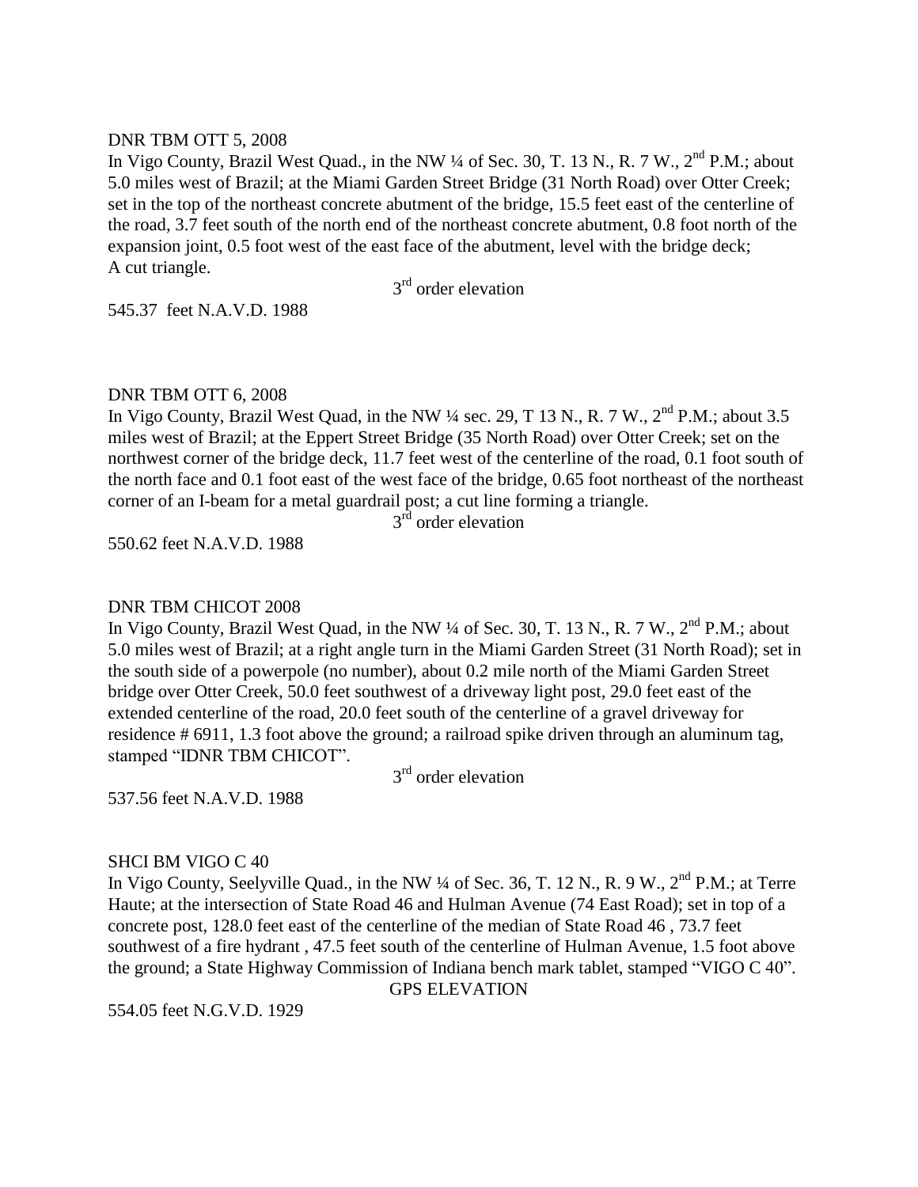### DNR TBM OTT 5, 2008

In Vigo County, Brazil West Quad., in the NW  $\frac{1}{4}$  of Sec. 30, T. 13 N., R. 7 W.,  $2^{nd}$  P.M.; about 5.0 miles west of Brazil; at the Miami Garden Street Bridge (31 North Road) over Otter Creek; set in the top of the northeast concrete abutment of the bridge, 15.5 feet east of the centerline of the road, 3.7 feet south of the north end of the northeast concrete abutment, 0.8 foot north of the expansion joint, 0.5 foot west of the east face of the abutment, level with the bridge deck; A cut triangle.

3<sup>rd</sup> order elevation

545.37 feet N.A.V.D. 1988

### DNR TBM OTT 6, 2008

In Vigo County, Brazil West Quad, in the NW  $\frac{1}{4}$  sec. 29, T 13 N., R. 7 W.,  $2^{nd}$  P.M.; about 3.5 miles west of Brazil; at the Eppert Street Bridge (35 North Road) over Otter Creek; set on the northwest corner of the bridge deck, 11.7 feet west of the centerline of the road, 0.1 foot south of the north face and 0.1 foot east of the west face of the bridge, 0.65 foot northeast of the northeast corner of an I-beam for a metal guardrail post; a cut line forming a triangle.

3<sup>rd</sup> order elevation

550.62 feet N.A.V.D. 1988

#### DNR TBM CHICOT 2008

In Vigo County, Brazil West Quad, in the NW  $\frac{1}{4}$  of Sec. 30, T. 13 N., R. 7 W.,  $2^{nd}$  P.M.; about 5.0 miles west of Brazil; at a right angle turn in the Miami Garden Street (31 North Road); set in the south side of a powerpole (no number), about 0.2 mile north of the Miami Garden Street bridge over Otter Creek, 50.0 feet southwest of a driveway light post, 29.0 feet east of the extended centerline of the road, 20.0 feet south of the centerline of a gravel driveway for residence # 6911, 1.3 foot above the ground; a railroad spike driven through an aluminum tag, stamped "IDNR TBM CHICOT".

3<sup>rd</sup> order elevation

537.56 feet N.A.V.D. 1988

### SHCI BM VIGO C 40

In Vigo County, Seelyville Quad., in the NW  $\frac{1}{4}$  of Sec. 36, T. 12 N., R. 9 W.,  $2^{nd}$  P.M.; at Terre Haute; at the intersection of State Road 46 and Hulman Avenue (74 East Road); set in top of a concrete post, 128.0 feet east of the centerline of the median of State Road 46 , 73.7 feet southwest of a fire hydrant , 47.5 feet south of the centerline of Hulman Avenue, 1.5 foot above the ground; a State Highway Commission of Indiana bench mark tablet, stamped "VIGO C 40". GPS ELEVATION

554.05 feet N.G.V.D. 1929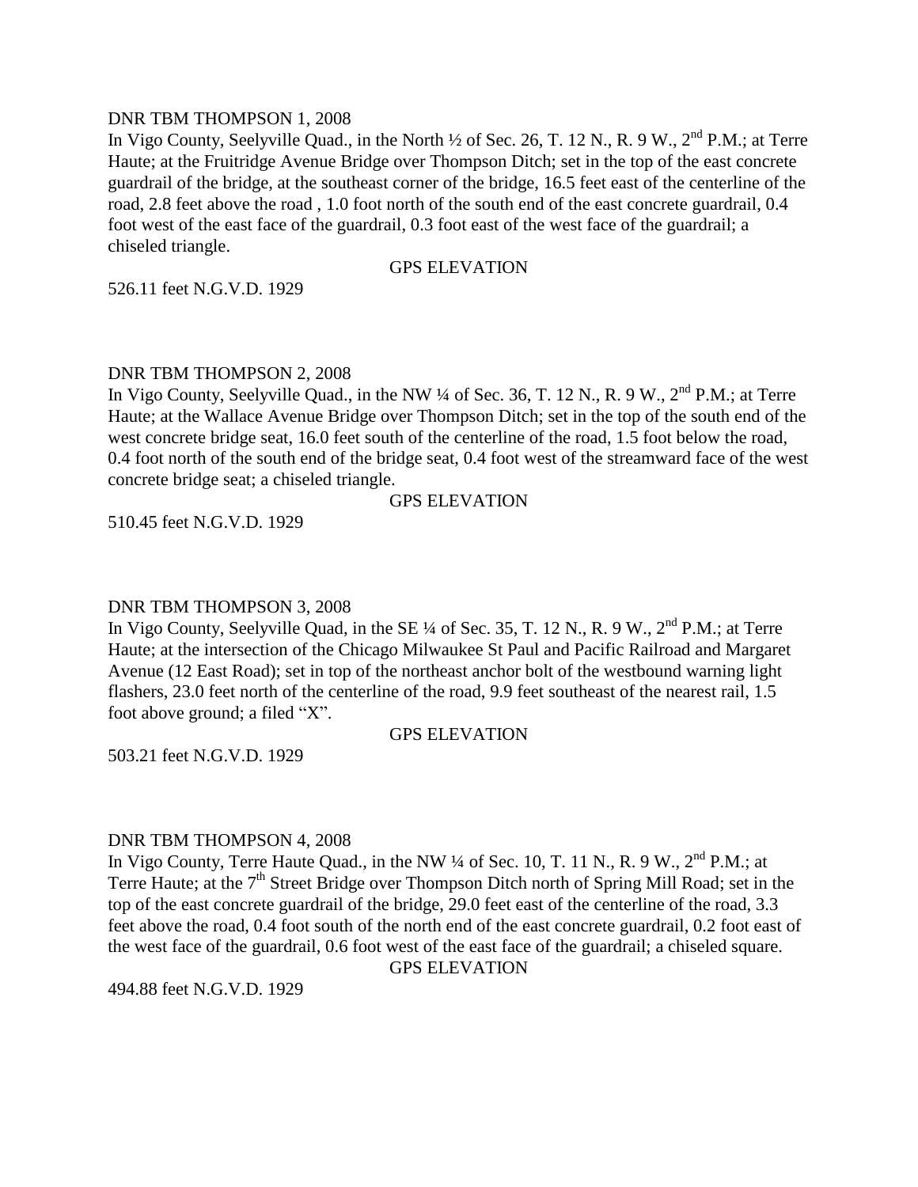### DNR TBM THOMPSON 1, 2008

In Vigo County, Seelyville Quad., in the North  $\frac{1}{2}$  of Sec. 26, T. 12 N., R. 9 W., 2<sup>nd</sup> P.M.; at Terre Haute; at the Fruitridge Avenue Bridge over Thompson Ditch; set in the top of the east concrete guardrail of the bridge, at the southeast corner of the bridge, 16.5 feet east of the centerline of the road, 2.8 feet above the road , 1.0 foot north of the south end of the east concrete guardrail, 0.4 foot west of the east face of the guardrail, 0.3 foot east of the west face of the guardrail; a chiseled triangle.

## GPS ELEVATION

526.11 feet N.G.V.D. 1929

# DNR TBM THOMPSON 2, 2008

In Vigo County, Seelyville Quad., in the NW ¼ of Sec. 36, T. 12 N., R. 9 W., 2<sup>nd</sup> P.M.; at Terre Haute; at the Wallace Avenue Bridge over Thompson Ditch; set in the top of the south end of the west concrete bridge seat, 16.0 feet south of the centerline of the road, 1.5 foot below the road, 0.4 foot north of the south end of the bridge seat, 0.4 foot west of the streamward face of the west concrete bridge seat; a chiseled triangle.

## GPS ELEVATION

510.45 feet N.G.V.D. 1929

# DNR TBM THOMPSON 3, 2008

In Vigo County, Seelyville Quad, in the SE ¼ of Sec. 35, T. 12 N., R. 9 W., 2<sup>nd</sup> P.M.; at Terre Haute; at the intersection of the Chicago Milwaukee St Paul and Pacific Railroad and Margaret Avenue (12 East Road); set in top of the northeast anchor bolt of the westbound warning light flashers, 23.0 feet north of the centerline of the road, 9.9 feet southeast of the nearest rail, 1.5 foot above ground; a filed "X".

### GPS ELEVATION

503.21 feet N.G.V.D. 1929

# DNR TBM THOMPSON 4, 2008

In Vigo County, Terre Haute Quad., in the NW  $\frac{1}{4}$  of Sec. 10, T. 11 N., R. 9 W.,  $2^{nd}$  P.M.; at Terre Haute; at the  $7<sup>th</sup>$  Street Bridge over Thompson Ditch north of Spring Mill Road; set in the top of the east concrete guardrail of the bridge, 29.0 feet east of the centerline of the road, 3.3 feet above the road, 0.4 foot south of the north end of the east concrete guardrail, 0.2 foot east of the west face of the guardrail, 0.6 foot west of the east face of the guardrail; a chiseled square.

GPS ELEVATION

494.88 feet N.G.V.D. 1929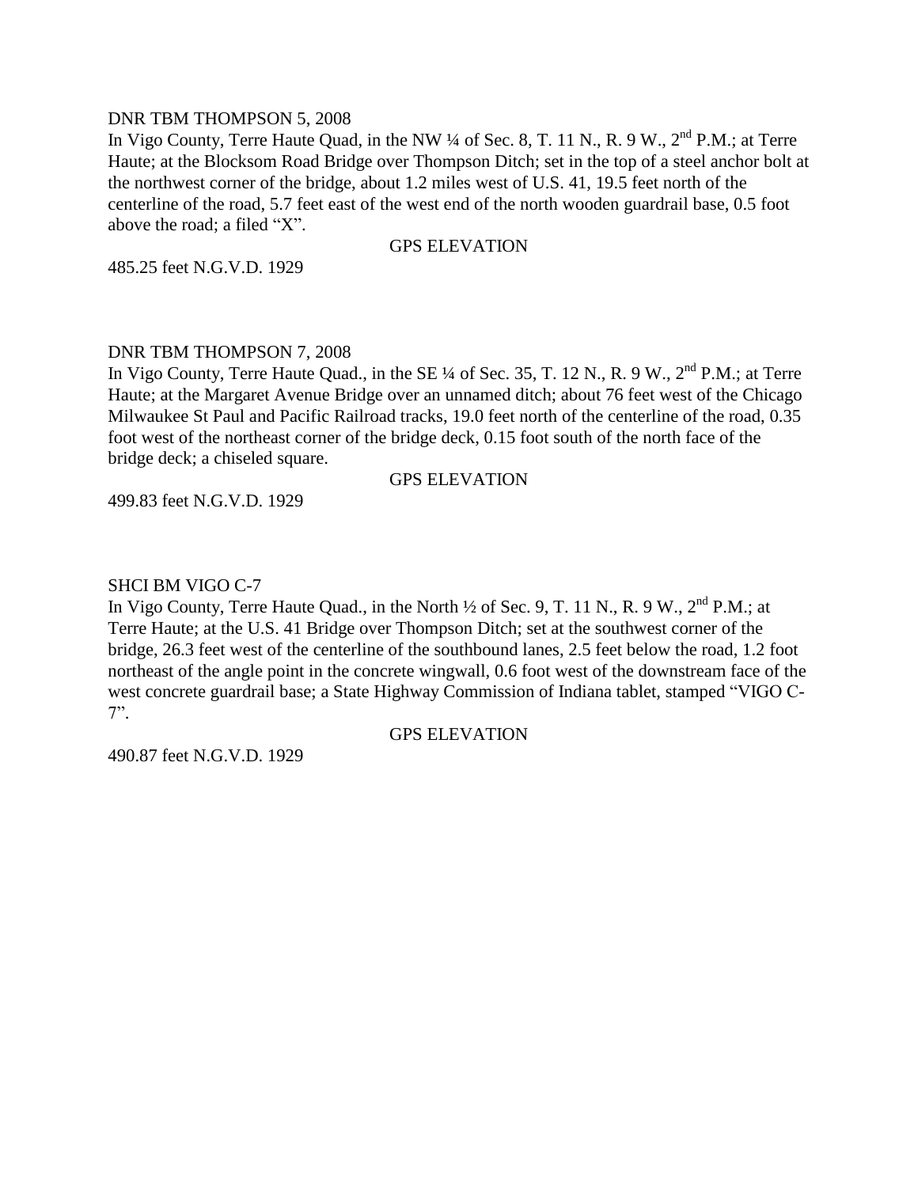### DNR TBM THOMPSON 5, 2008

In Vigo County, Terre Haute Quad, in the NW  $\frac{1}{4}$  of Sec. 8, T. 11 N., R. 9 W.,  $2^{nd}$  P.M.; at Terre Haute; at the Blocksom Road Bridge over Thompson Ditch; set in the top of a steel anchor bolt at the northwest corner of the bridge, about 1.2 miles west of U.S. 41, 19.5 feet north of the centerline of the road, 5.7 feet east of the west end of the north wooden guardrail base, 0.5 foot above the road; a filed "X".

## GPS ELEVATION

485.25 feet N.G.V.D. 1929

## DNR TBM THOMPSON 7, 2008

In Vigo County, Terre Haute Quad., in the SE ¼ of Sec. 35, T. 12 N., R. 9 W., 2<sup>nd</sup> P.M.; at Terre Haute; at the Margaret Avenue Bridge over an unnamed ditch; about 76 feet west of the Chicago Milwaukee St Paul and Pacific Railroad tracks, 19.0 feet north of the centerline of the road, 0.35 foot west of the northeast corner of the bridge deck, 0.15 foot south of the north face of the bridge deck; a chiseled square.

### GPS ELEVATION

499.83 feet N.G.V.D. 1929

## SHCI BM VIGO C-7

In Vigo County, Terre Haute Quad., in the North  $\frac{1}{2}$  of Sec. 9, T. 11 N., R. 9 W.,  $2^{nd}$  P.M.; at Terre Haute; at the U.S. 41 Bridge over Thompson Ditch; set at the southwest corner of the bridge, 26.3 feet west of the centerline of the southbound lanes, 2.5 feet below the road, 1.2 foot northeast of the angle point in the concrete wingwall, 0.6 foot west of the downstream face of the west concrete guardrail base; a State Highway Commission of Indiana tablet, stamped "VIGO C-7".

## GPS ELEVATION

490.87 feet N.G.V.D. 1929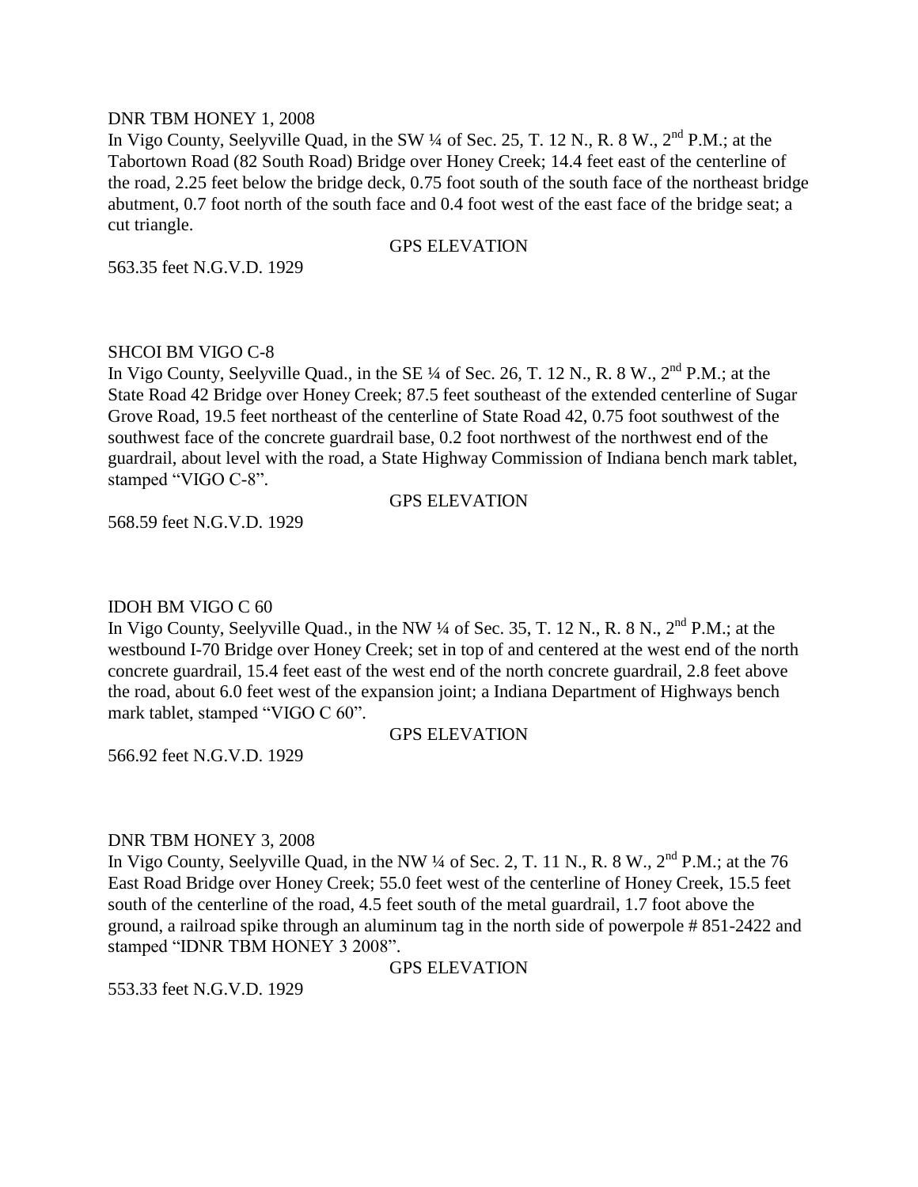### DNR TBM HONEY 1, 2008

In Vigo County, Seelyville Quad, in the SW  $\frac{1}{4}$  of Sec. 25, T. 12 N., R. 8 W.,  $2^{nd}$  P.M.; at the Tabortown Road (82 South Road) Bridge over Honey Creek; 14.4 feet east of the centerline of the road, 2.25 feet below the bridge deck, 0.75 foot south of the south face of the northeast bridge abutment, 0.7 foot north of the south face and 0.4 foot west of the east face of the bridge seat; a cut triangle.

## GPS ELEVATION

563.35 feet N.G.V.D. 1929

## SHCOI BM VIGO C-8

In Vigo County, Seelyville Quad., in the SE  $\frac{1}{4}$  of Sec. 26, T. 12 N., R. 8 W.,  $2^{nd}$  P.M.; at the State Road 42 Bridge over Honey Creek; 87.5 feet southeast of the extended centerline of Sugar Grove Road, 19.5 feet northeast of the centerline of State Road 42, 0.75 foot southwest of the southwest face of the concrete guardrail base, 0.2 foot northwest of the northwest end of the guardrail, about level with the road, a State Highway Commission of Indiana bench mark tablet, stamped "VIGO C-8".

### GPS ELEVATION

568.59 feet N.G.V.D. 1929

# IDOH BM VIGO C 60

In Vigo County, Seelyville Quad., in the NW  $\frac{1}{4}$  of Sec. 35, T. 12 N., R. 8 N.,  $2^{nd}$  P.M.; at the westbound I-70 Bridge over Honey Creek; set in top of and centered at the west end of the north concrete guardrail, 15.4 feet east of the west end of the north concrete guardrail, 2.8 feet above the road, about 6.0 feet west of the expansion joint; a Indiana Department of Highways bench mark tablet, stamped "VIGO C 60".

# GPS ELEVATION

566.92 feet N.G.V.D. 1929

# DNR TBM HONEY 3, 2008

In Vigo County, Seelyville Quad, in the NW  $\frac{1}{4}$  of Sec. 2, T. 11 N., R. 8 W.,  $2^{nd}$  P.M.; at the 76 East Road Bridge over Honey Creek; 55.0 feet west of the centerline of Honey Creek, 15.5 feet south of the centerline of the road, 4.5 feet south of the metal guardrail, 1.7 foot above the ground, a railroad spike through an aluminum tag in the north side of powerpole # 851-2422 and stamped "IDNR TBM HONEY 3 2008".

GPS ELEVATION

553.33 feet N.G.V.D. 1929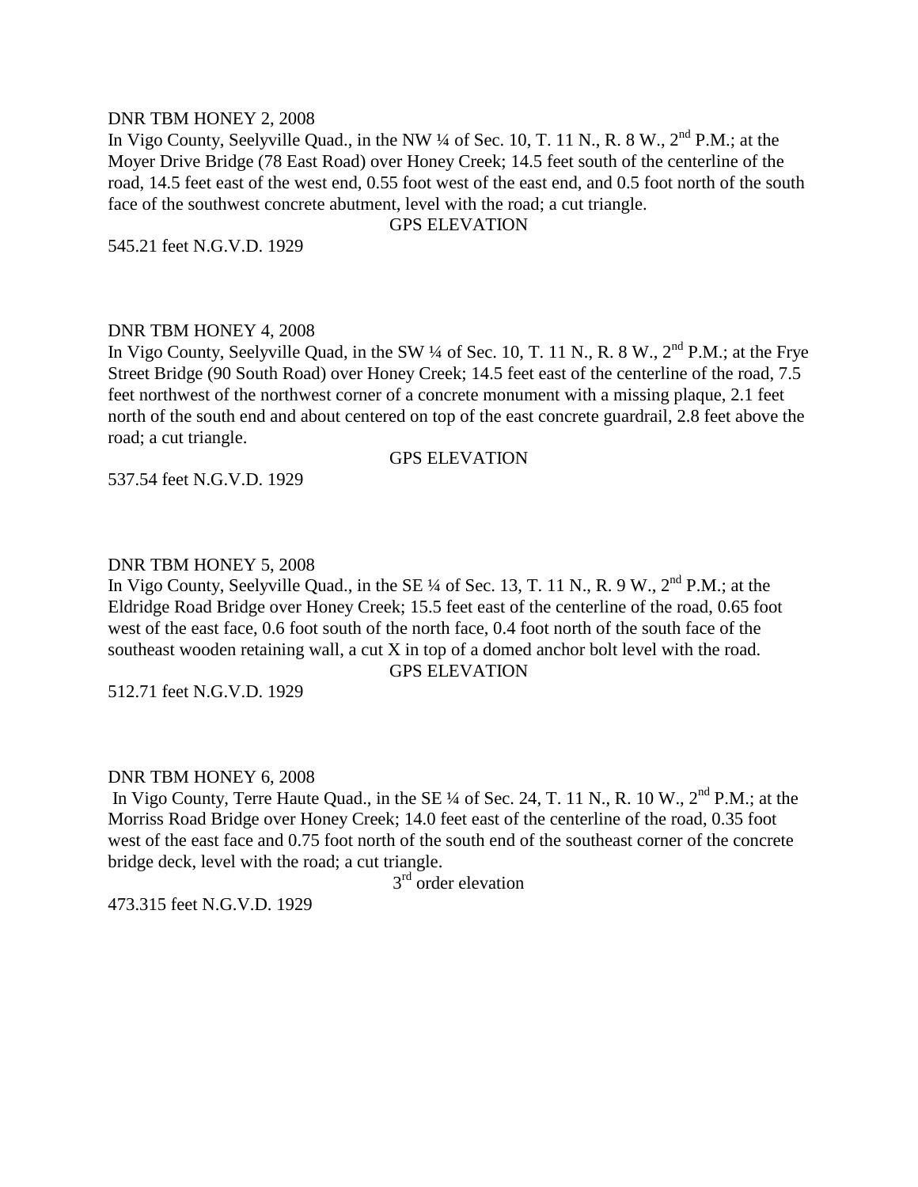### DNR TBM HONEY 2, 2008

In Vigo County, Seelyville Quad., in the NW  $\frac{1}{4}$  of Sec. 10, T. 11 N., R. 8 W.,  $2^{nd}$  P.M.; at the Moyer Drive Bridge (78 East Road) over Honey Creek; 14.5 feet south of the centerline of the road, 14.5 feet east of the west end, 0.55 foot west of the east end, and 0.5 foot north of the south face of the southwest concrete abutment, level with the road; a cut triangle.

## GPS ELEVATION

545.21 feet N.G.V.D. 1929

### DNR TBM HONEY 4, 2008

In Vigo County, Seelyville Quad, in the SW ¼ of Sec. 10, T. 11 N., R. 8 W., 2<sup>nd</sup> P.M.; at the Frye Street Bridge (90 South Road) over Honey Creek; 14.5 feet east of the centerline of the road, 7.5 feet northwest of the northwest corner of a concrete monument with a missing plaque, 2.1 feet north of the south end and about centered on top of the east concrete guardrail, 2.8 feet above the road; a cut triangle.

### GPS ELEVATION

537.54 feet N.G.V.D. 1929

### DNR TBM HONEY 5, 2008

In Vigo County, Seelyville Quad., in the SE ¼ of Sec. 13, T. 11 N., R. 9 W., 2<sup>nd</sup> P.M.: at the Eldridge Road Bridge over Honey Creek; 15.5 feet east of the centerline of the road, 0.65 foot west of the east face, 0.6 foot south of the north face, 0.4 foot north of the south face of the southeast wooden retaining wall, a cut X in top of a domed anchor bolt level with the road. GPS ELEVATION

512.71 feet N.G.V.D. 1929

### DNR TBM HONEY 6, 2008

In Vigo County, Terre Haute Quad., in the SE  $\frac{1}{4}$  of Sec. 24, T. 11 N., R. 10 W.,  $2^{nd}$  P.M.; at the Morriss Road Bridge over Honey Creek; 14.0 feet east of the centerline of the road, 0.35 foot west of the east face and 0.75 foot north of the south end of the southeast corner of the concrete bridge deck, level with the road; a cut triangle.

3<sup>rd</sup> order elevation

473.315 feet N.G.V.D. 1929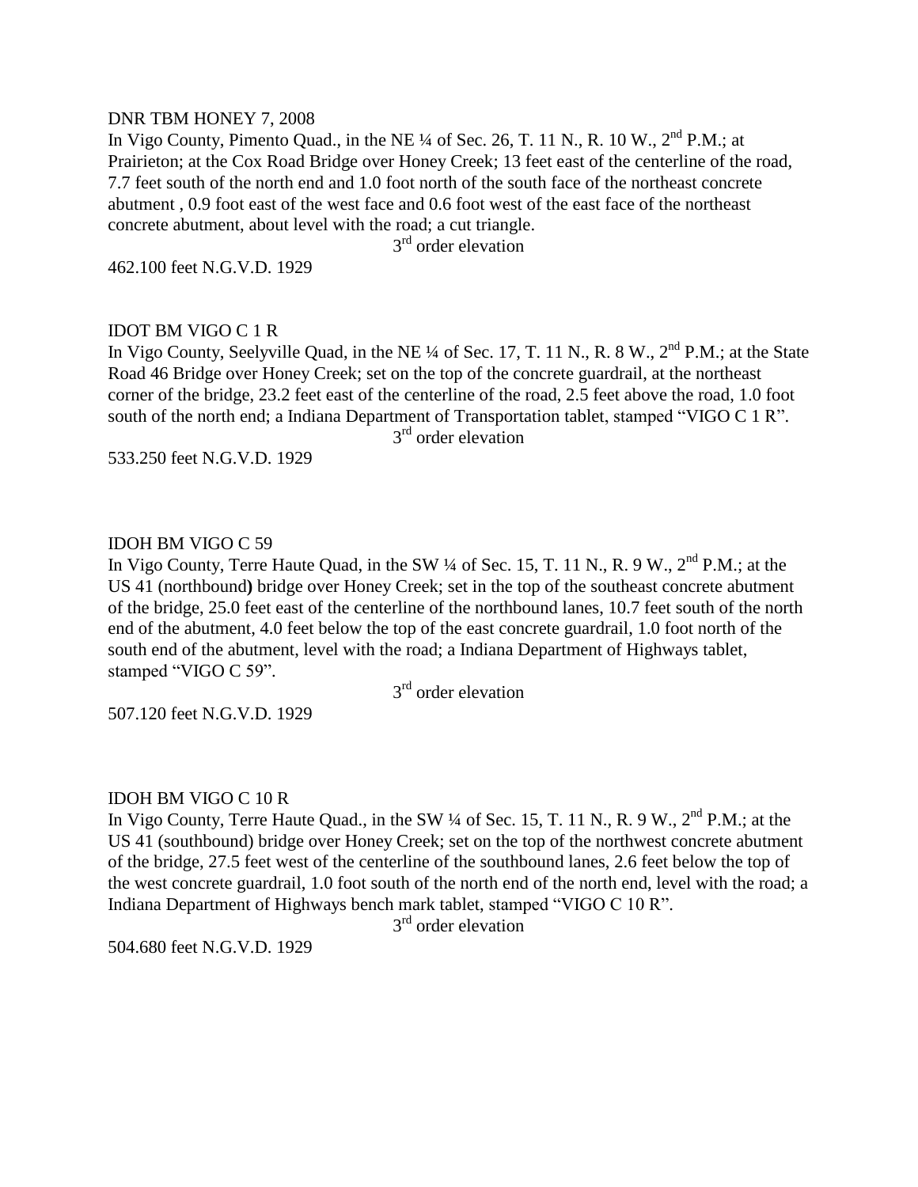# DNR TBM HONEY 7, 2008

In Vigo County, Pimento Quad., in the NE  $\frac{1}{4}$  of Sec. 26, T. 11 N., R. 10 W.,  $2^{nd}$  P.M.; at Prairieton; at the Cox Road Bridge over Honey Creek; 13 feet east of the centerline of the road, 7.7 feet south of the north end and 1.0 foot north of the south face of the northeast concrete abutment , 0.9 foot east of the west face and 0.6 foot west of the east face of the northeast concrete abutment, about level with the road; a cut triangle.

3<sup>rd</sup> order elevation

462.100 feet N.G.V.D. 1929

# IDOT BM VIGO C 1 R

In Vigo County, Seelyville Quad, in the NE ¼ of Sec. 17, T. 11 N., R. 8 W., 2<sup>nd</sup> P.M.; at the State Road 46 Bridge over Honey Creek; set on the top of the concrete guardrail, at the northeast corner of the bridge, 23.2 feet east of the centerline of the road, 2.5 feet above the road, 1.0 foot south of the north end; a Indiana Department of Transportation tablet, stamped "VIGO C 1 R".

3<sup>rd</sup> order elevation

533.250 feet N.G.V.D. 1929

# IDOH BM VIGO C 59

In Vigo County, Terre Haute Quad, in the SW  $\frac{1}{4}$  of Sec. 15, T. 11 N., R. 9 W.,  $2^{nd}$  P.M.; at the US 41 (northbound**)** bridge over Honey Creek; set in the top of the southeast concrete abutment of the bridge, 25.0 feet east of the centerline of the northbound lanes, 10.7 feet south of the north end of the abutment, 4.0 feet below the top of the east concrete guardrail, 1.0 foot north of the south end of the abutment, level with the road; a Indiana Department of Highways tablet, stamped "VIGO C 59".

3<sup>rd</sup> order elevation

507.120 feet N.G.V.D. 1929

# IDOH BM VIGO C 10 R

In Vigo County, Terre Haute Quad., in the SW  $\frac{1}{4}$  of Sec. 15, T. 11 N., R. 9 W.,  $2^{nd}$  P.M.; at the US 41 (southbound) bridge over Honey Creek; set on the top of the northwest concrete abutment of the bridge, 27.5 feet west of the centerline of the southbound lanes, 2.6 feet below the top of the west concrete guardrail, 1.0 foot south of the north end of the north end, level with the road; a Indiana Department of Highways bench mark tablet, stamped "VIGO C 10 R".

3<sup>rd</sup> order elevation

504.680 feet N.G.V.D. 1929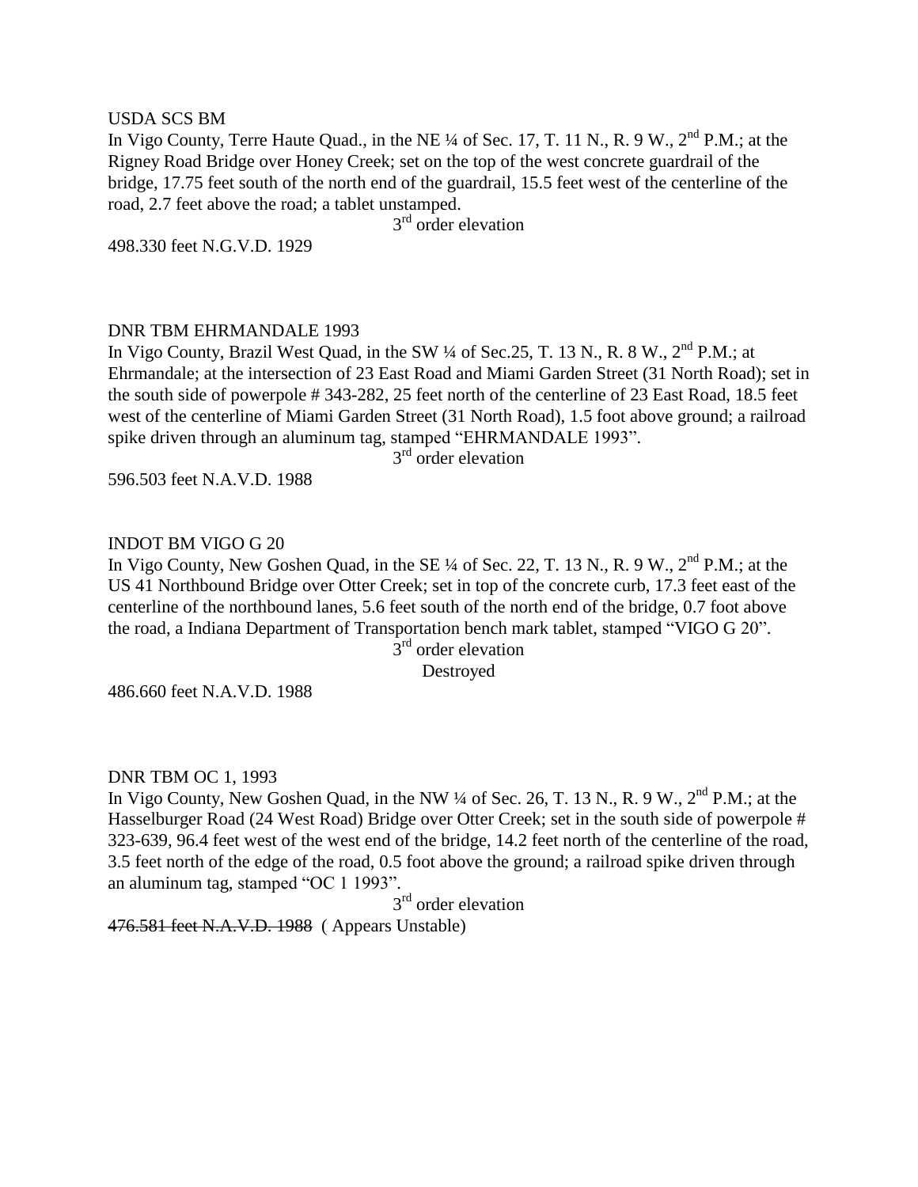### USDA SCS BM

In Vigo County, Terre Haute Quad., in the NE ¼ of Sec. 17, T. 11 N., R. 9 W., 2<sup>nd</sup> P.M.; at the Rigney Road Bridge over Honey Creek; set on the top of the west concrete guardrail of the bridge, 17.75 feet south of the north end of the guardrail, 15.5 feet west of the centerline of the road, 2.7 feet above the road; a tablet unstamped.

3<sup>rd</sup> order elevation

498.330 feet N.G.V.D. 1929

## DNR TBM EHRMANDALE 1993

In Vigo County, Brazil West Quad, in the SW  $\frac{1}{4}$  of Sec. 25, T. 13 N., R. 8 W.,  $2^{nd}$  P.M.; at Ehrmandale; at the intersection of 23 East Road and Miami Garden Street (31 North Road); set in the south side of powerpole # 343-282, 25 feet north of the centerline of 23 East Road, 18.5 feet west of the centerline of Miami Garden Street (31 North Road), 1.5 foot above ground; a railroad spike driven through an aluminum tag, stamped "EHRMANDALE 1993".

3<sup>rd</sup> order elevation

596.503 feet N.A.V.D. 1988

# INDOT BM VIGO G 20

In Vigo County, New Goshen Quad, in the SE ¼ of Sec. 22, T. 13 N., R. 9 W., 2<sup>nd</sup> P.M.; at the US 41 Northbound Bridge over Otter Creek; set in top of the concrete curb, 17.3 feet east of the centerline of the northbound lanes, 5.6 feet south of the north end of the bridge, 0.7 foot above the road, a Indiana Department of Transportation bench mark tablet, stamped "VIGO G 20".

 $3<sup>rd</sup>$  order elevation

Destroyed

486.660 feet N.A.V.D. 1988

### DNR TBM OC 1, 1993

In Vigo County, New Goshen Quad, in the NW  $\frac{1}{4}$  of Sec. 26, T. 13 N., R. 9 W.,  $2^{nd}$  P.M.; at the Hasselburger Road (24 West Road) Bridge over Otter Creek; set in the south side of powerpole # 323-639, 96.4 feet west of the west end of the bridge, 14.2 feet north of the centerline of the road, 3.5 feet north of the edge of the road, 0.5 foot above the ground; a railroad spike driven through an aluminum tag, stamped "OC 1 1993".

3<sup>rd</sup> order elevation

476.581 feet N.A.V.D. 1988 ( Appears Unstable)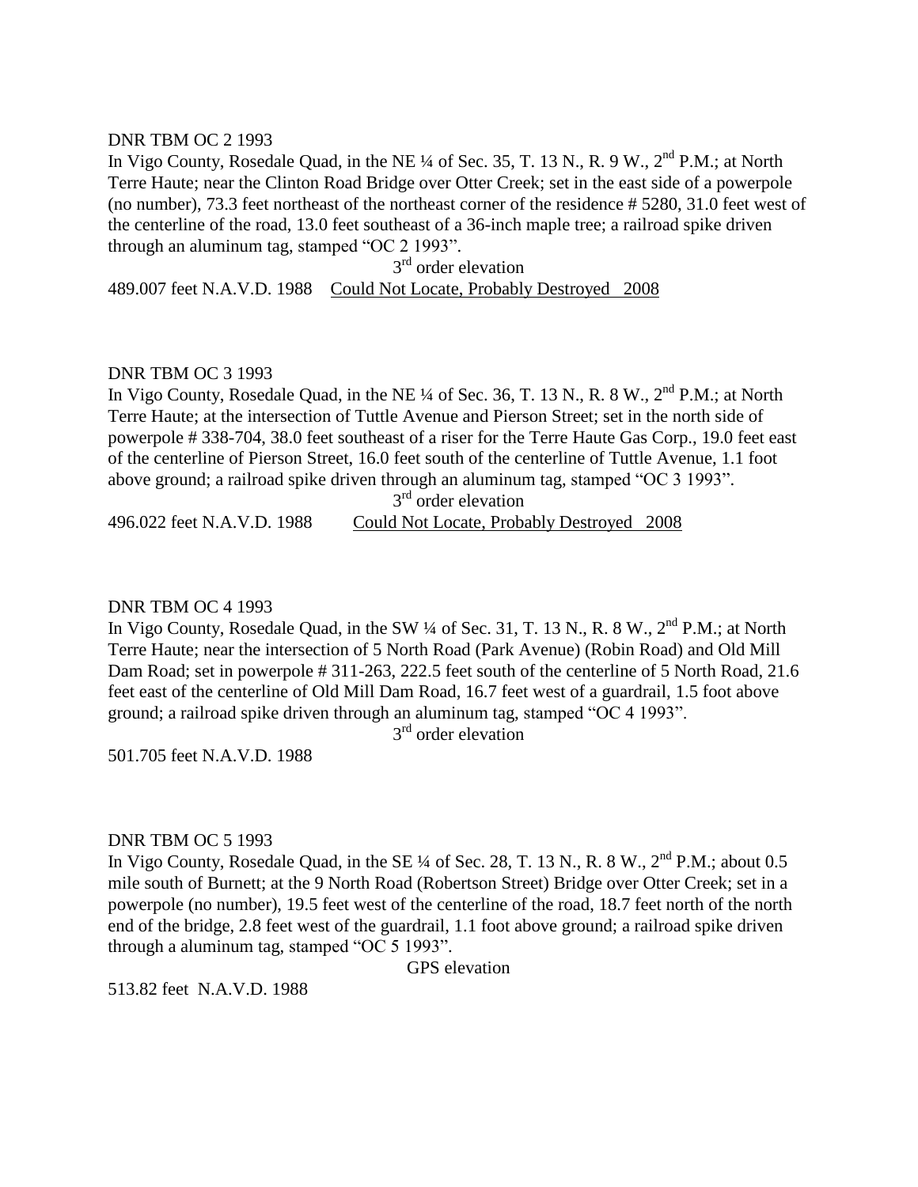### DNR TBM OC 2 1993

In Vigo County, Rosedale Quad, in the NE  $\frac{1}{4}$  of Sec. 35, T. 13 N., R. 9 W.,  $2^{nd}$  P.M.; at North Terre Haute; near the Clinton Road Bridge over Otter Creek; set in the east side of a powerpole (no number), 73.3 feet northeast of the northeast corner of the residence # 5280, 31.0 feet west of the centerline of the road, 13.0 feet southeast of a 36-inch maple tree; a railroad spike driven through an aluminum tag, stamped "OC 2 1993".

3<sup>rd</sup> order elevation 489.007 feet N.A.V.D. 1988 Could Not Locate, Probably Destroyed 2008

## DNR TBM OC 3 1993

In Vigo County, Rosedale Quad, in the NE  $\frac{1}{4}$  of Sec. 36, T. 13 N., R. 8 W.,  $2^{nd}$  P.M.; at North Terre Haute; at the intersection of Tuttle Avenue and Pierson Street; set in the north side of powerpole # 338-704, 38.0 feet southeast of a riser for the Terre Haute Gas Corp., 19.0 feet east of the centerline of Pierson Street, 16.0 feet south of the centerline of Tuttle Avenue, 1.1 foot above ground; a railroad spike driven through an aluminum tag, stamped "OC 3 1993".

3<sup>rd</sup> order elevation

496.022 feet N.A.V.D. 1988 Could Not Locate, Probably Destroyed 2008

### DNR TBM OC 4 1993

In Vigo County, Rosedale Quad, in the SW ¼ of Sec. 31, T. 13 N., R. 8 W., 2<sup>nd</sup> P.M.; at North Terre Haute; near the intersection of 5 North Road (Park Avenue) (Robin Road) and Old Mill Dam Road; set in powerpole # 311-263, 222.5 feet south of the centerline of 5 North Road, 21.6 feet east of the centerline of Old Mill Dam Road, 16.7 feet west of a guardrail, 1.5 foot above ground; a railroad spike driven through an aluminum tag, stamped "OC 4 1993".

3<sup>rd</sup> order elevation

501.705 feet N.A.V.D. 1988

# DNR TBM OC 5 1993

In Vigo County, Rosedale Quad, in the SE  $\frac{1}{4}$  of Sec. 28, T. 13 N., R. 8 W.,  $2^{nd}$  P.M.; about 0.5 mile south of Burnett; at the 9 North Road (Robertson Street) Bridge over Otter Creek; set in a powerpole (no number), 19.5 feet west of the centerline of the road, 18.7 feet north of the north end of the bridge, 2.8 feet west of the guardrail, 1.1 foot above ground; a railroad spike driven through a aluminum tag, stamped "OC 5 1993".

GPS elevation

513.82 feet N.A.V.D. 1988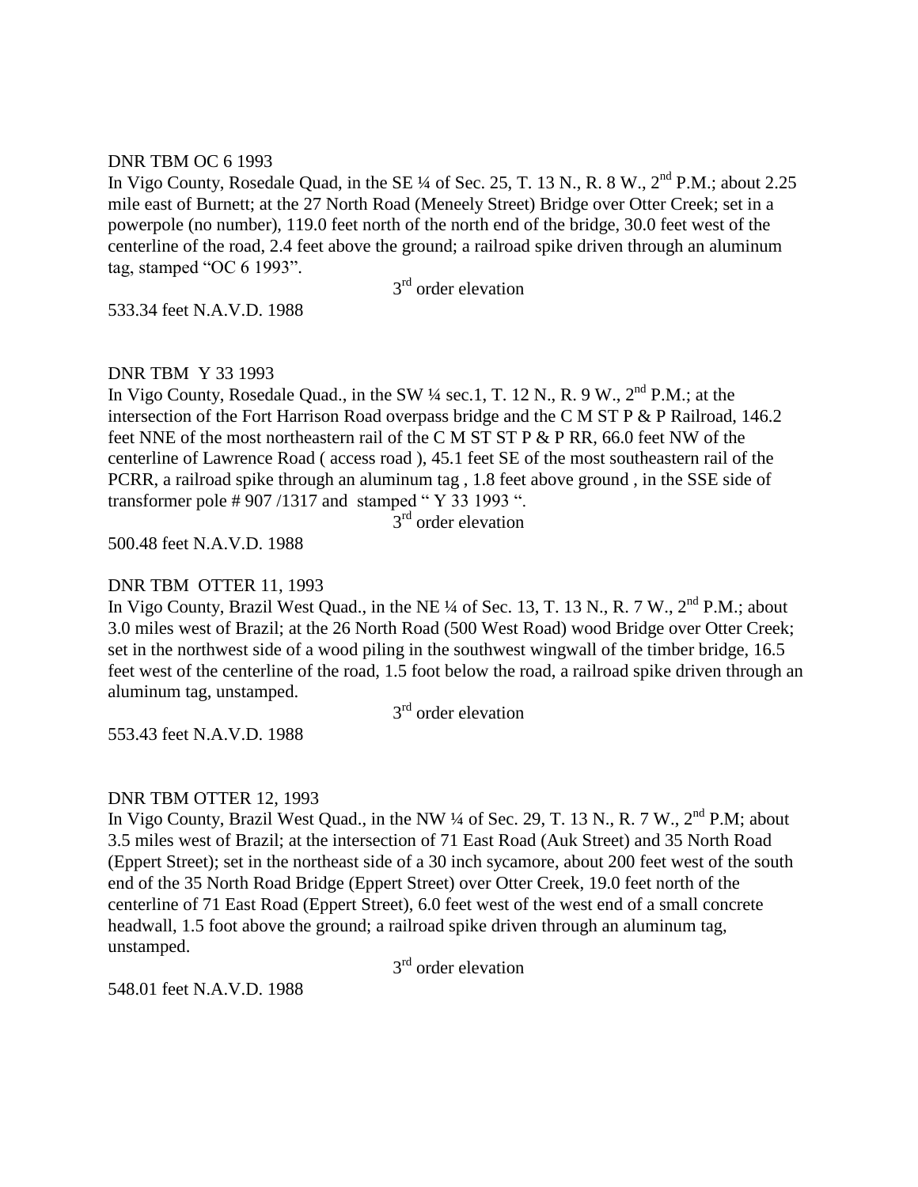### DNR TBM OC 6 1993

In Vigo County, Rosedale Quad, in the SE ¼ of Sec. 25, T. 13 N., R. 8 W., 2<sup>nd</sup> P.M.; about 2.25 mile east of Burnett; at the 27 North Road (Meneely Street) Bridge over Otter Creek; set in a powerpole (no number), 119.0 feet north of the north end of the bridge, 30.0 feet west of the centerline of the road, 2.4 feet above the ground; a railroad spike driven through an aluminum tag, stamped "OC 6 1993".

3<sup>rd</sup> order elevation

533.34 feet N.A.V.D. 1988

## DNR TBM Y 33 1993

In Vigo County, Rosedale Quad., in the SW 1/4 sec.1, T. 12 N., R. 9 W., 2<sup>nd</sup> P.M.; at the intersection of the Fort Harrison Road overpass bridge and the C M ST P & P Railroad, 146.2 feet NNE of the most northeastern rail of the C M ST ST P & P RR, 66.0 feet NW of the centerline of Lawrence Road ( access road ), 45.1 feet SE of the most southeastern rail of the PCRR, a railroad spike through an aluminum tag , 1.8 feet above ground , in the SSE side of transformer pole # 907 /1317 and stamped " Y 33 1993 ".

 $3<sup>rd</sup>$  order elevation

500.48 feet N.A.V.D. 1988

# DNR TBM OTTER 11, 1993

In Vigo County, Brazil West Quad., in the NE  $\frac{1}{4}$  of Sec. 13, T. 13 N., R. 7 W.,  $2^{nd}$  P.M.; about 3.0 miles west of Brazil; at the 26 North Road (500 West Road) wood Bridge over Otter Creek; set in the northwest side of a wood piling in the southwest wingwall of the timber bridge, 16.5 feet west of the centerline of the road, 1.5 foot below the road, a railroad spike driven through an aluminum tag, unstamped.

3<sup>rd</sup> order elevation

553.43 feet N.A.V.D. 1988

# DNR TBM OTTER 12, 1993

In Vigo County, Brazil West Quad., in the NW  $\frac{1}{4}$  of Sec. 29, T. 13 N., R. 7 W.,  $2^{nd}$  P.M; about 3.5 miles west of Brazil; at the intersection of 71 East Road (Auk Street) and 35 North Road (Eppert Street); set in the northeast side of a 30 inch sycamore, about 200 feet west of the south end of the 35 North Road Bridge (Eppert Street) over Otter Creek, 19.0 feet north of the centerline of 71 East Road (Eppert Street), 6.0 feet west of the west end of a small concrete headwall, 1.5 foot above the ground; a railroad spike driven through an aluminum tag, unstamped.

3<sup>rd</sup> order elevation

548.01 feet N.A.V.D. 1988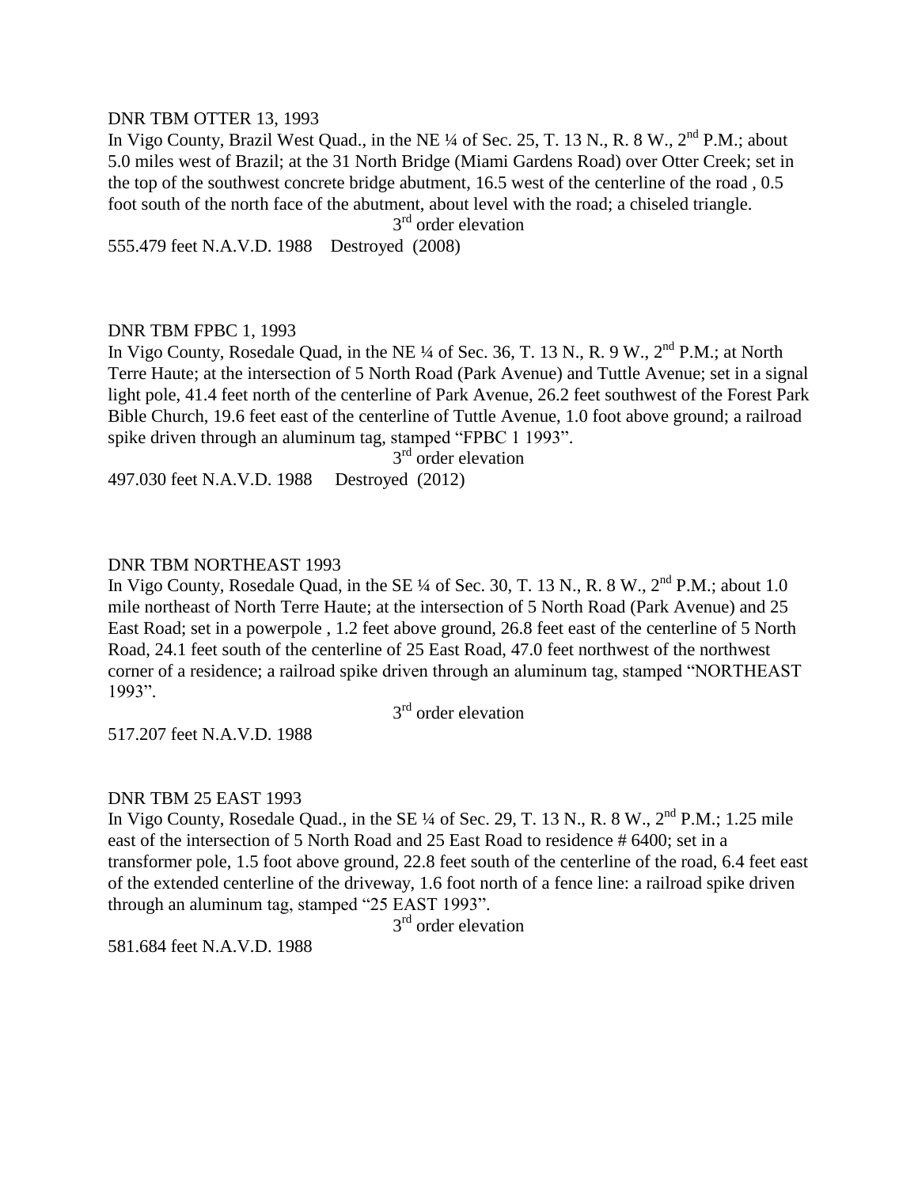### DNR TBM OTTER 13, 1993

In Vigo County, Brazil West Quad., in the NE ¼ of Sec. 25, T. 13 N., R. 8 W., 2<sup>nd</sup> P.M.: about 5.0 miles west of Brazil; at the 31 North Bridge (Miami Gardens Road) over Otter Creek; set in the top of the southwest concrete bridge abutment, 16.5 west of the centerline of the road , 0.5 foot south of the north face of the abutment, about level with the road; a chiseled triangle.

3<sup>rd</sup> order elevation

555.479 feet N.A.V.D. 1988 Destroyed (2008)

### DNR TBM FPBC 1, 1993

In Vigo County, Rosedale Quad, in the NE ¼ of Sec. 36, T. 13 N., R. 9 W., 2<sup>nd</sup> P.M.; at North Terre Haute; at the intersection of 5 North Road (Park Avenue) and Tuttle Avenue; set in a signal light pole, 41.4 feet north of the centerline of Park Avenue, 26.2 feet southwest of the Forest Park Bible Church, 19.6 feet east of the centerline of Tuttle Avenue, 1.0 foot above ground; a railroad spike driven through an aluminum tag, stamped "FPBC 1 1993".

3<sup>rd</sup> order elevation

497.030 feet N.A.V.D. 1988 Destroyed (2012)

#### DNR TBM NORTHEAST 1993

In Vigo County, Rosedale Quad, in the SE  $\frac{1}{4}$  of Sec. 30, T. 13 N., R. 8 W.,  $2^{nd}$  P.M.: about 1.0 mile northeast of North Terre Haute; at the intersection of 5 North Road (Park Avenue) and 25 East Road; set in a powerpole , 1.2 feet above ground, 26.8 feet east of the centerline of 5 North Road, 24.1 feet south of the centerline of 25 East Road, 47.0 feet northwest of the northwest corner of a residence; a railroad spike driven through an aluminum tag, stamped "NORTHEAST 1993".

3<sup>rd</sup> order elevation

517.207 feet N.A.V.D. 1988

#### DNR TBM 25 EAST 1993

In Vigo County, Rosedale Quad., in the SE  $\frac{1}{4}$  of Sec. 29, T. 13 N., R. 8 W.,  $2^{nd}$  P.M.; 1.25 mile east of the intersection of 5 North Road and 25 East Road to residence # 6400; set in a transformer pole, 1.5 foot above ground, 22.8 feet south of the centerline of the road, 6.4 feet east of the extended centerline of the driveway, 1.6 foot north of a fence line: a railroad spike driven through an aluminum tag, stamped "25 EAST 1993".

3<sup>rd</sup> order elevation

581.684 feet N.A.V.D. 1988